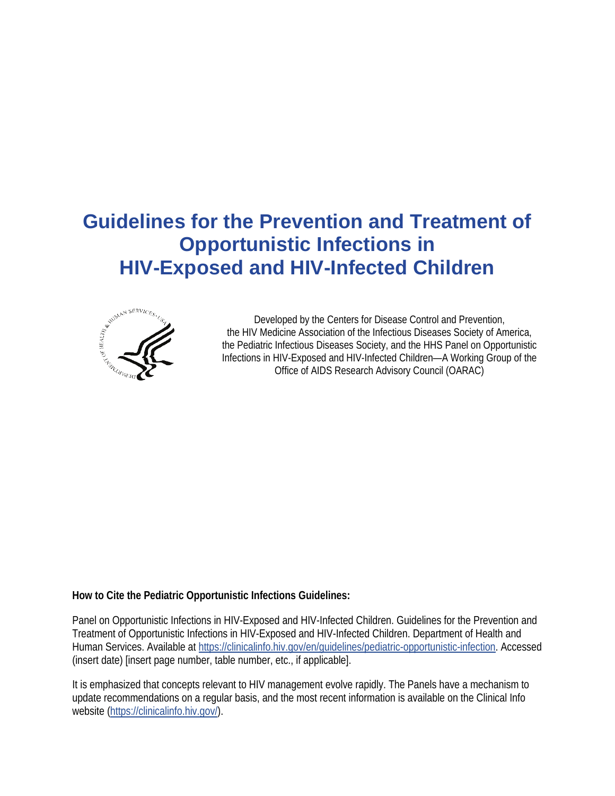# **Guidelines for the Prevention and Treatment of Opportunistic Infections in HIV-Exposed and HIV-Infected Children**



Developed by the Centers for Disease Control and Prevention, the HIV Medicine Association of the Infectious Diseases Society of America, the Pediatric Infectious Diseases Society, and the HHS Panel on Opportunistic Infections in HIV-Exposed and HIV-Infected Children—A Working Group of the Office of AIDS Research Advisory Council (OARAC)

#### **How to Cite the Pediatric Opportunistic Infections Guidelines:**

Panel on Opportunistic Infections in HIV-Exposed and HIV-Infected Children. Guidelines for the Prevention and Treatment of Opportunistic Infections in HIV-Exposed and HIV-Infected Children. Department of Health and Human Services. Available at [https://clinicalinfo.hiv.gov/en/guidelines/pediatric-opportunistic-infection.](https://clinicalinfo.hiv.gov/en/guidelines/pediatric-opportunistic-infection) Accessed (insert date) [insert page number, table number, etc., if applicable].

It is emphasized that concepts relevant to HIV management evolve rapidly. The Panels have a mechanism to update recommendations on a regular basis, and the most recent information is available on the Clinical Info website [\(https://clinicalinfo.hiv.gov/\)](https://clinicalinfo.hiv.gov/).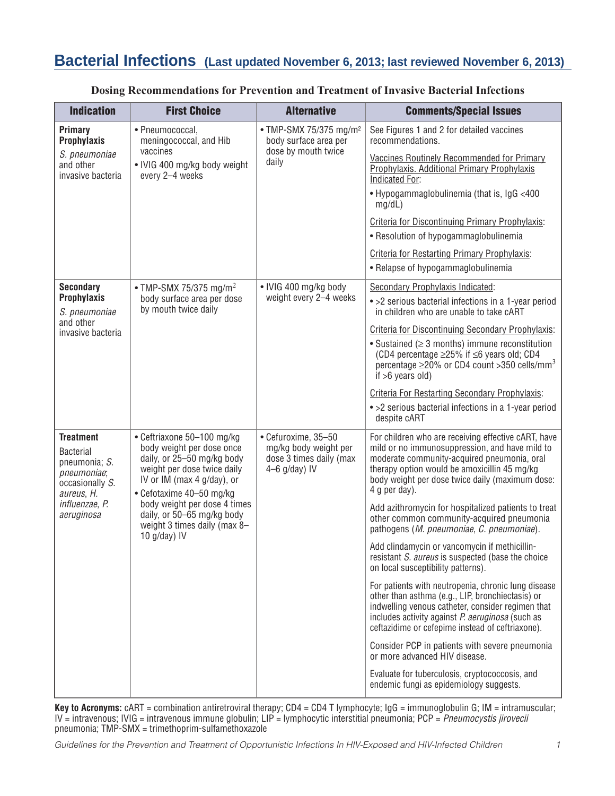# **Bacterial Infections (Last updated November 6, 2013; last reviewed November 6, 2013)**

| <b>Indication</b>                                                                                     | <b>First Choice</b>                                                                                                                                                            | <b>Alternative</b>                                                                         | <b>Comments/Special Issues</b>                                                                                                                                                                                                                                           |
|-------------------------------------------------------------------------------------------------------|--------------------------------------------------------------------------------------------------------------------------------------------------------------------------------|--------------------------------------------------------------------------------------------|--------------------------------------------------------------------------------------------------------------------------------------------------------------------------------------------------------------------------------------------------------------------------|
| <b>Primary</b><br><b>Prophylaxis</b>                                                                  | · Pneumococcal,<br>meningococcal, and Hib                                                                                                                                      | • TMP-SMX 75/375 mg/m <sup>2</sup><br>body surface area per                                | See Figures 1 and 2 for detailed vaccines<br>recommendations.                                                                                                                                                                                                            |
| S. pneumoniae<br>and other<br>invasive bacteria                                                       | vaccines<br>• IVIG 400 mg/kg body weight<br>every 2-4 weeks                                                                                                                    | dose by mouth twice<br>daily                                                               | Vaccines Routinely Recommended for Primary<br>Prophylaxis. Additional Primary Prophylaxis<br>Indicated For:                                                                                                                                                              |
|                                                                                                       |                                                                                                                                                                                |                                                                                            | • Hypogammaglobulinemia (that is, IgG <400<br>mg/dL)                                                                                                                                                                                                                     |
|                                                                                                       |                                                                                                                                                                                |                                                                                            | <b>Criteria for Discontinuing Primary Prophylaxis:</b>                                                                                                                                                                                                                   |
|                                                                                                       |                                                                                                                                                                                |                                                                                            | • Resolution of hypogammaglobulinemia                                                                                                                                                                                                                                    |
|                                                                                                       |                                                                                                                                                                                |                                                                                            | <b>Criteria for Restarting Primary Prophylaxis:</b>                                                                                                                                                                                                                      |
|                                                                                                       |                                                                                                                                                                                |                                                                                            | • Relapse of hypogammaglobulinemia                                                                                                                                                                                                                                       |
| <b>Secondary</b>                                                                                      | • TMP-SMX 75/375 mg/m <sup>2</sup>                                                                                                                                             | • IVIG 400 mg/kg body                                                                      | Secondary Prophylaxis Indicated:                                                                                                                                                                                                                                         |
| <b>Prophylaxis</b><br>S. pneumoniae<br>and other                                                      | body surface area per dose<br>by mouth twice daily                                                                                                                             | weight every 2-4 weeks                                                                     | • > 2 serious bacterial infections in a 1-year period<br>in children who are unable to take cART                                                                                                                                                                         |
| invasive bacteria                                                                                     |                                                                                                                                                                                |                                                                                            | Criteria for Discontinuing Secondary Prophylaxis:                                                                                                                                                                                                                        |
|                                                                                                       |                                                                                                                                                                                |                                                                                            | • Sustained ( $\geq$ 3 months) immune reconstitution<br>(CD4 percentage $\geq$ 25% if $\leq$ 6 years old; CD4<br>percentage $\geq$ 20% or CD4 count $>$ 350 cells/mm <sup>3</sup><br>if $>6$ years old)                                                                  |
|                                                                                                       |                                                                                                                                                                                |                                                                                            | <b>Criteria For Restarting Secondary Prophylaxis:</b>                                                                                                                                                                                                                    |
|                                                                                                       |                                                                                                                                                                                |                                                                                            | • > 2 serious bacterial infections in a 1-year period<br>despite cART                                                                                                                                                                                                    |
| <b>Treatment</b><br><b>Bacterial</b><br>pneumonia; S.<br>pneumoniae;<br>occasionally S.<br>aureus, H. | • Ceftriaxone 50-100 mg/kg<br>body weight per dose once<br>daily, or 25-50 mg/kg body<br>weight per dose twice daily<br>IV or IM (max 4 g/day), or<br>• Cefotaxime 40-50 mg/kg | • Cefuroxime, 35-50<br>mg/kg body weight per<br>dose 3 times daily (max<br>$4-6$ g/day) IV | For children who are receiving effective cART, have<br>mild or no immunosuppression, and have mild to<br>moderate community-acquired pneumonia, oral<br>therapy option would be amoxicillin 45 mg/kg<br>body weight per dose twice daily (maximum dose:<br>4 g per day). |
| influenzae, P.<br>aeruginosa                                                                          | body weight per dose 4 times<br>daily, or 50-65 mg/kg body<br>weight 3 times daily (max 8-<br>10 $g/day)$ IV                                                                   |                                                                                            | Add azithromycin for hospitalized patients to treat<br>other common community-acquired pneumonia<br>pathogens (M. pneumoniae, C. pneumoniae).                                                                                                                            |
|                                                                                                       |                                                                                                                                                                                |                                                                                            | Add clindamycin or vancomycin if methicillin-<br>resistant S. aureus is suspected (base the choice<br>on local susceptibility patterns).                                                                                                                                 |
|                                                                                                       |                                                                                                                                                                                |                                                                                            | For patients with neutropenia, chronic lung disease<br>other than asthma (e.g., LIP, bronchiectasis) or<br>indwelling venous catheter, consider regimen that<br>includes activity against P. aeruginosa (such as<br>ceftazidime or cefepime instead of ceftriaxone).     |
|                                                                                                       |                                                                                                                                                                                |                                                                                            | Consider PCP in patients with severe pneumonia<br>or more advanced HIV disease.                                                                                                                                                                                          |
|                                                                                                       |                                                                                                                                                                                |                                                                                            | Evaluate for tuberculosis, cryptococcosis, and<br>endemic fungi as epidemiology suggests.                                                                                                                                                                                |

#### **Dosing Recommendations for Prevention and Treatment of Invasive Bacterial Infections**

**Key to Acronyms:** cART = combination antiretroviral therapy; CD4 = CD4 T lymphocyte; IgG = immunoglobulin G; IM = intramuscular; IV = intravenous; IVIG = intravenous immune globulin; LIP = lymphocytic interstitial pneumonia; PCP = *Pneumocystis jirovecii* pneumonia; TMP-SMX = trimethoprim-sulfamethoxazole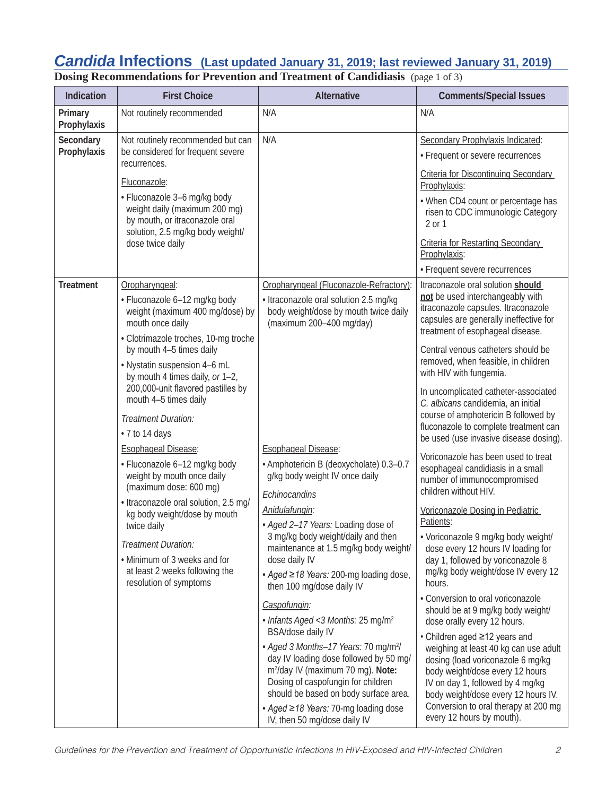## *Candida* **Infections (Last updated January 31, 2019; last reviewed January 31, 2019)**

**Dosing Recommendations for Prevention and Treatment of Candidiasis** (page 1 of 3)

| Indication               | <b>First Choice</b>                                                                                                                                                                                                                                                                                                                                                                                                                                                                                                                                                                                                                                                              | <b>Alternative</b>                                                                                                                                                                                                                                                                                                                                                                                                                                                                                                | <b>Comments/Special Issues</b>                                                                                                                                                                                                                                                                                                                                                                                                                                                                                                                                                                                                                                                                                                                                                                                                                                     |
|--------------------------|----------------------------------------------------------------------------------------------------------------------------------------------------------------------------------------------------------------------------------------------------------------------------------------------------------------------------------------------------------------------------------------------------------------------------------------------------------------------------------------------------------------------------------------------------------------------------------------------------------------------------------------------------------------------------------|-------------------------------------------------------------------------------------------------------------------------------------------------------------------------------------------------------------------------------------------------------------------------------------------------------------------------------------------------------------------------------------------------------------------------------------------------------------------------------------------------------------------|--------------------------------------------------------------------------------------------------------------------------------------------------------------------------------------------------------------------------------------------------------------------------------------------------------------------------------------------------------------------------------------------------------------------------------------------------------------------------------------------------------------------------------------------------------------------------------------------------------------------------------------------------------------------------------------------------------------------------------------------------------------------------------------------------------------------------------------------------------------------|
| Primary<br>Prophylaxis   | Not routinely recommended                                                                                                                                                                                                                                                                                                                                                                                                                                                                                                                                                                                                                                                        | N/A                                                                                                                                                                                                                                                                                                                                                                                                                                                                                                               | N/A                                                                                                                                                                                                                                                                                                                                                                                                                                                                                                                                                                                                                                                                                                                                                                                                                                                                |
| Secondary<br>Prophylaxis | Not routinely recommended but can<br>be considered for frequent severe<br>recurrences.<br>Fluconazole:<br>· Fluconazole 3-6 mg/kg body<br>weight daily (maximum 200 mg)<br>by mouth, or itraconazole oral<br>solution, 2.5 mg/kg body weight/<br>dose twice daily                                                                                                                                                                                                                                                                                                                                                                                                                | N/A                                                                                                                                                                                                                                                                                                                                                                                                                                                                                                               | Secondary Prophylaxis Indicated:<br>• Frequent or severe recurrences<br><b>Criteria for Discontinuing Secondary</b><br>Prophylaxis:<br>• When CD4 count or percentage has<br>risen to CDC immunologic Category<br>2 or 1<br><b>Criteria for Restarting Secondary</b>                                                                                                                                                                                                                                                                                                                                                                                                                                                                                                                                                                                               |
|                          |                                                                                                                                                                                                                                                                                                                                                                                                                                                                                                                                                                                                                                                                                  |                                                                                                                                                                                                                                                                                                                                                                                                                                                                                                                   | Prophylaxis:<br>• Frequent severe recurrences                                                                                                                                                                                                                                                                                                                                                                                                                                                                                                                                                                                                                                                                                                                                                                                                                      |
| <b>Treatment</b>         | Oropharyngeal:<br>· Fluconazole 6-12 mg/kg body<br>weight (maximum 400 mg/dose) by<br>mouth once daily<br>• Clotrimazole troches, 10-mg troche<br>by mouth 4-5 times daily<br>. Nystatin suspension 4-6 mL<br>by mouth 4 times daily, or 1-2,<br>200,000-unit flavored pastilles by<br>mouth 4-5 times daily<br>Treatment Duration:<br>• 7 to 14 days<br>Esophageal Disease:<br>· Fluconazole 6-12 mg/kg body<br>weight by mouth once daily<br>(maximum dose: 600 mg)<br>• Itraconazole oral solution, 2.5 mg/<br>kg body weight/dose by mouth<br>twice daily<br>Treatment Duration:<br>• Minimum of 3 weeks and for<br>at least 2 weeks following the<br>resolution of symptoms | Oropharyngeal (Fluconazole-Refractory):<br>· Itraconazole oral solution 2.5 mg/kg<br>body weight/dose by mouth twice daily<br>(maximum 200-400 mg/day)<br><b>Esophageal Disease:</b><br>· Amphotericin B (deoxycholate) 0.3-0.7<br>g/kg body weight IV once daily<br>Echinocandins<br>Anidulafungin:<br>· Aged 2-17 Years: Loading dose of<br>3 mg/kg body weight/daily and then<br>maintenance at 1.5 mg/kg body weight/<br>dose daily IV<br>• Aged ≥18 Years: 200-mg loading dose,<br>then 100 mg/dose daily IV | Itraconazole oral solution should<br>not be used interchangeably with<br>itraconazole capsules. Itraconazole<br>capsules are generally ineffective for<br>treatment of esophageal disease.<br>Central venous catheters should be<br>removed, when feasible, in children<br>with HIV with fungemia.<br>In uncomplicated catheter-associated<br>C. albicans candidemia, an initial<br>course of amphotericin B followed by<br>fluconazole to complete treatment can<br>be used (use invasive disease dosing).<br>Voriconazole has been used to treat<br>esophageal candidiasis in a small<br>number of immunocompromised<br>children without HIV.<br>Voriconazole Dosing in Pediatric<br>Patients:<br>• Voriconazole 9 mg/kg body weight/<br>dose every 12 hours IV loading for<br>day 1, followed by voriconazole 8<br>mg/kg body weight/dose IV every 12<br>hours. |
|                          |                                                                                                                                                                                                                                                                                                                                                                                                                                                                                                                                                                                                                                                                                  | Caspofungin:<br>• Infants Aged < 3 Months: 25 mg/m <sup>2</sup><br>BSA/dose daily IV<br>• Aged 3 Months-17 Years: 70 mg/m <sup>2</sup> /<br>day IV loading dose followed by 50 mg/<br>m <sup>2</sup> /day IV (maximum 70 mg). Note:<br>Dosing of caspofungin for children<br>should be based on body surface area.<br>• Aged ≥18 Years: 70-mg loading dose<br>IV, then 50 mg/dose daily IV                                                                                                                        | • Conversion to oral voriconazole<br>should be at 9 mg/kg body weight/<br>dose orally every 12 hours.<br>• Children aged ≥12 years and<br>weighing at least 40 kg can use adult<br>dosing (load voriconazole 6 mg/kg<br>body weight/dose every 12 hours<br>IV on day 1, followed by 4 mg/kg<br>body weight/dose every 12 hours IV.<br>Conversion to oral therapy at 200 mg<br>every 12 hours by mouth).                                                                                                                                                                                                                                                                                                                                                                                                                                                            |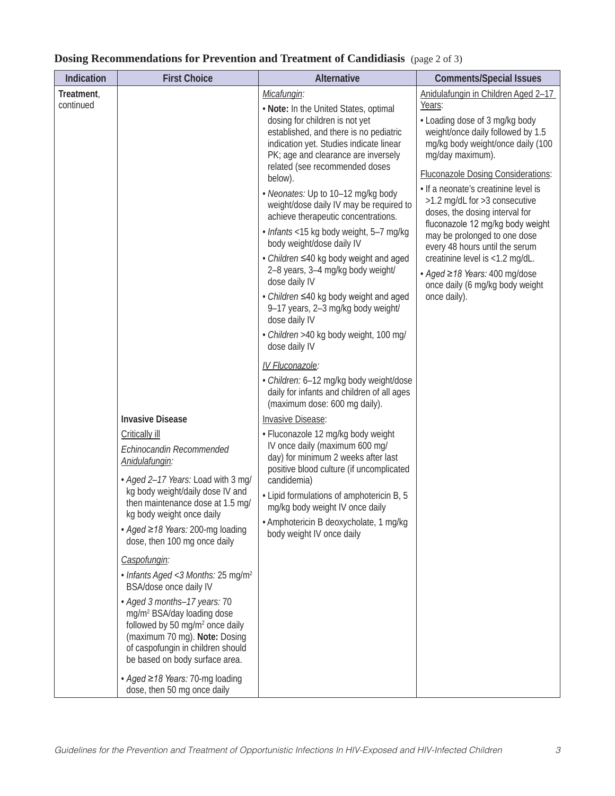| Indication              | <b>First Choice</b>                                                                                                                                                                                                                                                                                                                                                                                                                                                                                                                                                                                                                                                            | Alternative                                                                                                                                                                                                                                                                                                                                                                                                                                                                                                                                                                                                                                                                                                                                                                                                                                                                                                                                                                                                                                                                                                                                                                                                                           | <b>Comments/Special Issues</b>                                                                                                                                                                                                                                                                                                                                                                                                                                                                                                                                     |
|-------------------------|--------------------------------------------------------------------------------------------------------------------------------------------------------------------------------------------------------------------------------------------------------------------------------------------------------------------------------------------------------------------------------------------------------------------------------------------------------------------------------------------------------------------------------------------------------------------------------------------------------------------------------------------------------------------------------|---------------------------------------------------------------------------------------------------------------------------------------------------------------------------------------------------------------------------------------------------------------------------------------------------------------------------------------------------------------------------------------------------------------------------------------------------------------------------------------------------------------------------------------------------------------------------------------------------------------------------------------------------------------------------------------------------------------------------------------------------------------------------------------------------------------------------------------------------------------------------------------------------------------------------------------------------------------------------------------------------------------------------------------------------------------------------------------------------------------------------------------------------------------------------------------------------------------------------------------|--------------------------------------------------------------------------------------------------------------------------------------------------------------------------------------------------------------------------------------------------------------------------------------------------------------------------------------------------------------------------------------------------------------------------------------------------------------------------------------------------------------------------------------------------------------------|
| Treatment,<br>continued | <b>Invasive Disease</b><br><b>Critically ill</b><br>Echinocandin Recommended<br>Anidulafungin:<br>• Aged 2-17 Years: Load with 3 mg/<br>kg body weight/daily dose IV and<br>then maintenance dose at 1.5 mg/<br>kg body weight once daily<br>• Aged ≥18 Years: 200-mg loading<br>dose, then 100 mg once daily<br>Caspofungin:<br>• Infants Aged < 3 Months: 25 mg/m <sup>2</sup><br>BSA/dose once daily IV<br>· Aged 3 months-17 years: 70<br>mg/m <sup>2</sup> BSA/day loading dose<br>followed by 50 mg/m <sup>2</sup> once daily<br>(maximum 70 mg). Note: Dosing<br>of caspofungin in children should<br>be based on body surface area.<br>• Aged ≥18 Years: 70-mg loading | Micafungin:<br>. Note: In the United States, optimal<br>dosing for children is not yet<br>established, and there is no pediatric<br>indication yet. Studies indicate linear<br>PK; age and clearance are inversely<br>related (see recommended doses<br>below).<br>• Neonates: Up to 10-12 mg/kg body<br>weight/dose daily IV may be required to<br>achieve therapeutic concentrations.<br>· Infants <15 kg body weight, 5-7 mg/kg<br>body weight/dose daily IV<br>• Children ≤40 kg body weight and aged<br>2-8 years, 3-4 mg/kg body weight/<br>dose daily IV<br>• Children ≤40 kg body weight and aged<br>9-17 years, 2-3 mg/kg body weight/<br>dose daily IV<br>· Children >40 kg body weight, 100 mg/<br>dose daily IV<br>IV Fluconazole:<br>· Children: 6-12 mg/kg body weight/dose<br>daily for infants and children of all ages<br>(maximum dose: 600 mg daily).<br><b>Invasive Disease:</b><br>• Fluconazole 12 mg/kg body weight<br>IV once daily (maximum 600 mg/<br>day) for minimum 2 weeks after last<br>positive blood culture (if uncomplicated<br>candidemia)<br>• Lipid formulations of amphotericin B, 5<br>mg/kg body weight IV once daily<br>· Amphotericin B deoxycholate, 1 mg/kg<br>body weight IV once daily | Anidulafungin in Children Aged 2-17<br>Years:<br>• Loading dose of 3 mg/kg body<br>weight/once daily followed by 1.5<br>mg/kg body weight/once daily (100<br>mg/day maximum).<br><b>Fluconazole Dosing Considerations:</b><br>· If a neonate's creatinine level is<br>>1.2 mg/dL for >3 consecutive<br>doses, the dosing interval for<br>fluconazole 12 mg/kg body weight<br>may be prolonged to one dose<br>every 48 hours until the serum<br>creatinine level is <1.2 mg/dL.<br>• Aged ≥18 Years: 400 mg/dose<br>once daily (6 mg/kg body weight<br>once daily). |
|                         | dose, then 50 mg once daily                                                                                                                                                                                                                                                                                                                                                                                                                                                                                                                                                                                                                                                    |                                                                                                                                                                                                                                                                                                                                                                                                                                                                                                                                                                                                                                                                                                                                                                                                                                                                                                                                                                                                                                                                                                                                                                                                                                       |                                                                                                                                                                                                                                                                                                                                                                                                                                                                                                                                                                    |

### **Dosing Recommendations for Prevention and Treatment of Candidiasis** (page 2 of 3)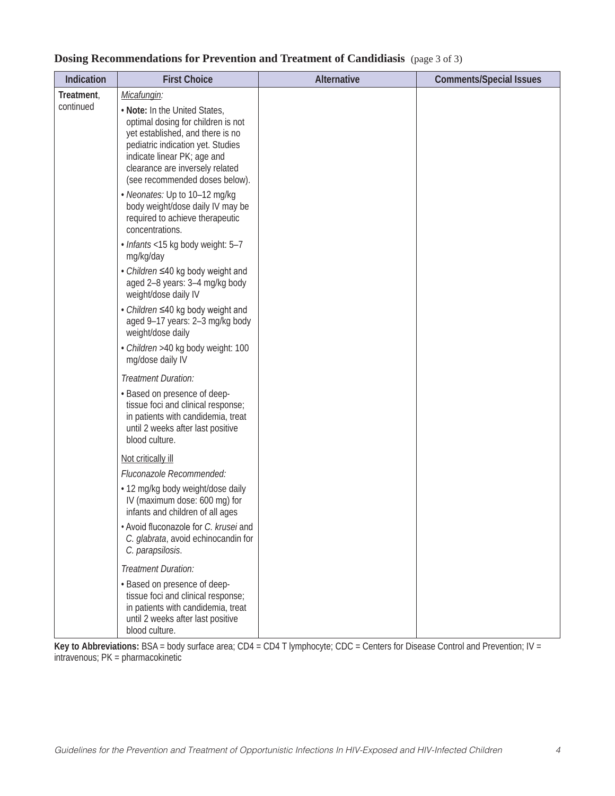### **Dosing Recommendations for Prevention and Treatment of Candidiasis** (page 3 of 3)

| Indication              | <b>First Choice</b>                                                                                                                                                                                                                                             | <b>Alternative</b> | <b>Comments/Special Issues</b> |
|-------------------------|-----------------------------------------------------------------------------------------------------------------------------------------------------------------------------------------------------------------------------------------------------------------|--------------------|--------------------------------|
| Treatment,<br>continued | Micafungin:<br>. Note: In the United States,<br>optimal dosing for children is not<br>yet established, and there is no<br>pediatric indication yet. Studies<br>indicate linear PK; age and<br>clearance are inversely related<br>(see recommended doses below). |                    |                                |
|                         | • Neonates: Up to 10-12 mg/kg<br>body weight/dose daily IV may be<br>required to achieve therapeutic<br>concentrations.                                                                                                                                         |                    |                                |
|                         | · Infants <15 kg body weight: 5-7<br>mg/kg/day                                                                                                                                                                                                                  |                    |                                |
|                         | • Children ≤40 kg body weight and<br>aged 2-8 years: 3-4 mg/kg body<br>weight/dose daily IV                                                                                                                                                                     |                    |                                |
|                         | • Children ≤40 kg body weight and<br>aged 9-17 years: 2-3 mg/kg body<br>weight/dose daily                                                                                                                                                                       |                    |                                |
|                         | · Children >40 kg body weight: 100<br>mg/dose daily IV                                                                                                                                                                                                          |                    |                                |
|                         | Treatment Duration:                                                                                                                                                                                                                                             |                    |                                |
|                         | • Based on presence of deep-<br>tissue foci and clinical response;<br>in patients with candidemia, treat<br>until 2 weeks after last positive<br>blood culture.                                                                                                 |                    |                                |
|                         | Not critically ill                                                                                                                                                                                                                                              |                    |                                |
|                         | Fluconazole Recommended:                                                                                                                                                                                                                                        |                    |                                |
|                         | • 12 mg/kg body weight/dose daily<br>IV (maximum dose: 600 mg) for<br>infants and children of all ages                                                                                                                                                          |                    |                                |
|                         | • Avoid fluconazole for C. krusei and<br>C. glabrata, avoid echinocandin for<br>C. parapsilosis.                                                                                                                                                                |                    |                                |
|                         | Treatment Duration:                                                                                                                                                                                                                                             |                    |                                |
|                         | • Based on presence of deep-<br>tissue foci and clinical response;<br>in patients with candidemia, treat<br>until 2 weeks after last positive<br>blood culture.                                                                                                 |                    |                                |

**Key to Abbreviations:** BSA = body surface area; CD4 = CD4 T lymphocyte; CDC = Centers for Disease Control and Prevention; IV = intravenous; PK = pharmacokinetic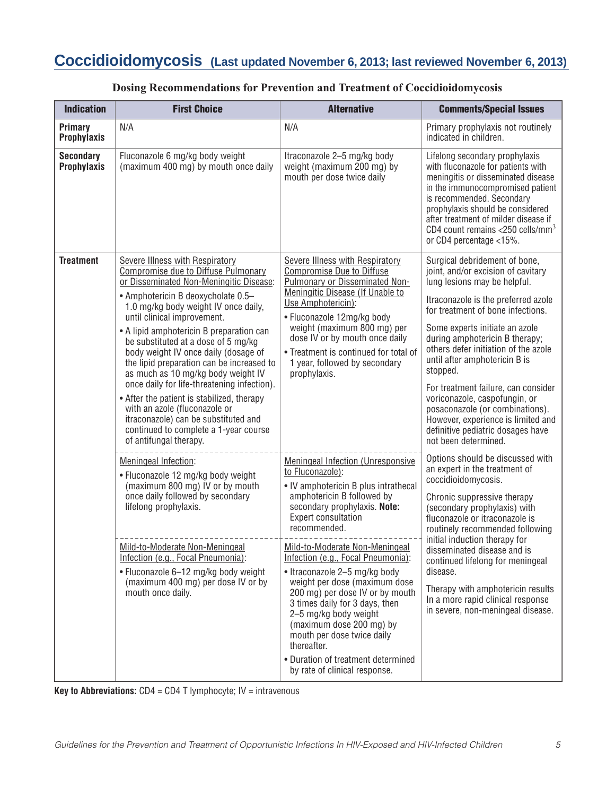# **Coccidioidomycosis (Last updated November 6, 2013; last reviewed November 6, 2013)**

| <b>Indication</b>                      | <b>First Choice</b>                                                                                                                                                                                                                                                                                                                                                                                                                                                                                                                                                                                                                                                                          | <b>Alternative</b>                                                                                                                                                                                                                                                                                                                                                                                                                                                                                                                                                                                       | <b>Comments/Special Issues</b>                                                                                                                                                                                                                                                                                                                                                                                                                                                                                                                         |
|----------------------------------------|----------------------------------------------------------------------------------------------------------------------------------------------------------------------------------------------------------------------------------------------------------------------------------------------------------------------------------------------------------------------------------------------------------------------------------------------------------------------------------------------------------------------------------------------------------------------------------------------------------------------------------------------------------------------------------------------|----------------------------------------------------------------------------------------------------------------------------------------------------------------------------------------------------------------------------------------------------------------------------------------------------------------------------------------------------------------------------------------------------------------------------------------------------------------------------------------------------------------------------------------------------------------------------------------------------------|--------------------------------------------------------------------------------------------------------------------------------------------------------------------------------------------------------------------------------------------------------------------------------------------------------------------------------------------------------------------------------------------------------------------------------------------------------------------------------------------------------------------------------------------------------|
| Primary<br><b>Prophylaxis</b>          | N/A                                                                                                                                                                                                                                                                                                                                                                                                                                                                                                                                                                                                                                                                                          | N/A                                                                                                                                                                                                                                                                                                                                                                                                                                                                                                                                                                                                      | Primary prophylaxis not routinely<br>indicated in children.                                                                                                                                                                                                                                                                                                                                                                                                                                                                                            |
| <b>Secondary</b><br><b>Prophylaxis</b> | Fluconazole 6 mg/kg body weight<br>(maximum 400 mg) by mouth once daily                                                                                                                                                                                                                                                                                                                                                                                                                                                                                                                                                                                                                      | Itraconazole 2–5 mg/kg body<br>weight (maximum 200 mg) by<br>mouth per dose twice daily                                                                                                                                                                                                                                                                                                                                                                                                                                                                                                                  | Lifelong secondary prophylaxis<br>with fluconazole for patients with<br>meningitis or disseminated disease<br>in the immunocompromised patient<br>is recommended. Secondary<br>prophylaxis should be considered<br>after treatment of milder disease if<br>CD4 count remains $<$ 250 cells/mm <sup>3</sup><br>or CD4 percentage <15%.                                                                                                                                                                                                                  |
| <b>Treatment</b>                       | <b>Severe Illness with Respiratory</b><br>Compromise due to Diffuse Pulmonary<br>or Disseminated Non-Meningitic Disease:<br>• Amphotericin B deoxycholate 0.5-<br>1.0 mg/kg body weight IV once daily,<br>until clinical improvement.<br>• A lipid amphotericin B preparation can<br>be substituted at a dose of 5 mg/kg<br>body weight IV once daily (dosage of<br>the lipid preparation can be increased to<br>as much as 10 mg/kg body weight IV<br>once daily for life-threatening infection).<br>• After the patient is stabilized, therapy<br>with an azole (fluconazole or<br>itraconazole) can be substituted and<br>continued to complete a 1-year course<br>of antifungal therapy. | <b>Severe Illness with Respiratory</b><br>Compromise Due to Diffuse<br><b>Pulmonary or Disseminated Non-</b><br>Meningitic Disease (If Unable to<br>Use Amphotericin):<br>• Fluconazole 12mg/kg body<br>weight (maximum 800 mg) per<br>dose IV or by mouth once daily<br>• Treatment is continued for total of<br>1 year, followed by secondary<br>prophylaxis.                                                                                                                                                                                                                                          | Surgical debridement of bone,<br>joint, and/or excision of cavitary<br>lung lesions may be helpful.<br>Itraconazole is the preferred azole<br>for treatment of bone infections.<br>Some experts initiate an azole<br>during amphotericin B therapy;<br>others defer initiation of the azole<br>until after amphotericin B is<br>stopped.<br>For treatment failure, can consider<br>voriconazole, caspofungin, or<br>posaconazole (or combinations).<br>However, experience is limited and<br>definitive pediatric dosages have<br>not been determined. |
|                                        | Meningeal Infection:<br>• Fluconazole 12 mg/kg body weight<br>(maximum 800 mg) IV or by mouth<br>once daily followed by secondary<br>lifelong prophylaxis.<br>Mild-to-Moderate Non-Meningeal<br>Infection (e.g., Focal Pneumonia):<br>• Fluconazole 6-12 mg/kg body weight<br>(maximum 400 mg) per dose IV or by<br>mouth once daily.                                                                                                                                                                                                                                                                                                                                                        | <b>Meningeal Infection (Unresponsive</b><br>to Fluconazole):<br>• IV amphotericin B plus intrathecal<br>amphotericin B followed by<br>secondary prophylaxis. Note:<br><b>Expert consultation</b><br>recommended.<br>Mild-to-Moderate Non-Meningeal<br>Infection (e.g., Focal Pneumonia):<br>• Itraconazole 2–5 mg/kg body<br>weight per dose (maximum dose<br>200 mg) per dose IV or by mouth<br>3 times daily for 3 days, then<br>2-5 mg/kg body weight<br>(maximum dose 200 mg) by<br>mouth per dose twice daily<br>thereafter.<br>• Duration of treatment determined<br>by rate of clinical response. | Options should be discussed with<br>an expert in the treatment of<br>coccidioidomycosis.<br>Chronic suppressive therapy<br>(secondary prophylaxis) with<br>fluconazole or itraconazole is<br>routinely recommended following<br>initial induction therapy for<br>disseminated disease and is<br>continued lifelong for meningeal<br>disease.<br>Therapy with amphotericin results<br>In a more rapid clinical response<br>in severe, non-meningeal disease.                                                                                            |

### **Dosing Recommendations for Prevention and Treatment of Coccidioidomycosis**

**Key to Abbreviations:** CD4 = CD4 T lymphocyte; IV = intravenous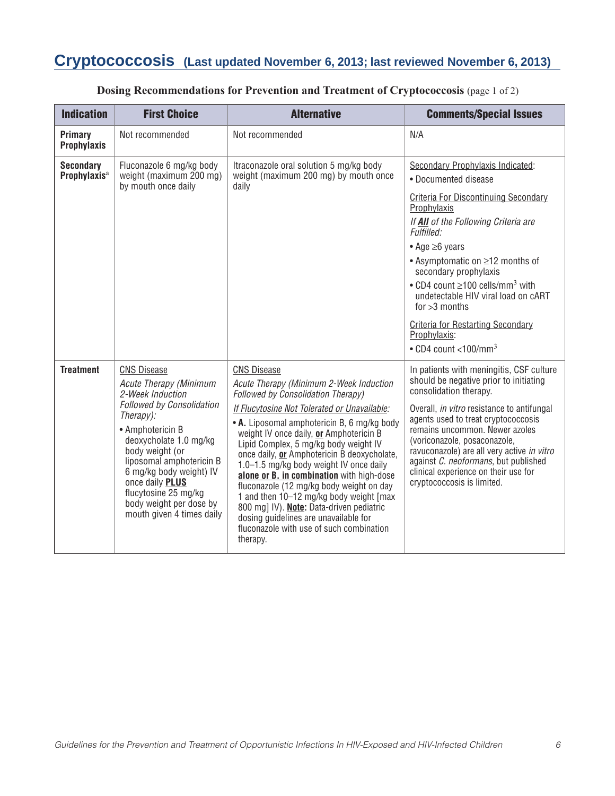# **Cryptococcosis (Last updated November 6, 2013; last reviewed November 6, 2013)**

| <b>Indication</b>                            | <b>First Choice</b>                                                                                                                                                                                                                                                                                                                                  | <b>Alternative</b>                                                                                                                                                                                                                                                                                                                                                                                                                                                                                                                                                                                                                                                       | <b>Comments/Special Issues</b>                                                                                                                                                                                                                                                                                                                                                                                                                                                                              |
|----------------------------------------------|------------------------------------------------------------------------------------------------------------------------------------------------------------------------------------------------------------------------------------------------------------------------------------------------------------------------------------------------------|--------------------------------------------------------------------------------------------------------------------------------------------------------------------------------------------------------------------------------------------------------------------------------------------------------------------------------------------------------------------------------------------------------------------------------------------------------------------------------------------------------------------------------------------------------------------------------------------------------------------------------------------------------------------------|-------------------------------------------------------------------------------------------------------------------------------------------------------------------------------------------------------------------------------------------------------------------------------------------------------------------------------------------------------------------------------------------------------------------------------------------------------------------------------------------------------------|
| Primary<br><b>Prophylaxis</b>                | Not recommended                                                                                                                                                                                                                                                                                                                                      | Not recommended                                                                                                                                                                                                                                                                                                                                                                                                                                                                                                                                                                                                                                                          | N/A                                                                                                                                                                                                                                                                                                                                                                                                                                                                                                         |
| <b>Secondary</b><br>Prophylaxis <sup>a</sup> | Fluconazole 6 mg/kg body<br>weight (maximum 200 mg)<br>by mouth once daily                                                                                                                                                                                                                                                                           | Itraconazole oral solution 5 mg/kg body<br>weight (maximum 200 mg) by mouth once<br>daily                                                                                                                                                                                                                                                                                                                                                                                                                                                                                                                                                                                | Secondary Prophylaxis Indicated:<br>• Documented disease<br><b>Criteria For Discontinuing Secondary</b><br>Prophylaxis<br>If All of the Following Criteria are<br>Fulfilled:<br>$\bullet$ Age $\geq$ 6 years<br>$\bullet$ Asymptomatic on $\geq$ 12 months of<br>secondary prophylaxis<br>• CD4 count $\geq$ 100 cells/mm <sup>3</sup> with<br>undetectable HIV viral load on cART<br>for $>3$ months<br><b>Criteria for Restarting Secondary</b><br>Prophylaxis:<br>$\cdot$ CD4 count <100/mm <sup>3</sup> |
| <b>Treatment</b>                             | <b>CNS Disease</b><br><b>Acute Therapy (Minimum</b><br>2-Week Induction<br><b>Followed by Consolidation</b><br>$Theray$ :<br>• Amphotericin B<br>deoxycholate 1.0 mg/kg<br>body weight (or<br>liposomal amphotericin B<br>6 mg/kg body weight) IV<br>once daily PLUS<br>flucytosine 25 mg/kg<br>body weight per dose by<br>mouth given 4 times daily | <b>CNS Disease</b><br>Acute Therapy (Minimum 2-Week Induction<br><b>Followed by Consolidation Therapy)</b><br>If Flucytosine Not Tolerated or Unavailable:<br>• A. Liposomal amphotericin B, 6 mg/kg body<br>weight IV once daily, or Amphotericin B<br>Lipid Complex, 5 mg/kg body weight IV<br>once daily, or Amphotericin B deoxycholate,<br>1.0-1.5 mg/kg body weight IV once daily<br>alone or B. in combination with high-dose<br>fluconazole (12 mg/kg body weight on day<br>1 and then 10–12 mg/kg body weight [max<br>800 mg] IV). Note: Data-driven pediatric<br>dosing guidelines are unavailable for<br>fluconazole with use of such combination<br>therapy. | In patients with meningitis, CSF culture<br>should be negative prior to initiating<br>consolidation therapy.<br>Overall, in vitro resistance to antifungal<br>agents used to treat cryptococcosis<br>remains uncommon. Newer azoles<br>(voriconazole, posaconazole,<br>ravuconazole) are all very active in vitro<br>against C. neoformans, but published<br>clinical experience on their use for<br>cryptococcosis is limited.                                                                             |

### **Dosing Recommendations for Prevention and Treatment of Cryptococcosis** (page 1 of 2)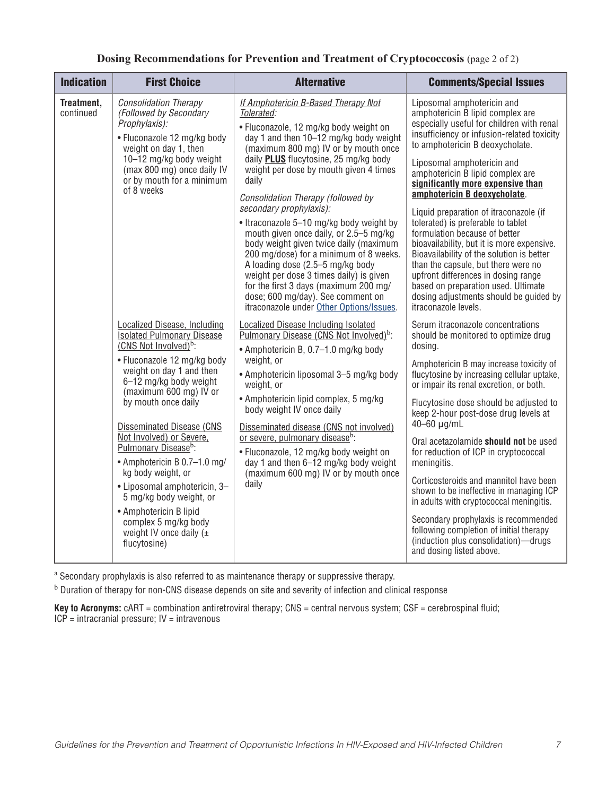|  | Dosing Recommendations for Prevention and Treatment of Cryptococcosis (page 2 of 2) |  |  |  |  |
|--|-------------------------------------------------------------------------------------|--|--|--|--|
|--|-------------------------------------------------------------------------------------|--|--|--|--|

| <b>Indication</b>       | <b>First Choice</b>                                                                                                                                                                                                                                                                                                                                                                                                                                                                                                         | <b>Alternative</b>                                                                                                                                                                                                                                                                                                                                                                                                                                                                                                                                                                                                                                                                                                                                                           | <b>Comments/Special Issues</b>                                                                                                                                                                                                                                                                                                                                                                                                                                                                                                                                                                                                                                                                                                                                              |
|-------------------------|-----------------------------------------------------------------------------------------------------------------------------------------------------------------------------------------------------------------------------------------------------------------------------------------------------------------------------------------------------------------------------------------------------------------------------------------------------------------------------------------------------------------------------|------------------------------------------------------------------------------------------------------------------------------------------------------------------------------------------------------------------------------------------------------------------------------------------------------------------------------------------------------------------------------------------------------------------------------------------------------------------------------------------------------------------------------------------------------------------------------------------------------------------------------------------------------------------------------------------------------------------------------------------------------------------------------|-----------------------------------------------------------------------------------------------------------------------------------------------------------------------------------------------------------------------------------------------------------------------------------------------------------------------------------------------------------------------------------------------------------------------------------------------------------------------------------------------------------------------------------------------------------------------------------------------------------------------------------------------------------------------------------------------------------------------------------------------------------------------------|
| Treatment,<br>continued | <b>Consolidation Therapy</b><br>(Followed by Secondary<br>Prophylaxis):<br>• Fluconazole 12 mg/kg body<br>weight on day 1, then<br>10-12 mg/kg body weight<br>(max 800 mg) once daily IV<br>or by mouth for a minimum<br>of 8 weeks<br>Localized Disease, Including                                                                                                                                                                                                                                                         | If Amphotericin B-Based Therapy Not<br>Tolerated:<br>· Fluconazole, 12 mg/kg body weight on<br>day 1 and then 10-12 mg/kg body weight<br>(maximum 800 mg) IV or by mouth once<br>daily <b>PLUS</b> flucytosine, 25 mg/kg body<br>weight per dose by mouth given 4 times<br>daily<br>Consolidation Therapy (followed by<br>secondary prophylaxis):<br>• Itraconazole 5-10 mg/kg body weight by<br>mouth given once daily, or 2.5–5 mg/kg<br>body weight given twice daily (maximum<br>200 mg/dose) for a minimum of 8 weeks.<br>A loading dose (2.5–5 mg/kg body<br>weight per dose 3 times daily) is given<br>for the first 3 days (maximum 200 mg/<br>dose; 600 mg/day). See comment on<br>itraconazole under Other Options/Issues.<br>Localized Disease Including Isolated | Liposomal amphotericin and<br>amphotericin B lipid complex are<br>especially useful for children with renal<br>insufficiency or infusion-related toxicity<br>to amphotericin B deoxycholate.<br>Liposomal amphotericin and<br>amphotericin B lipid complex are<br>significantly more expensive than<br>amphotericin B deoxycholate.<br>Liquid preparation of itraconazole (if<br>tolerated) is preferable to tablet<br>formulation because of better<br>bioavailability, but it is more expensive.<br>Bioavailability of the solution is better<br>than the capsule, but there were no<br>upfront differences in dosing range<br>based on preparation used. Ultimate<br>dosing adjustments should be guided by<br>itraconazole levels.<br>Serum itraconazole concentrations |
|                         | <b>Isolated Pulmonary Disease</b><br>(CNS Not Involved) $^b$ :<br>• Fluconazole 12 mg/kg body<br>weight on day 1 and then<br>6-12 mg/kg body weight<br>(maximum 600 mg) IV or<br>by mouth once daily<br><b>Disseminated Disease (CNS)</b><br>Not Involved) or Severe,<br>Pulmonary Disease <sup>b</sup> :<br>• Amphotericin B 0.7-1.0 mg/<br>kg body weight, or<br>• Liposomal amphotericin, 3-<br>5 mg/kg body weight, or<br>• Amphotericin B lipid<br>complex 5 mg/kg body<br>weight IV once daily $(\pm$<br>flucytosine) | Pulmonary Disease (CNS Not Involved) <sup>b</sup> :<br>• Amphotericin B, 0.7-1.0 mg/kg body<br>weight, or<br>• Amphotericin liposomal 3-5 mg/kg body<br>weight, or<br>• Amphotericin lipid complex, 5 mg/kg<br>body weight IV once daily<br>Disseminated disease (CNS not involved)<br>or severe, pulmonary disease <sup>b</sup> :<br>· Fluconazole, 12 mg/kg body weight on<br>day 1 and then 6-12 mg/kg body weight<br>(maximum 600 mg) IV or by mouth once<br>daily                                                                                                                                                                                                                                                                                                       | should be monitored to optimize drug<br>dosing.<br>Amphotericin B may increase toxicity of<br>flucytosine by increasing cellular uptake,<br>or impair its renal excretion, or both.<br>Flucytosine dose should be adjusted to<br>keep 2-hour post-dose drug levels at<br>$40-60 \mu q/mL$<br>Oral acetazolamide should not be used<br>for reduction of ICP in cryptococcal<br>meningitis.<br>Corticosteroids and mannitol have been<br>shown to be ineffective in managing ICP<br>in adults with cryptococcal meningitis.<br>Secondary prophylaxis is recommended<br>following completion of initial therapy<br>(induction plus consolidation)-drugs<br>and dosing listed above.                                                                                            |

<sup>a</sup> Secondary prophylaxis is also referred to as maintenance therapy or suppressive therapy.

 $<sup>b</sup>$  Duration of therapy for non-CNS disease depends on site and severity of infection and clinical response</sup>

**Key to Acronyms:** cART = combination antiretroviral therapy; CNS = central nervous system; CSF = cerebrospinal fluid;  $ICP =$  intracranial pressure;  $IV =$  intravenous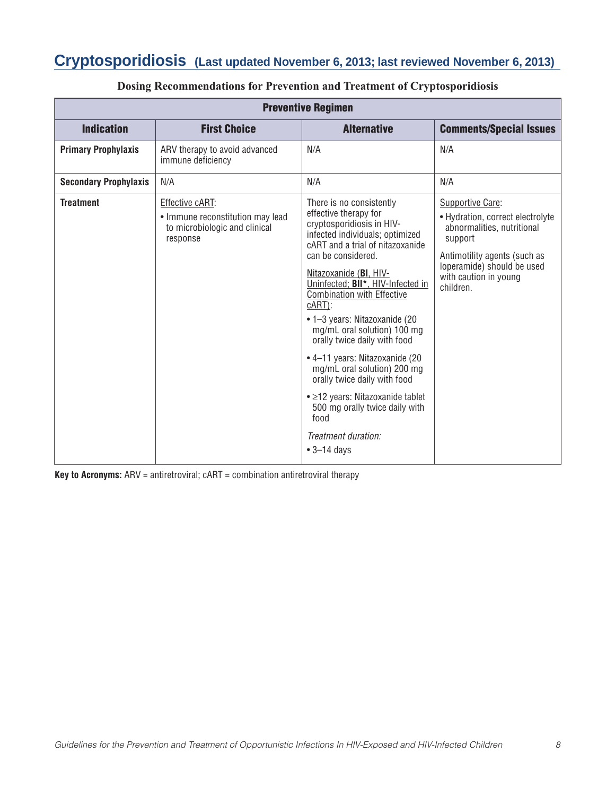# **Cryptosporidiosis (Last updated November 6, 2013; last reviewed November 6, 2013)**

| <b>Preventive Regimen</b>    |                                                                                                  |                                                                                                                                                                                                                                                                                                                                                                                                                                                                                                                                                                                                                          |                                                                                                                                                                                                   |  |  |
|------------------------------|--------------------------------------------------------------------------------------------------|--------------------------------------------------------------------------------------------------------------------------------------------------------------------------------------------------------------------------------------------------------------------------------------------------------------------------------------------------------------------------------------------------------------------------------------------------------------------------------------------------------------------------------------------------------------------------------------------------------------------------|---------------------------------------------------------------------------------------------------------------------------------------------------------------------------------------------------|--|--|
| <b>Indication</b>            | <b>First Choice</b>                                                                              | <b>Alternative</b>                                                                                                                                                                                                                                                                                                                                                                                                                                                                                                                                                                                                       | <b>Comments/Special Issues</b>                                                                                                                                                                    |  |  |
| <b>Primary Prophylaxis</b>   | ARV therapy to avoid advanced<br>immune deficiency                                               | N/A                                                                                                                                                                                                                                                                                                                                                                                                                                                                                                                                                                                                                      | N/A                                                                                                                                                                                               |  |  |
| <b>Secondary Prophylaxis</b> | N/A                                                                                              | N/A                                                                                                                                                                                                                                                                                                                                                                                                                                                                                                                                                                                                                      | N/A                                                                                                                                                                                               |  |  |
| <b>Treatment</b>             | Effective cART:<br>• Immune reconstitution may lead<br>to microbiologic and clinical<br>response | There is no consistently<br>effective therapy for<br>cryptosporidiosis in HIV-<br>infected individuals; optimized<br>cART and a trial of nitazoxanide<br>can be considered.<br>Nitazoxanide (BI, HIV-<br>Uninfected; BII*, HIV-Infected in<br><b>Combination with Effective</b><br>$cART$ :<br>• 1-3 years: Nitazoxanide (20<br>mg/mL oral solution) 100 mg<br>orally twice daily with food<br>• 4-11 years: Nitazoxanide (20<br>mg/mL oral solution) 200 mg<br>orally twice daily with food<br>• ≥12 years: Nitazoxanide tablet<br>500 mg orally twice daily with<br>food<br>Treatment duration:<br>$\bullet$ 3-14 days | Supportive Care:<br>• Hydration, correct electrolyte<br>abnormalities, nutritional<br>support<br>Antimotility agents (such as<br>loperamide) should be used<br>with caution in young<br>children. |  |  |

### **Dosing Recommendations for Prevention and Treatment of Cryptosporidiosis**

**Key to Acronyms:** ARV = antiretroviral; cART = combination antiretroviral therapy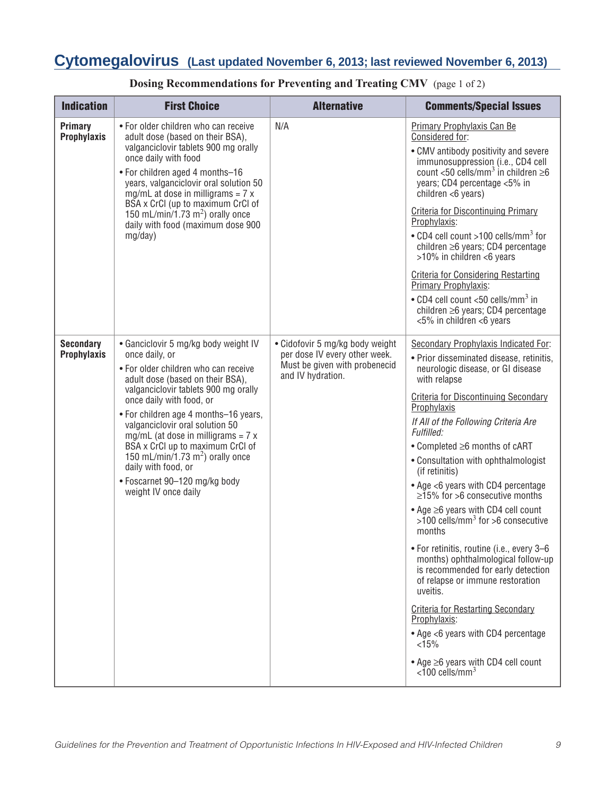# **Cytomegalovirus (Last updated November 6, 2013; last reviewed November 6, 2013)**

| <b>Indication</b>                      | <b>First Choice</b>                                                                                                                                                                                                                                                                                                                                                                                                                                                                            | <b>Alternative</b>                                                                                                     | <b>Comments/Special Issues</b>                                                                                                                                                                                                                                                                                                                                                                                                                                                                                                                                                                                                                                                                                                                                                                                                                                                                                                  |
|----------------------------------------|------------------------------------------------------------------------------------------------------------------------------------------------------------------------------------------------------------------------------------------------------------------------------------------------------------------------------------------------------------------------------------------------------------------------------------------------------------------------------------------------|------------------------------------------------------------------------------------------------------------------------|---------------------------------------------------------------------------------------------------------------------------------------------------------------------------------------------------------------------------------------------------------------------------------------------------------------------------------------------------------------------------------------------------------------------------------------------------------------------------------------------------------------------------------------------------------------------------------------------------------------------------------------------------------------------------------------------------------------------------------------------------------------------------------------------------------------------------------------------------------------------------------------------------------------------------------|
| <b>Primary</b><br><b>Prophylaxis</b>   | • For older children who can receive<br>adult dose (based on their BSA),<br>valganciclovir tablets 900 mg orally<br>once daily with food<br>• For children aged 4 months-16<br>years, valganciclovir oral solution 50<br>mg/mL at dose in milligrams = $7 x$<br>BSA x CrCl (up to maximum CrCl of<br>150 mL/min/1.73 m <sup>2</sup> ) orally once<br>daily with food (maximum dose 900<br>mg/day)                                                                                              | N/A                                                                                                                    | <b>Primary Prophylaxis Can Be</b><br>Considered for:<br>• CMV antibody positivity and severe<br>immunosuppression (i.e., CD4 cell<br>count <50 cells/mm <sup>3</sup> in children $\geq 6$<br>years; CD4 percentage <5% in<br>children $<$ 6 years)<br><b>Criteria for Discontinuing Primary</b><br>Prophylaxis:<br>• CD4 cell count >100 cells/mm <sup>3</sup> for<br>children $\geq 6$ years; CD4 percentage<br>>10% in children <6 years<br><b>Criteria for Considering Restarting</b><br>Primary Prophylaxis:<br>• CD4 cell count <50 cells/mm <sup>3</sup> in<br>children $\geq 6$ years; CD4 percentage<br><5% in children <6 years                                                                                                                                                                                                                                                                                        |
| <b>Secondary</b><br><b>Prophylaxis</b> | • Ganciclovir 5 mg/kg body weight IV<br>once daily, or<br>• For older children who can receive<br>adult dose (based on their BSA),<br>valganciclovir tablets 900 mg orally<br>once daily with food, or<br>• For children age 4 months-16 years,<br>valganciclovir oral solution 50<br>mg/mL (at dose in milligrams = $7 x$<br>BSA x CrCl up to maximum CrCl of<br>150 mL/min/1.73 m <sup>2</sup> ) orally once<br>daily with food, or<br>• Foscarnet 90-120 mg/kg body<br>weight IV once daily | • Cidofovir 5 mg/kg body weight<br>per dose IV every other week.<br>Must be given with probenecid<br>and IV hydration. | Secondary Prophylaxis Indicated For:<br>· Prior disseminated disease, retinitis,<br>neurologic disease, or GI disease<br>with relapse<br><b>Criteria for Discontinuing Secondary</b><br>Prophylaxis<br>If All of the Following Criteria Are<br>Fulfilled:<br>• Completed ≥6 months of cART<br>• Consultation with ophthalmologist<br>(if retinitis)<br>• Age <6 years with CD4 percentage<br>$\geq$ 15% for $>6$ consecutive months<br>$\bullet$ Age $\geq$ 6 years with CD4 cell count<br>$>100$ cells/mm <sup>3</sup> for $>6$ consecutive<br>months<br>. For retinitis, routine (i.e., every 3-6<br>months) ophthalmological follow-up<br>is recommended for early detection<br>of relapse or immune restoration<br>uveitis.<br><b>Criteria for Restarting Secondary</b><br>Prophylaxis:<br>• Age <6 years with CD4 percentage<br>< 15%<br>$\bullet$ Age $\geq$ 6 years with CD4 cell count<br>$< 100$ cells/mm <sup>3</sup> |

### **Dosing Recommendations for Preventing and Treating CMV** (page 1 of 2)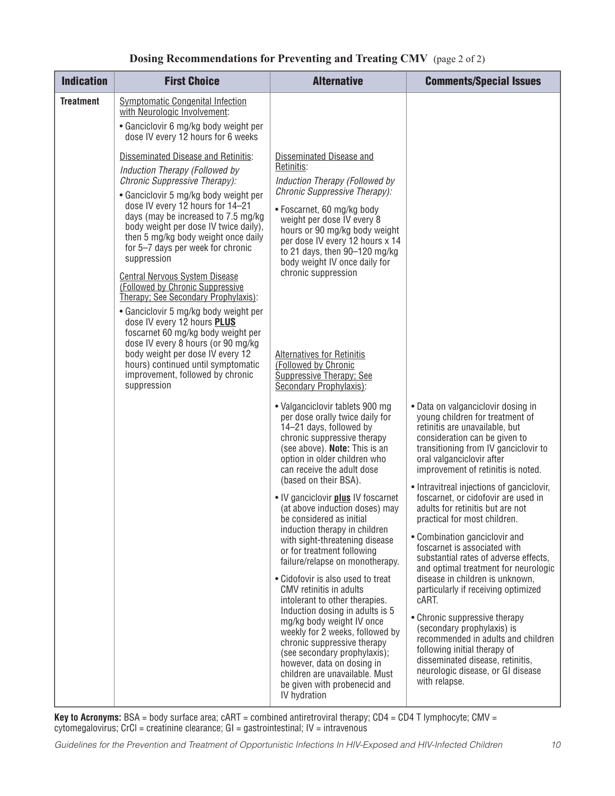### **Dosing Recommendations for Preventing and Treating CMV** (page 2 of 2)

| <b>Indication</b> | <b>First Choice</b>                                                                                                                                                                                                                                                                                                                                                                                                                                                                                                                                                                                                                                                                                                                                                                                                                                                                                                                   | <b>Alternative</b>                                                                                                                                                                                                                                                                                                                                                                                                                                                                                                                                                                                                                                                                                                                               | <b>Comments/Special Issues</b>                                                                                                                                                                                                                                                                                                                                                                                                                                                                                                                                                                                                                                                                                                      |
|-------------------|---------------------------------------------------------------------------------------------------------------------------------------------------------------------------------------------------------------------------------------------------------------------------------------------------------------------------------------------------------------------------------------------------------------------------------------------------------------------------------------------------------------------------------------------------------------------------------------------------------------------------------------------------------------------------------------------------------------------------------------------------------------------------------------------------------------------------------------------------------------------------------------------------------------------------------------|--------------------------------------------------------------------------------------------------------------------------------------------------------------------------------------------------------------------------------------------------------------------------------------------------------------------------------------------------------------------------------------------------------------------------------------------------------------------------------------------------------------------------------------------------------------------------------------------------------------------------------------------------------------------------------------------------------------------------------------------------|-------------------------------------------------------------------------------------------------------------------------------------------------------------------------------------------------------------------------------------------------------------------------------------------------------------------------------------------------------------------------------------------------------------------------------------------------------------------------------------------------------------------------------------------------------------------------------------------------------------------------------------------------------------------------------------------------------------------------------------|
| <b>Treatment</b>  | <b>Symptomatic Congenital Infection</b><br>with Neurologic Involvement:<br>• Ganciclovir 6 mg/kg body weight per<br>dose IV every 12 hours for 6 weeks<br>Disseminated Disease and Retinitis:<br>Induction Therapy (Followed by<br>Chronic Suppressive Therapy):<br>• Ganciclovir 5 mg/kg body weight per<br>dose IV every 12 hours for 14-21<br>days (may be increased to 7.5 mg/kg<br>body weight per dose IV twice daily),<br>then 5 mg/kg body weight once daily<br>for 5-7 days per week for chronic<br>suppression<br><b>Central Nervous System Disease</b><br>(Followed by Chronic Suppressive<br>Therapy: See Secondary Prophylaxis):<br>• Ganciclovir 5 mg/kg body weight per<br>dose IV every 12 hours <b>PLUS</b><br>foscarnet 60 mg/kg body weight per<br>dose IV every 8 hours (or 90 mg/kg<br>body weight per dose IV every 12<br>hours) continued until symptomatic<br>improvement, followed by chronic<br>suppression | Disseminated Disease and<br>Retinitis:<br>Induction Therapy (Followed by<br>Chronic Suppressive Therapy):<br>• Foscarnet, 60 mg/kg body<br>weight per dose IV every 8<br>hours or 90 mg/kg body weight<br>per dose IV every 12 hours x 14<br>to 21 days, then 90-120 mg/kg<br>body weight IV once daily for<br>chronic suppression<br><b>Alternatives for Retinitis</b><br>(Followed by Chronic<br><b>Suppressive Therapy; See</b><br>Secondary Prophylaxis):<br>• Valganciclovir tablets 900 mg<br>per dose orally twice daily for                                                                                                                                                                                                              | • Data on valganciclovir dosing in<br>young children for treatment of                                                                                                                                                                                                                                                                                                                                                                                                                                                                                                                                                                                                                                                               |
|                   |                                                                                                                                                                                                                                                                                                                                                                                                                                                                                                                                                                                                                                                                                                                                                                                                                                                                                                                                       | (see above). Note: This is an<br>option in older children who<br>can receive the adult dose<br>(based on their BSA).<br>• IV ganciclovir plus IV foscarnet<br>(at above induction doses) may<br>be considered as initial<br>induction therapy in children<br>with sight-threatening disease<br>or for treatment following<br>failure/relapse on monotherapy.<br>• Cidofovir is also used to treat<br>CMV retinitis in adults<br>intolerant to other therapies.<br>Induction dosing in adults is 5<br>mg/kg body weight IV once<br>weekly for 2 weeks, followed by<br>chronic suppressive therapy<br>(see secondary prophylaxis);<br>however, data on dosing in<br>children are unavailable. Must<br>be given with probenecid and<br>IV hydration | transitioning from IV ganciclovir to<br>oral valganciclovir after<br>improvement of retinitis is noted.<br>• Intravitreal injections of ganciclovir,<br>foscarnet, or cidofovir are used in<br>adults for retinitis but are not<br>practical for most children.<br>• Combination ganciclovir and<br>foscarnet is associated with<br>substantial rates of adverse effects,<br>and optimal treatment for neurologic<br>disease in children is unknown,<br>particularly if receiving optimized<br>cART.<br>• Chronic suppressive therapy<br>(secondary prophylaxis) is<br>recommended in adults and children<br>following initial therapy of<br>disseminated disease, retinitis,<br>neurologic disease, or GI disease<br>with relapse. |

**Key to Acronyms:** BSA = body surface area; cART = combined antiretroviral therapy; CD4 = CD4 T lymphocyte; CMV = cytomegalovirus; CrCl = creatinine clearance; GI = gastrointestinal; IV = intravenous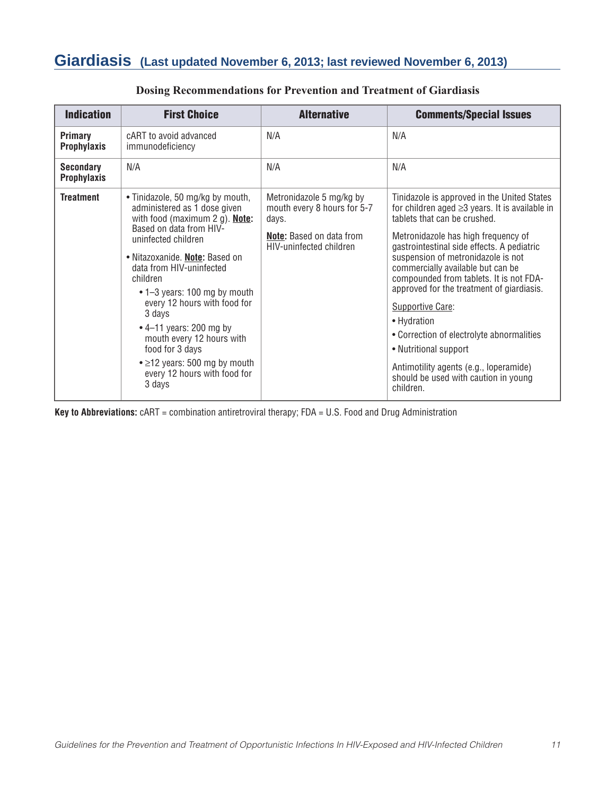### **Giardiasis (Last updated November 6, 2013; last reviewed November 6, 2013)**

| <b>Indication</b>                      | <b>First Choice</b>                                                                                                                                                                                                                                                                                                                                                                                                                                                               | <b>Alternative</b>                                                                                                             | <b>Comments/Special Issues</b>                                                                                                                                                                                                                                                                                                                                                                                                                                                                                                                                                                      |
|----------------------------------------|-----------------------------------------------------------------------------------------------------------------------------------------------------------------------------------------------------------------------------------------------------------------------------------------------------------------------------------------------------------------------------------------------------------------------------------------------------------------------------------|--------------------------------------------------------------------------------------------------------------------------------|-----------------------------------------------------------------------------------------------------------------------------------------------------------------------------------------------------------------------------------------------------------------------------------------------------------------------------------------------------------------------------------------------------------------------------------------------------------------------------------------------------------------------------------------------------------------------------------------------------|
| Primary<br><b>Prophylaxis</b>          | cART to avoid advanced<br>immunodeficiency                                                                                                                                                                                                                                                                                                                                                                                                                                        | N/A                                                                                                                            | N/A                                                                                                                                                                                                                                                                                                                                                                                                                                                                                                                                                                                                 |
| <b>Secondary</b><br><b>Prophylaxis</b> | N/A                                                                                                                                                                                                                                                                                                                                                                                                                                                                               | N/A                                                                                                                            | N/A                                                                                                                                                                                                                                                                                                                                                                                                                                                                                                                                                                                                 |
| <b>Treatment</b>                       | • Tinidazole, 50 mg/kg by mouth,<br>administered as 1 dose given<br>with food (maximum 2 g). Note:<br>Based on data from HIV-<br>uninfected children<br>· Nitazoxanide. Note: Based on<br>data from HIV-uninfected<br>children<br>• 1-3 years: 100 mg by mouth<br>every 12 hours with food for<br>3 days<br>$\cdot$ 4–11 years: 200 mg by<br>mouth every 12 hours with<br>food for 3 days<br>$\bullet$ $\geq$ 12 years: 500 mg by mouth<br>every 12 hours with food for<br>3 days | Metronidazole 5 mg/kg by<br>mouth every 8 hours for 5-7<br>days.<br><b>Note:</b> Based on data from<br>HIV-uninfected children | Tinidazole is approved in the United States<br>for children aged $\geq$ 3 years. It is available in<br>tablets that can be crushed.<br>Metronidazole has high frequency of<br>gastrointestinal side effects. A pediatric<br>suspension of metronidazole is not<br>commercially available but can be<br>compounded from tablets. It is not FDA-<br>approved for the treatment of giardiasis.<br>Supportive Care:<br>• Hydration<br>• Correction of electrolyte abnormalities<br>• Nutritional support<br>Antimotility agents (e.g., loperamide)<br>should be used with caution in young<br>children. |

### **Dosing Recommendations for Prevention and Treatment of Giardiasis**

**Key to Abbreviations:** cART = combination antiretroviral therapy; FDA = U.S. Food and Drug Administration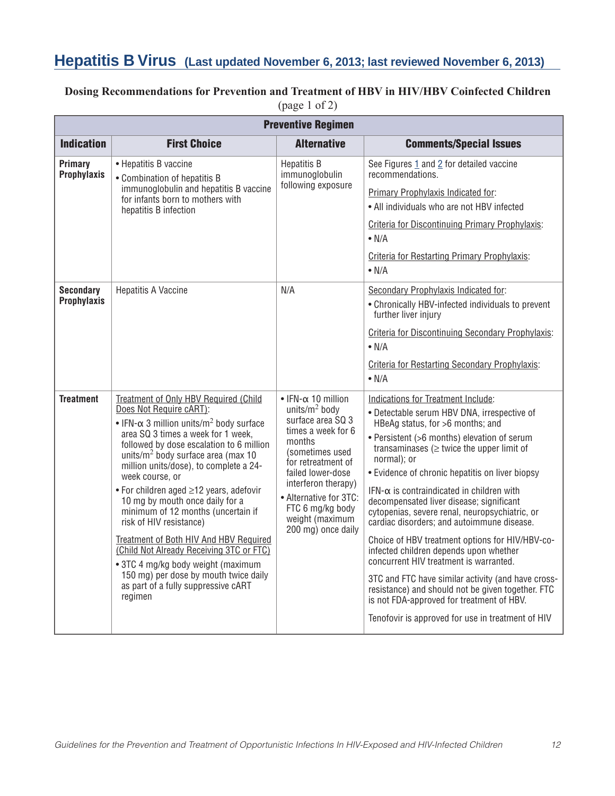### **Hepatitis B Virus (Last updated November 6, 2013; last reviewed November 6, 2013)**

### **Dosing Recommendations for Prevention and Treatment of HBV in HIV/HBV Coinfected Children** (page 1 of 2)

|                                        | <b>Preventive Regimen</b>                                                                                                                                                                                                                                                                                                                                                                                                                                                                                                                                                                                                                                                                      |                                                                                                                                                                                                                                                                                          |                                                                                                                                                                                                                                                                                                                                                                                                                                                                                                                                                                                                                                                                                                                                                                                                                                               |  |  |
|----------------------------------------|------------------------------------------------------------------------------------------------------------------------------------------------------------------------------------------------------------------------------------------------------------------------------------------------------------------------------------------------------------------------------------------------------------------------------------------------------------------------------------------------------------------------------------------------------------------------------------------------------------------------------------------------------------------------------------------------|------------------------------------------------------------------------------------------------------------------------------------------------------------------------------------------------------------------------------------------------------------------------------------------|-----------------------------------------------------------------------------------------------------------------------------------------------------------------------------------------------------------------------------------------------------------------------------------------------------------------------------------------------------------------------------------------------------------------------------------------------------------------------------------------------------------------------------------------------------------------------------------------------------------------------------------------------------------------------------------------------------------------------------------------------------------------------------------------------------------------------------------------------|--|--|
| <b>Indication</b>                      | <b>First Choice</b>                                                                                                                                                                                                                                                                                                                                                                                                                                                                                                                                                                                                                                                                            | <b>Alternative</b>                                                                                                                                                                                                                                                                       | <b>Comments/Special Issues</b>                                                                                                                                                                                                                                                                                                                                                                                                                                                                                                                                                                                                                                                                                                                                                                                                                |  |  |
| Primary<br><b>Prophylaxis</b>          | • Hepatitis B vaccine<br>• Combination of hepatitis B<br>immunoglobulin and hepatitis B vaccine<br>for infants born to mothers with<br>hepatitis B infection                                                                                                                                                                                                                                                                                                                                                                                                                                                                                                                                   | Hepatitis B<br>immunoglobulin<br>following exposure                                                                                                                                                                                                                                      | See Figures 1 and 2 for detailed vaccine<br>recommendations.<br>Primary Prophylaxis Indicated for:<br>• All individuals who are not HBV infected<br>Criteria for Discontinuing Primary Prophylaxis:<br>$\bullet$ N/A<br><b>Criteria for Restarting Primary Prophylaxis:</b><br>$\bullet$ N/A                                                                                                                                                                                                                                                                                                                                                                                                                                                                                                                                                  |  |  |
| <b>Secondary</b><br><b>Prophylaxis</b> | <b>Hepatitis A Vaccine</b>                                                                                                                                                                                                                                                                                                                                                                                                                                                                                                                                                                                                                                                                     | N/A                                                                                                                                                                                                                                                                                      | Secondary Prophylaxis Indicated for:<br>• Chronically HBV-infected individuals to prevent<br>further liver injury<br><b>Criteria for Discontinuing Secondary Prophylaxis:</b><br>$\bullet$ N/A<br><b>Criteria for Restarting Secondary Prophylaxis:</b><br>$\bullet$ N/A                                                                                                                                                                                                                                                                                                                                                                                                                                                                                                                                                                      |  |  |
| <b>Treatment</b>                       | Treatment of Only HBV Required (Child<br>Does Not Require cART):<br>• IFN- $\alpha$ 3 million units/m <sup>2</sup> body surface<br>area SQ 3 times a week for 1 week,<br>followed by dose escalation to 6 million<br>units/ $m^2$ body surface area (max 10<br>million units/dose), to complete a 24-<br>week course, or<br>• For children aged ≥12 years, adefovir<br>10 mg by mouth once daily for a<br>minimum of 12 months (uncertain if<br>risk of HIV resistance)<br>Treatment of Both HIV And HBV Required<br>(Child Not Already Receiving 3TC or FTC)<br>• 3TC 4 mg/kg body weight (maximum<br>150 mg) per dose by mouth twice daily<br>as part of a fully suppressive cART<br>regimen | $\bullet$ IFN- $\alpha$ 10 million<br>units/ $m^2$ body<br>surface area SQ 3<br>times a week for 6<br>months<br>(sometimes used<br>for retreatment of<br>failed lower-dose<br>interferon therapy)<br>• Alternative for 3TC:<br>FTC 6 mg/kg body<br>weight (maximum<br>200 mg) once daily | Indications for Treatment Include:<br>· Detectable serum HBV DNA, irrespective of<br>HBeAg status, for >6 months; and<br>• Persistent (>6 months) elevation of serum<br>transaminases ( $\geq$ twice the upper limit of<br>normal); or<br>• Evidence of chronic hepatitis on liver biopsy<br>$IFN-\alpha$ is contraindicated in children with<br>decompensated liver disease; significant<br>cytopenias, severe renal, neuropsychiatric, or<br>cardiac disorders; and autoimmune disease.<br>Choice of HBV treatment options for HIV/HBV-co-<br>infected children depends upon whether<br>concurrent HIV treatment is warranted.<br>3TC and FTC have similar activity (and have cross-<br>resistance) and should not be given together. FTC<br>is not FDA-approved for treatment of HBV.<br>Tenofovir is approved for use in treatment of HIV |  |  |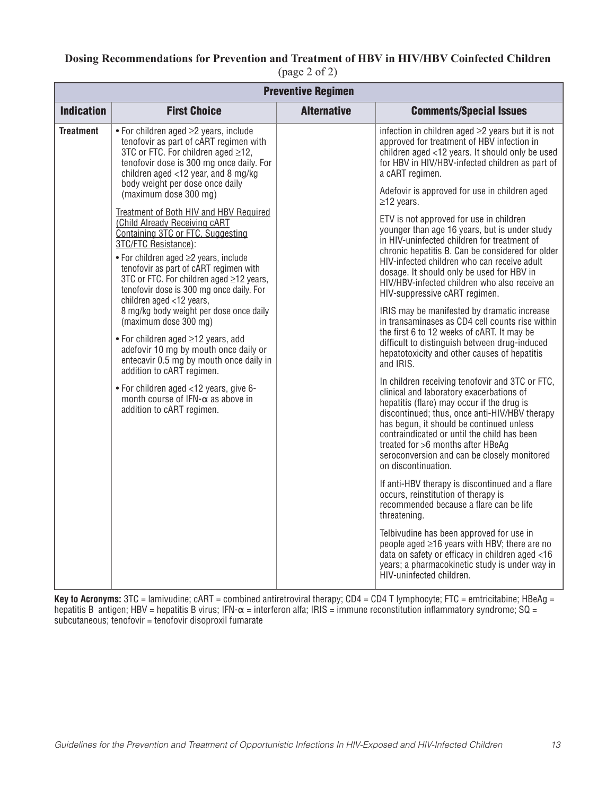### **Dosing Recommendations for Prevention and Treatment of HBV in HIV/HBV Coinfected Children** (page 2 of 2)

| <b>Preventive Regimen</b> |                                                                                                                                                                                                                                                                                                                                                                                                                                                                                                                                                                                                                                                                                                                                                                                                                                                                                                                                                                                  |                    |                                                                                                                                                                                                                                                                                                                                                                                                                                                                                                                                                                                                                                                                                                                                                                                                                                                                                                                                                                                                                                                                                                                                                                                                                                                                                                                                                                                                                                                                                                                                                                                                                                                                                                                                          |  |  |
|---------------------------|----------------------------------------------------------------------------------------------------------------------------------------------------------------------------------------------------------------------------------------------------------------------------------------------------------------------------------------------------------------------------------------------------------------------------------------------------------------------------------------------------------------------------------------------------------------------------------------------------------------------------------------------------------------------------------------------------------------------------------------------------------------------------------------------------------------------------------------------------------------------------------------------------------------------------------------------------------------------------------|--------------------|------------------------------------------------------------------------------------------------------------------------------------------------------------------------------------------------------------------------------------------------------------------------------------------------------------------------------------------------------------------------------------------------------------------------------------------------------------------------------------------------------------------------------------------------------------------------------------------------------------------------------------------------------------------------------------------------------------------------------------------------------------------------------------------------------------------------------------------------------------------------------------------------------------------------------------------------------------------------------------------------------------------------------------------------------------------------------------------------------------------------------------------------------------------------------------------------------------------------------------------------------------------------------------------------------------------------------------------------------------------------------------------------------------------------------------------------------------------------------------------------------------------------------------------------------------------------------------------------------------------------------------------------------------------------------------------------------------------------------------------|--|--|
| <b>Indication</b>         | <b>First Choice</b>                                                                                                                                                                                                                                                                                                                                                                                                                                                                                                                                                                                                                                                                                                                                                                                                                                                                                                                                                              | <b>Alternative</b> | <b>Comments/Special Issues</b>                                                                                                                                                                                                                                                                                                                                                                                                                                                                                                                                                                                                                                                                                                                                                                                                                                                                                                                                                                                                                                                                                                                                                                                                                                                                                                                                                                                                                                                                                                                                                                                                                                                                                                           |  |  |
| <b>Treatment</b>          | $\bullet$ For children aged $\geq$ 2 years, include<br>tenofovir as part of cART regimen with<br>3TC or FTC. For children aged ≥12,<br>tenofovir dose is 300 mg once daily. For<br>children aged <12 year, and 8 mg/kg<br>body weight per dose once daily<br>(maximum dose 300 mg)<br>Treatment of Both HIV and HBV Required<br>(Child Already Receiving cART<br>Containing 3TC or FTC, Suggesting<br>3TC/FTC Resistance):<br>• For children aged ≥2 years, include<br>tenofovir as part of cART regimen with<br>3TC or FTC. For children aged ≥12 years,<br>tenofovir dose is 300 mg once daily. For<br>children aged <12 years,<br>8 mg/kg body weight per dose once daily<br>(maximum dose 300 mg)<br>• For children aged ≥12 years, add<br>adefovir 10 mg by mouth once daily or<br>entecavir 0.5 mg by mouth once daily in<br>addition to cART regimen.<br>• For children aged <12 years, give 6-<br>month course of IFN- $\alpha$ as above in<br>addition to cART regimen. |                    | infection in children aged $\geq$ years but it is not<br>approved for treatment of HBV infection in<br>children aged <12 years. It should only be used<br>for HBV in HIV/HBV-infected children as part of<br>a cART regimen.<br>Adefovir is approved for use in children aged<br>$\geq$ 12 years.<br>ETV is not approved for use in children<br>younger than age 16 years, but is under study<br>in HIV-uninfected children for treatment of<br>chronic hepatitis B. Can be considered for older<br>HIV-infected children who can receive adult<br>dosage. It should only be used for HBV in<br>HIV/HBV-infected children who also receive an<br>HIV-suppressive cART regimen.<br>IRIS may be manifested by dramatic increase<br>in transaminases as CD4 cell counts rise within<br>the first 6 to 12 weeks of cART. It may be<br>difficult to distinguish between drug-induced<br>hepatotoxicity and other causes of hepatitis<br>and IRIS.<br>In children receiving tenofovir and 3TC or FTC,<br>clinical and laboratory exacerbations of<br>hepatitis (flare) may occur if the drug is<br>discontinued; thus, once anti-HIV/HBV therapy<br>has begun, it should be continued unless<br>contraindicated or until the child has been<br>treated for >6 months after HBeAg<br>seroconversion and can be closely monitored<br>on discontinuation.<br>If anti-HBV therapy is discontinued and a flare<br>occurs, reinstitution of therapy is<br>recommended because a flare can be life<br>threatening.<br>Telbivudine has been approved for use in<br>people aged $\geq$ 16 years with HBV; there are no<br>data on safety or efficacy in children aged <16<br>years; a pharmacokinetic study is under way in<br>HIV-uninfected children. |  |  |

**Key to Acronyms:** 3TC = lamivudine; cART = combined antiretroviral therapy; CD4 = CD4 T lymphocyte; FTC = emtricitabine; HBeAg = hepatitis B antigen; HBV = hepatitis B virus; IFN- $\alpha$  = interferon alfa; IRIS = immune reconstitution inflammatory syndrome; SQ = subcutaneous; tenofovir = tenofovir disoproxil fumarate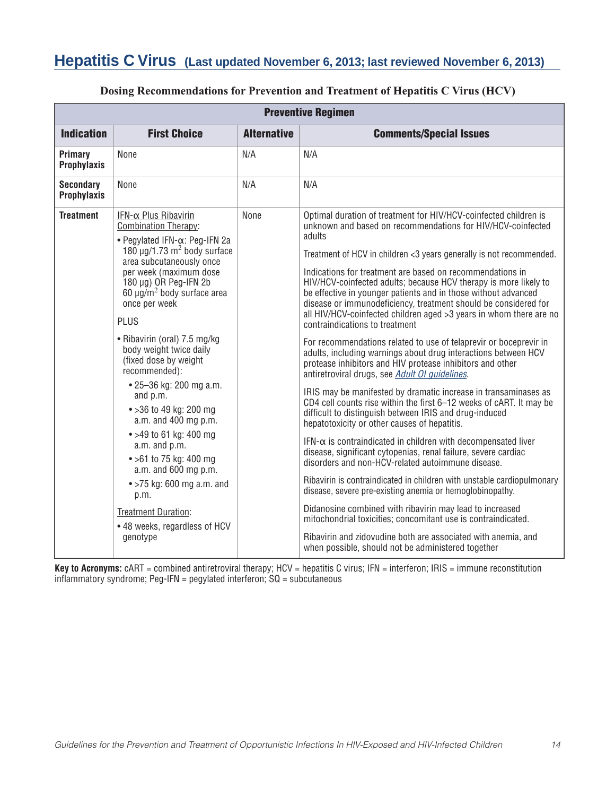## **Hepatitis C Virus (Last updated November 6, 2013; last reviewed November 6, 2013)**

|                                        | <b>Preventive Regimen</b>                                                                                                                                                                                                                                                                                                                                                                                                                                                                                                                                                                                                                                                                                                     |                    |                                                                                                                                                                                                                                                                                                                                                                                                                                                                                                                                                                                                                                                                                                                                                                                                                                                                                                                                                                                                                                                                                                                                                                                                                                                                                                                                                                                                                                                                                                                                                                                                                                                                                                   |  |
|----------------------------------------|-------------------------------------------------------------------------------------------------------------------------------------------------------------------------------------------------------------------------------------------------------------------------------------------------------------------------------------------------------------------------------------------------------------------------------------------------------------------------------------------------------------------------------------------------------------------------------------------------------------------------------------------------------------------------------------------------------------------------------|--------------------|---------------------------------------------------------------------------------------------------------------------------------------------------------------------------------------------------------------------------------------------------------------------------------------------------------------------------------------------------------------------------------------------------------------------------------------------------------------------------------------------------------------------------------------------------------------------------------------------------------------------------------------------------------------------------------------------------------------------------------------------------------------------------------------------------------------------------------------------------------------------------------------------------------------------------------------------------------------------------------------------------------------------------------------------------------------------------------------------------------------------------------------------------------------------------------------------------------------------------------------------------------------------------------------------------------------------------------------------------------------------------------------------------------------------------------------------------------------------------------------------------------------------------------------------------------------------------------------------------------------------------------------------------------------------------------------------------|--|
| <b>Indication</b>                      | <b>First Choice</b>                                                                                                                                                                                                                                                                                                                                                                                                                                                                                                                                                                                                                                                                                                           | <b>Alternative</b> | <b>Comments/Special Issues</b>                                                                                                                                                                                                                                                                                                                                                                                                                                                                                                                                                                                                                                                                                                                                                                                                                                                                                                                                                                                                                                                                                                                                                                                                                                                                                                                                                                                                                                                                                                                                                                                                                                                                    |  |
| Primary<br><b>Prophylaxis</b>          | None                                                                                                                                                                                                                                                                                                                                                                                                                                                                                                                                                                                                                                                                                                                          | N/A                | N/A                                                                                                                                                                                                                                                                                                                                                                                                                                                                                                                                                                                                                                                                                                                                                                                                                                                                                                                                                                                                                                                                                                                                                                                                                                                                                                                                                                                                                                                                                                                                                                                                                                                                                               |  |
| <b>Secondary</b><br><b>Prophylaxis</b> | None                                                                                                                                                                                                                                                                                                                                                                                                                                                                                                                                                                                                                                                                                                                          | N/A                | N/A                                                                                                                                                                                                                                                                                                                                                                                                                                                                                                                                                                                                                                                                                                                                                                                                                                                                                                                                                                                                                                                                                                                                                                                                                                                                                                                                                                                                                                                                                                                                                                                                                                                                                               |  |
| <b>Treatment</b>                       | IFN-α Plus Ribavirin<br><b>Combination Therapy:</b><br>• Pegylated IFN- $\alpha$ : Peg-IFN 2a<br>$180 \mu g/1.73 \text{ m}^2$ body surface<br>area subcutaneously once<br>per week (maximum dose<br>180 µg) OR Peg-IFN 2b<br>60 $\mu$ g/m <sup>2</sup> body surface area<br>once per week<br><b>PLUS</b><br>• Ribavirin (oral) 7.5 mg/kg<br>body weight twice daily<br>(fixed dose by weight<br>recommended):<br>• 25-36 kg: 200 mg a.m.<br>and p.m.<br>• > 36 to 49 kg: 200 mg<br>a.m. and 400 mg p.m.<br>• >49 to 61 kg: 400 mg<br>a.m. and p.m.<br>• > 61 to 75 kg: 400 mg<br>a.m. and 600 mg p.m.<br>$\bullet$ >75 kg: 600 mg a.m. and<br>p.m.<br><b>Treatment Duration:</b><br>• 48 weeks, regardless of HCV<br>genotype | None               | Optimal duration of treatment for HIV/HCV-coinfected children is<br>unknown and based on recommendations for HIV/HCV-coinfected<br>adults<br>Treatment of HCV in children <3 years generally is not recommended.<br>Indications for treatment are based on recommendations in<br>HIV/HCV-coinfected adults; because HCV therapy is more likely to<br>be effective in younger patients and in those without advanced<br>disease or immunodeficiency, treatment should be considered for<br>all HIV/HCV-coinfected children aged >3 years in whom there are no<br>contraindications to treatment<br>For recommendations related to use of telaprevir or boceprevir in<br>adults, including warnings about drug interactions between HCV<br>protease inhibitors and HIV protease inhibitors and other<br>antiretroviral drugs, see Adult OI guidelines.<br>IRIS may be manifested by dramatic increase in transaminases as<br>CD4 cell counts rise within the first 6-12 weeks of cART. It may be<br>difficult to distinguish between IRIS and drug-induced<br>hepatotoxicity or other causes of hepatitis.<br>$IFN-\alpha$ is contraindicated in children with decompensated liver<br>disease, significant cytopenias, renal failure, severe cardiac<br>disorders and non-HCV-related autoimmune disease.<br>Ribavirin is contraindicated in children with unstable cardiopulmonary<br>disease, severe pre-existing anemia or hemoglobinopathy.<br>Didanosine combined with ribavirin may lead to increased<br>mitochondrial toxicities; concomitant use is contraindicated.<br>Ribavirin and zidovudine both are associated with anemia, and<br>when possible, should not be administered together |  |

#### **Dosing Recommendations for Prevention and Treatment of Hepatitis C Virus (HCV)**

**Key to Acronyms:** cART = combined antiretroviral therapy; HCV = hepatitis C virus; IFN = interferon; IRIS = immune reconstitution inflammatory syndrome; Peg-IFN = pegylated interferon; SQ = subcutaneous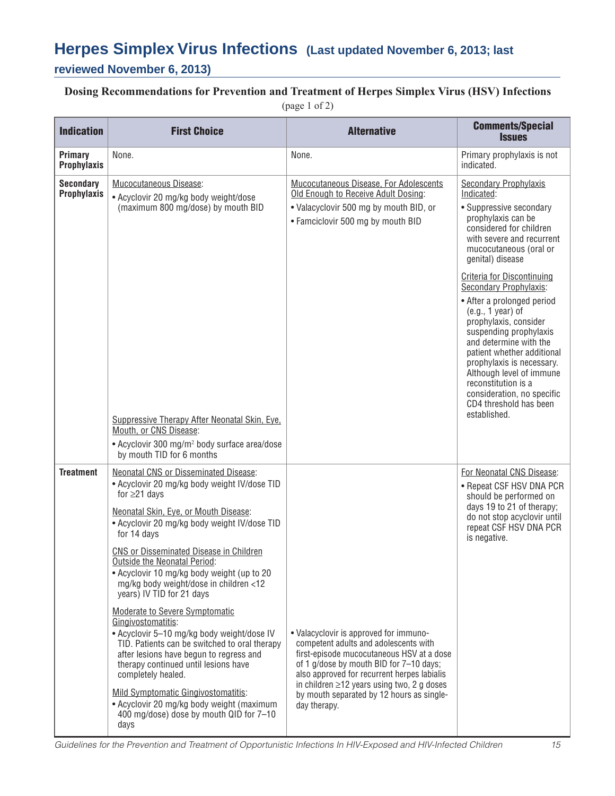# **Herpes Simplex Virus Infections (Last updated November 6, 2013; last**

### **reviewed November 6, 2013)**

# **Dosing Recommendations for Prevention and Treatment of Herpes Simplex Virus (HSV) Infections**

(page 1 of 2)

| <b>Indication</b>                      | <b>First Choice</b>                                                                                                                                                                                                                                                                                                                                                                                                                                                                                                                                                                                                                                                                                                                                                                                                               | <b>Alternative</b>                                                                                                                                                                                                                                                                                                                      | <b>Comments/Special</b><br><b>Issues</b>                                                                                                                                                                                                                                                                                                                                                                                                                                                                                                                                          |
|----------------------------------------|-----------------------------------------------------------------------------------------------------------------------------------------------------------------------------------------------------------------------------------------------------------------------------------------------------------------------------------------------------------------------------------------------------------------------------------------------------------------------------------------------------------------------------------------------------------------------------------------------------------------------------------------------------------------------------------------------------------------------------------------------------------------------------------------------------------------------------------|-----------------------------------------------------------------------------------------------------------------------------------------------------------------------------------------------------------------------------------------------------------------------------------------------------------------------------------------|-----------------------------------------------------------------------------------------------------------------------------------------------------------------------------------------------------------------------------------------------------------------------------------------------------------------------------------------------------------------------------------------------------------------------------------------------------------------------------------------------------------------------------------------------------------------------------------|
| <b>Primary</b><br><b>Prophylaxis</b>   | None.                                                                                                                                                                                                                                                                                                                                                                                                                                                                                                                                                                                                                                                                                                                                                                                                                             | None.                                                                                                                                                                                                                                                                                                                                   | Primary prophylaxis is not<br>indicated.                                                                                                                                                                                                                                                                                                                                                                                                                                                                                                                                          |
| <b>Secondary</b><br><b>Prophylaxis</b> | Mucocutaneous Disease:<br>• Acyclovir 20 mg/kg body weight/dose<br>(maximum 800 mg/dose) by mouth BID<br>Suppressive Therapy After Neonatal Skin, Eye.<br>Mouth, or CNS Disease:<br>• Acyclovir 300 mg/m <sup>2</sup> body surface area/dose<br>by mouth TID for 6 months                                                                                                                                                                                                                                                                                                                                                                                                                                                                                                                                                         | Mucocutaneous Disease, For Adolescents<br>Old Enough to Receive Adult Dosing:<br>• Valacyclovir 500 mg by mouth BID, or<br>• Famciclovir 500 mg by mouth BID                                                                                                                                                                            | <b>Secondary Prophylaxis</b><br>Indicated:<br>• Suppressive secondary<br>prophylaxis can be<br>considered for children<br>with severe and recurrent<br>mucocutaneous (oral or<br>genital) disease<br>Criteria for Discontinuing<br>Secondary Prophylaxis:<br>• After a prolonged period<br>$(e.g., 1 year)$ of<br>prophylaxis, consider<br>suspending prophylaxis<br>and determine with the<br>patient whether additional<br>prophylaxis is necessary.<br>Although level of immune<br>reconstitution is a<br>consideration, no specific<br>CD4 threshold has been<br>established. |
| <b>Treatment</b>                       | <b>Neonatal CNS or Disseminated Disease:</b><br>• Acyclovir 20 mg/kg body weight IV/dose TID<br>for $\geq$ 21 days<br>Neonatal Skin, Eye, or Mouth Disease:<br>• Acyclovir 20 mg/kg body weight IV/dose TID<br>for 14 days<br>CNS or Disseminated Disease in Children<br>Outside the Neonatal Period:<br>• Acyclovir 10 mg/kg body weight (up to 20<br>mg/kg body weight/dose in children <12<br>years) IV TID for 21 days<br>Moderate to Severe Symptomatic<br>Gingivostomatitis:<br>• Acyclovir 5-10 mg/kg body weight/dose IV<br>TID. Patients can be switched to oral therapy<br>after lesions have begun to regress and<br>therapy continued until lesions have<br>completely healed.<br>Mild Symptomatic Gingivostomatitis:<br>• Acyclovir 20 mg/kg body weight (maximum<br>400 mg/dose) dose by mouth QID for 7-10<br>days | • Valacyclovir is approved for immuno-<br>competent adults and adolescents with<br>first-episode mucocutaneous HSV at a dose<br>of 1 g/dose by mouth BID for 7-10 days;<br>also approved for recurrent herpes labialis<br>in children $\geq$ 12 years using two, 2 g doses<br>by mouth separated by 12 hours as single-<br>day therapy. | For Neonatal CNS Disease:<br>• Repeat CSF HSV DNA PCR<br>should be performed on<br>days 19 to 21 of therapy;<br>do not stop acyclovir until<br>repeat CSF HSV DNA PCR<br>is negative.                                                                                                                                                                                                                                                                                                                                                                                             |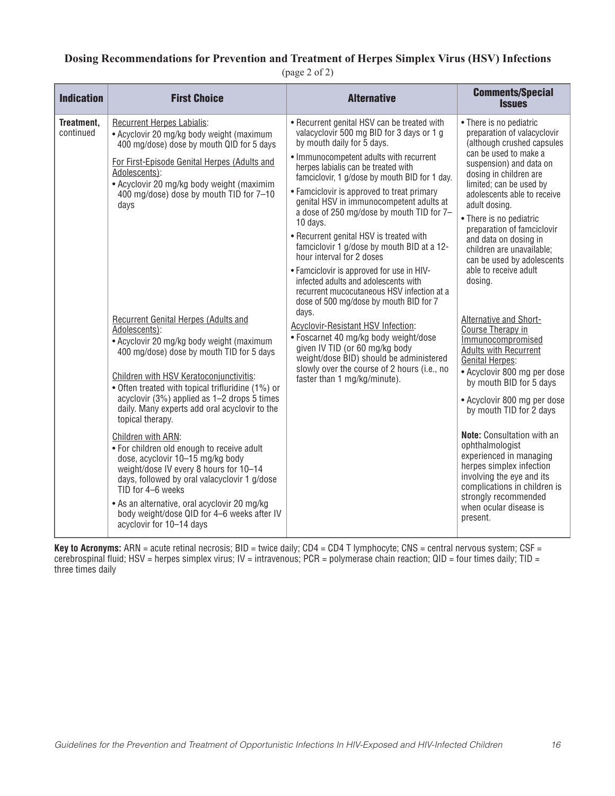### **Dosing Recommendations for Prevention and Treatment of Herpes Simplex Virus (HSV) Infections**

(page 2 of 2)

| <b>Indication</b>       | <b>First Choice</b>                                                                                                                                                                                                                                                                                                                                                                                                                                                                                                                                                                                                                                                           | <b>Alternative</b>                                                                                                                                                                                                                                                                                                                                                                                                                                                                                                                                                                                                                                                                                                       | <b>Comments/Special</b><br><b>Issues</b>                                                                                                                                                                                                                                                                                                                                                                                                                       |
|-------------------------|-------------------------------------------------------------------------------------------------------------------------------------------------------------------------------------------------------------------------------------------------------------------------------------------------------------------------------------------------------------------------------------------------------------------------------------------------------------------------------------------------------------------------------------------------------------------------------------------------------------------------------------------------------------------------------|--------------------------------------------------------------------------------------------------------------------------------------------------------------------------------------------------------------------------------------------------------------------------------------------------------------------------------------------------------------------------------------------------------------------------------------------------------------------------------------------------------------------------------------------------------------------------------------------------------------------------------------------------------------------------------------------------------------------------|----------------------------------------------------------------------------------------------------------------------------------------------------------------------------------------------------------------------------------------------------------------------------------------------------------------------------------------------------------------------------------------------------------------------------------------------------------------|
| Treatment,<br>continued | Recurrent Herpes Labialis:<br>• Acyclovir 20 mg/kg body weight (maximum<br>400 mg/dose) dose by mouth QID for 5 days<br>For First-Episode Genital Herpes (Adults and<br>Adolescents):<br>• Acyclovir 20 mg/kg body weight (maximim<br>400 mg/dose) dose by mouth TID for 7-10<br>days<br><b>Recurrent Genital Herpes (Adults and</b>                                                                                                                                                                                                                                                                                                                                          | • Recurrent genital HSV can be treated with<br>valacyclovir 500 mg BID for 3 days or 1 g<br>by mouth daily for 5 days.<br>• Immunocompetent adults with recurrent<br>herpes labialis can be treated with<br>famciclovir, 1 g/dose by mouth BID for 1 day.<br>• Famciclovir is approved to treat primary<br>genital HSV in immunocompetent adults at<br>a dose of 250 mg/dose by mouth TID for 7-<br>10 days.<br>• Recurrent genital HSV is treated with<br>famciclovir 1 g/dose by mouth BID at a 12-<br>hour interval for 2 doses<br>• Famciclovir is approved for use in HIV-<br>infected adults and adolescents with<br>recurrent mucocutaneous HSV infection at a<br>dose of 500 mg/dose by mouth BID for 7<br>days. | • There is no pediatric<br>preparation of valacyclovir<br>(although crushed capsules<br>can be used to make a<br>suspension) and data on<br>dosing in children are<br>limited; can be used by<br>adolescents able to receive<br>adult dosing.<br>• There is no pediatric<br>preparation of famciclovir<br>and data on dosing in<br>children are unavailable;<br>can be used by adolescents<br>able to receive adult<br>dosing.<br>Alternative and Short-       |
|                         | Adolescents):<br>• Acyclovir 20 mg/kg body weight (maximum<br>400 mg/dose) dose by mouth TID for 5 days<br>Children with HSV Keratoconjunctivitis:<br>• Often treated with topical trifluridine (1%) or<br>acyclovir (3%) applied as 1-2 drops 5 times<br>daily. Many experts add oral acyclovir to the<br>topical therapy.<br>Children with ARN:<br>. For children old enough to receive adult<br>dose, acyclovir 10-15 mg/kg body<br>weight/dose IV every 8 hours for 10-14<br>days, followed by oral valacyclovir 1 g/dose<br>TID for 4-6 weeks<br>• As an alternative, oral acyclovir 20 mg/kg<br>body weight/dose QID for 4-6 weeks after IV<br>acyclovir for 10-14 days | <b>Acyclovir-Resistant HSV Infection:</b><br>• Foscarnet 40 mg/kg body weight/dose<br>given IV TID (or 60 mg/kg body<br>weight/dose BID) should be administered<br>slowly over the course of 2 hours (i.e., no<br>faster than 1 mg/kg/minute).                                                                                                                                                                                                                                                                                                                                                                                                                                                                           | Course Therapy in<br>Immunocompromised<br><b>Adults with Recurrent</b><br><b>Genital Herpes:</b><br>• Acyclovir 800 mg per dose<br>by mouth BID for 5 days<br>• Acyclovir 800 mg per dose<br>by mouth TID for 2 days<br><b>Note:</b> Consultation with an<br>ophthalmologist<br>experienced in managing<br>herpes simplex infection<br>involving the eye and its<br>complications in children is<br>strongly recommended<br>when ocular disease is<br>present. |

**Key to Acronyms:** ARN = acute retinal necrosis; BID = twice daily; CD4 = CD4 T lymphocyte; CNS = central nervous system; CSF = cerebrospinal fluid; HSV = herpes simplex virus; IV = intravenous; PCR = polymerase chain reaction; QID = four times daily; TID = three times daily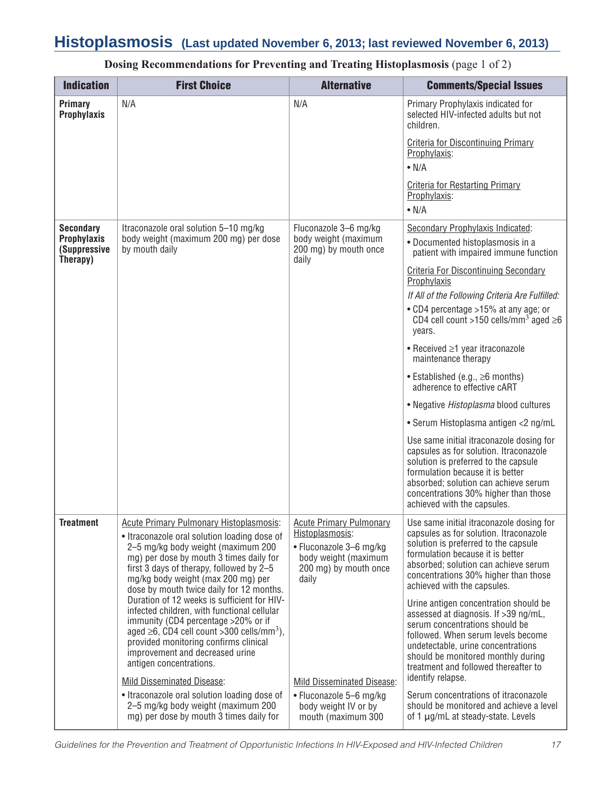# **Histoplasmosis (Last updated November 6, 2013; last reviewed November 6, 2013)**

| <b>Indication</b>                                                  | <b>First Choice</b>                                                                                                                                                                                                                                                                                                                                                                                                                                                                                                                                                                                                                                                                                                                                                                        | <b>Alternative</b>                                                                                                                                                                                                                            | <b>Comments/Special Issues</b>                                                                                                                                                                                                                                                                                                                                                                                                                                                                                                                                                                                                                                                                                                                                                                                                                                |
|--------------------------------------------------------------------|--------------------------------------------------------------------------------------------------------------------------------------------------------------------------------------------------------------------------------------------------------------------------------------------------------------------------------------------------------------------------------------------------------------------------------------------------------------------------------------------------------------------------------------------------------------------------------------------------------------------------------------------------------------------------------------------------------------------------------------------------------------------------------------------|-----------------------------------------------------------------------------------------------------------------------------------------------------------------------------------------------------------------------------------------------|---------------------------------------------------------------------------------------------------------------------------------------------------------------------------------------------------------------------------------------------------------------------------------------------------------------------------------------------------------------------------------------------------------------------------------------------------------------------------------------------------------------------------------------------------------------------------------------------------------------------------------------------------------------------------------------------------------------------------------------------------------------------------------------------------------------------------------------------------------------|
| Primary<br><b>Prophylaxis</b>                                      | N/A                                                                                                                                                                                                                                                                                                                                                                                                                                                                                                                                                                                                                                                                                                                                                                                        | N/A                                                                                                                                                                                                                                           | Primary Prophylaxis indicated for<br>selected HIV-infected adults but not<br>children.<br><b>Criteria for Discontinuing Primary</b><br>Prophylaxis:<br>$\bullet$ N/A<br><b>Criteria for Restarting Primary</b><br>Prophylaxis:<br>$\bullet$ N/A                                                                                                                                                                                                                                                                                                                                                                                                                                                                                                                                                                                                               |
| <b>Secondary</b><br><b>Prophylaxis</b><br>(Suppressive<br>Therapy) | Itraconazole oral solution 5-10 mg/kg<br>body weight (maximum 200 mg) per dose<br>by mouth daily                                                                                                                                                                                                                                                                                                                                                                                                                                                                                                                                                                                                                                                                                           | Fluconazole 3-6 mg/kg<br>body weight (maximum<br>200 mg) by mouth once<br>daily                                                                                                                                                               | Secondary Prophylaxis Indicated:<br>• Documented histoplasmosis in a<br>patient with impaired immune function<br><b>Criteria For Discontinuing Secondary</b><br>Prophylaxis<br>If All of the Following Criteria Are Fulfilled:<br>• CD4 percentage >15% at any age; or<br>CD4 cell count >150 cells/mm <sup>3</sup> aged $\geq$ 6<br>vears.<br>$\bullet$ Received $\geq$ 1 year itraconazole<br>maintenance therapy<br>• Established (e.g., $\geq 6$ months)<br>adherence to effective cART<br>• Negative Histoplasma blood cultures<br>• Serum Histoplasma antigen <2 ng/mL<br>Use same initial itraconazole dosing for<br>capsules as for solution. Itraconazole<br>solution is preferred to the capsule<br>formulation because it is better<br>absorbed; solution can achieve serum<br>concentrations 30% higher than those<br>achieved with the capsules. |
| <b>Treatment</b>                                                   | <b>Acute Primary Pulmonary Histoplasmosis:</b><br>• Itraconazole oral solution loading dose of<br>2-5 mg/kg body weight (maximum 200<br>mg) per dose by mouth 3 times daily for<br>first 3 days of therapy, followed by 2-5<br>mg/kg body weight (max 200 mg) per<br>dose by mouth twice daily for 12 months.<br>Duration of 12 weeks is sufficient for HIV-<br>infected children, with functional cellular<br>immunity (CD4 percentage >20% or if<br>aged $\geq$ 6, CD4 cell count $>$ 300 cells/mm <sup>3</sup> ),<br>provided monitoring confirms clinical<br>improvement and decreased urine<br>antigen concentrations.<br>Mild Disseminated Disease:<br>• Itraconazole oral solution loading dose of<br>2-5 mg/kg body weight (maximum 200<br>mg) per dose by mouth 3 times daily for | <b>Acute Primary Pulmonary</b><br>Histoplasmosis:<br>• Fluconazole 3-6 mg/kg<br>body weight (maximum<br>200 mg) by mouth once<br>daily<br>Mild Disseminated Disease:<br>• Fluconazole 5-6 mg/kg<br>body weight IV or by<br>mouth (maximum 300 | Use same initial itraconazole dosing for<br>capsules as for solution. Itraconazole<br>solution is preferred to the capsule<br>formulation because it is better<br>absorbed; solution can achieve serum<br>concentrations 30% higher than those<br>achieved with the capsules.<br>Urine antigen concentration should be<br>assessed at diagnosis. If >39 ng/mL,<br>serum concentrations should be<br>followed. When serum levels become<br>undetectable, urine concentrations<br>should be monitored monthly during<br>treatment and followed thereafter to<br>identify relapse.<br>Serum concentrations of itraconazole<br>should be monitored and achieve a level<br>of 1 µg/mL at steady-state. Levels                                                                                                                                                      |

**Dosing Recommendations for Preventing and Treating Histoplasmosis** (page 1 of 2)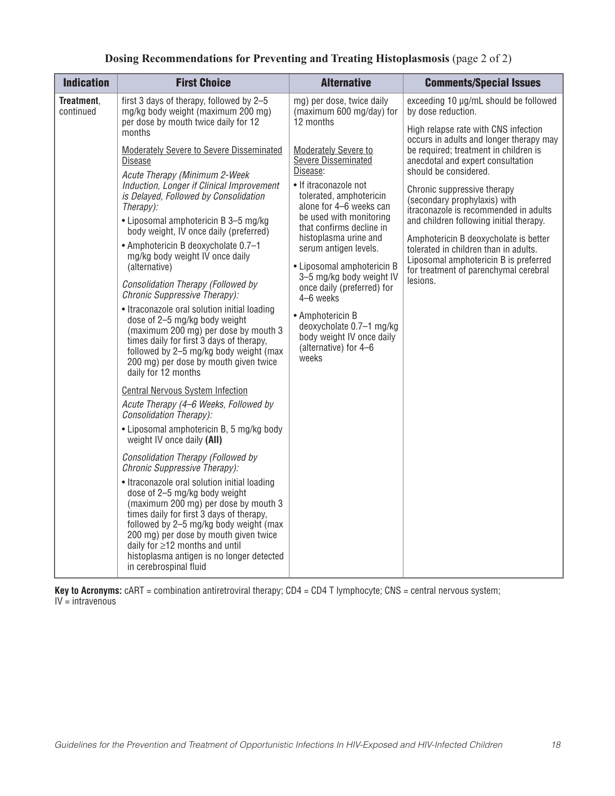| <b>Indication</b>       | <b>First Choice</b>                                                                                                                                                                                                                                                                                                                                                                                                                                                                                                                                                                                                                                                                                                                                                                                     | <b>Alternative</b>                                                                                                                                                                                                                                                                                                                                                   | <b>Comments/Special Issues</b>                                                                                                                                                                                                                                                                                                                                                                                                                                                                                                                                                           |
|-------------------------|---------------------------------------------------------------------------------------------------------------------------------------------------------------------------------------------------------------------------------------------------------------------------------------------------------------------------------------------------------------------------------------------------------------------------------------------------------------------------------------------------------------------------------------------------------------------------------------------------------------------------------------------------------------------------------------------------------------------------------------------------------------------------------------------------------|----------------------------------------------------------------------------------------------------------------------------------------------------------------------------------------------------------------------------------------------------------------------------------------------------------------------------------------------------------------------|------------------------------------------------------------------------------------------------------------------------------------------------------------------------------------------------------------------------------------------------------------------------------------------------------------------------------------------------------------------------------------------------------------------------------------------------------------------------------------------------------------------------------------------------------------------------------------------|
| Treatment,<br>continued | first 3 days of therapy, followed by 2-5<br>mg/kg body weight (maximum 200 mg)<br>per dose by mouth twice daily for 12<br>months<br><b>Moderately Severe to Severe Disseminated</b><br><b>Disease</b><br>Acute Therapy (Minimum 2-Week<br>Induction, Longer if Clinical Improvement<br>is Delayed, Followed by Consolidation<br>Therapy):<br>• Liposomal amphotericin B 3-5 mg/kg<br>body weight, IV once daily (preferred)<br>• Amphotericin B deoxycholate 0.7-1<br>mg/kg body weight IV once daily<br>(alternative)<br>Consolidation Therapy (Followed by<br>Chronic Suppressive Therapy):<br>• Itraconazole oral solution initial loading<br>dose of 2-5 mg/kg body weight                                                                                                                          | mg) per dose, twice daily<br>(maximum 600 mg/day) for<br>12 months<br><b>Moderately Severe to</b><br><b>Severe Disseminated</b><br>Disease:<br>• If itraconazole not<br>tolerated, amphotericin<br>alone for 4–6 weeks can<br>be used with monitoring<br>that confirms decline in<br>histoplasma urine and<br>serum antigen levels.<br>4-6 weeks<br>• Amphotericin B | exceeding 10 µg/mL should be followed<br>by dose reduction.<br>High relapse rate with CNS infection<br>occurs in adults and longer therapy may<br>be required; treatment in children is<br>anecdotal and expert consultation<br>should be considered.<br>Chronic suppressive therapy<br>(secondary prophylaxis) with<br>itraconazole is recommended in adults<br>and children following initial therapy.<br>Amphotericin B deoxycholate is better<br>tolerated in children than in adults.<br>Liposomal amphotericin B is preferred<br>for treatment of parenchymal cerebral<br>lesions. |
|                         | (maximum 200 mg) per dose by mouth 3<br>times daily for first 3 days of therapy,<br>followed by 2-5 mg/kg body weight (max<br>200 mg) per dose by mouth given twice<br>daily for 12 months<br><b>Central Nervous System Infection</b><br>Acute Therapy (4-6 Weeks, Followed by<br>Consolidation Therapy):<br>• Liposomal amphotericin B, 5 mg/kg body<br>weight IV once daily (AII)<br>Consolidation Therapy (Followed by<br>Chronic Suppressive Therapy):<br>• Itraconazole oral solution initial loading<br>dose of 2-5 mg/kg body weight<br>(maximum 200 mg) per dose by mouth 3<br>times daily for first 3 days of therapy,<br>followed by 2-5 mg/kg body weight (max<br>200 mg) per dose by mouth given twice<br>daily for $\geq$ 12 months and until<br>histoplasma antigen is no longer detected | • Liposomal amphotericin B<br>3-5 mg/kg body weight IV<br>once daily (preferred) for<br>deoxycholate 0.7-1 mg/kg<br>body weight IV once daily<br>(alternative) for 4-6<br>weeks                                                                                                                                                                                      |                                                                                                                                                                                                                                                                                                                                                                                                                                                                                                                                                                                          |
|                         | in cerebrospinal fluid                                                                                                                                                                                                                                                                                                                                                                                                                                                                                                                                                                                                                                                                                                                                                                                  |                                                                                                                                                                                                                                                                                                                                                                      |                                                                                                                                                                                                                                                                                                                                                                                                                                                                                                                                                                                          |

### **Dosing Recommendations for Preventing and Treating Histoplasmosis** (page 2 of 2)

**Key to Acronyms:** cART = combination antiretroviral therapy; CD4 = CD4 T lymphocyte; CNS = central nervous system;  $IV =$ intravenous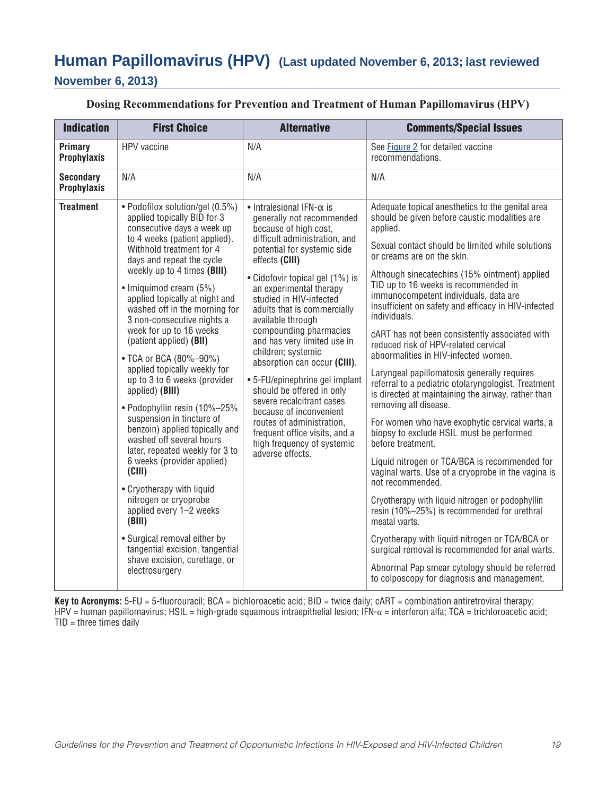# **Human Papillomavirus (HPV) (Last updated November 6, 2013; last reviewed**

### **November 6, 2013)**

| <b>Indication</b>                      | <b>First Choice</b>                                                                                                                                                                                                                                                                                                                                                                                                                                                                                                                                                                                                                                                                                                                                                                                                                                                                                                                        | <b>Alternative</b>                                                                                                                                                                                                                                                                                                                                                                                                                                                                                                                                                                                                                                                                  | <b>Comments/Special Issues</b>                                                                                                                                                                                                                                                                                                                                                                                                                                                                                                                                                                                                                                                                                                                                                                                                                                                                                                                                                                                                                                                                                                                                                                                                                                                                         |
|----------------------------------------|--------------------------------------------------------------------------------------------------------------------------------------------------------------------------------------------------------------------------------------------------------------------------------------------------------------------------------------------------------------------------------------------------------------------------------------------------------------------------------------------------------------------------------------------------------------------------------------------------------------------------------------------------------------------------------------------------------------------------------------------------------------------------------------------------------------------------------------------------------------------------------------------------------------------------------------------|-------------------------------------------------------------------------------------------------------------------------------------------------------------------------------------------------------------------------------------------------------------------------------------------------------------------------------------------------------------------------------------------------------------------------------------------------------------------------------------------------------------------------------------------------------------------------------------------------------------------------------------------------------------------------------------|--------------------------------------------------------------------------------------------------------------------------------------------------------------------------------------------------------------------------------------------------------------------------------------------------------------------------------------------------------------------------------------------------------------------------------------------------------------------------------------------------------------------------------------------------------------------------------------------------------------------------------------------------------------------------------------------------------------------------------------------------------------------------------------------------------------------------------------------------------------------------------------------------------------------------------------------------------------------------------------------------------------------------------------------------------------------------------------------------------------------------------------------------------------------------------------------------------------------------------------------------------------------------------------------------------|
| Primary<br><b>Prophylaxis</b>          | HPV vaccine                                                                                                                                                                                                                                                                                                                                                                                                                                                                                                                                                                                                                                                                                                                                                                                                                                                                                                                                | N/A                                                                                                                                                                                                                                                                                                                                                                                                                                                                                                                                                                                                                                                                                 | See Figure 2 for detailed vaccine<br>recommendations.                                                                                                                                                                                                                                                                                                                                                                                                                                                                                                                                                                                                                                                                                                                                                                                                                                                                                                                                                                                                                                                                                                                                                                                                                                                  |
| <b>Secondary</b><br><b>Prophylaxis</b> | N/A                                                                                                                                                                                                                                                                                                                                                                                                                                                                                                                                                                                                                                                                                                                                                                                                                                                                                                                                        | N/A                                                                                                                                                                                                                                                                                                                                                                                                                                                                                                                                                                                                                                                                                 | N/A                                                                                                                                                                                                                                                                                                                                                                                                                                                                                                                                                                                                                                                                                                                                                                                                                                                                                                                                                                                                                                                                                                                                                                                                                                                                                                    |
| <b>Treatment</b>                       | · Podofilox solution/gel (0.5%)<br>applied topically BID for 3<br>consecutive days a week up<br>to 4 weeks (patient applied).<br>Withhold treatment for 4<br>days and repeat the cycle<br>weekly up to 4 times (BIII)<br>• Imiguimod cream (5%)<br>applied topically at night and<br>washed off in the morning for<br>3 non-consecutive nights a<br>week for up to 16 weeks<br>(patient applied) (BII)<br>• TCA or BCA (80%-90%)<br>applied topically weekly for<br>up to 3 to 6 weeks (provider<br>applied) (BIII)<br>• Podophyllin resin (10%-25%<br>suspension in tincture of<br>benzoin) applied topically and<br>washed off several hours<br>later, repeated weekly for 3 to<br>6 weeks (provider applied)<br>(CIII)<br>• Cryotherapy with liquid<br>nitrogen or cryoprobe<br>applied every 1-2 weeks<br>(BIII)<br>• Surgical removal either by<br>tangential excision, tangential<br>shave excision, curettage, or<br>electrosurgery | $\bullet$ Intralesional IFN- $\alpha$ is<br>generally not recommended<br>because of high cost,<br>difficult administration, and<br>potential for systemic side<br>effects (CIII)<br>• Cidofovir topical gel (1%) is<br>an experimental therapy<br>studied in HIV-infected<br>adults that is commercially<br>available through<br>compounding pharmacies<br>and has very limited use in<br>children; systemic<br>absorption can occur (CIII).<br>• 5-FU/epinephrine gel implant<br>should be offered in only<br>severe recalcitrant cases<br>because of inconvenient<br>routes of administration,<br>frequent office visits, and a<br>high frequency of systemic<br>adverse effects. | Adequate topical anesthetics to the genital area<br>should be given before caustic modalities are<br>applied.<br>Sexual contact should be limited while solutions<br>or creams are on the skin.<br>Although sinecatechins (15% ointment) applied<br>TID up to 16 weeks is recommended in<br>immunocompetent individuals, data are<br>insufficient on safety and efficacy in HIV-infected<br>individuals.<br>cART has not been consistently associated with<br>reduced risk of HPV-related cervical<br>abnormalities in HIV-infected women.<br>Laryngeal papillomatosis generally requires<br>referral to a pediatric otolaryngologist. Treatment<br>is directed at maintaining the airway, rather than<br>removing all disease.<br>For women who have exophytic cervical warts, a<br>biopsy to exclude HSIL must be performed<br>before treatment.<br>Liquid nitrogen or TCA/BCA is recommended for<br>vaginal warts. Use of a cryoprobe in the vagina is<br>not recommended.<br>Cryotherapy with liquid nitrogen or podophyllin<br>resin (10%-25%) is recommended for urethral<br>meatal warts.<br>Cryotherapy with liquid nitrogen or TCA/BCA or<br>surgical removal is recommended for anal warts.<br>Abnormal Pap smear cytology should be referred<br>to colposcopy for diagnosis and management. |

**Key to Acronyms:** 5-FU = 5-fluorouracil; BCA = bichloroacetic acid; BID = twice daily; cART = combination antiretroviral therapy; HPV = human papillomavirus; HSIL = high-grade squamous intraepithelial lesion; IFN-α = interferon alfa; TCA = trichloroacetic acid;  $TID =$  three times daily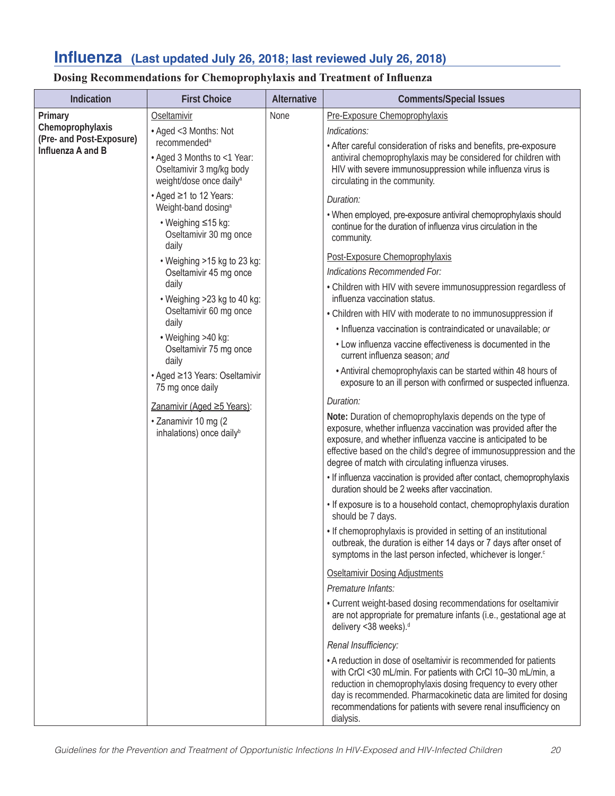# **Influenza (Last updated July 26, 2018; last reviewed July 26, 2018)**

### **Dosing Recommendations for Chemoprophylaxis and Treatment of Influenza**

| Indication                                   | <b>First Choice</b>                                                                                                                                                           | Alternative | <b>Comments/Special Issues</b>                                                                                                                                                                                                                                                                                                                       |
|----------------------------------------------|-------------------------------------------------------------------------------------------------------------------------------------------------------------------------------|-------------|------------------------------------------------------------------------------------------------------------------------------------------------------------------------------------------------------------------------------------------------------------------------------------------------------------------------------------------------------|
| Primary                                      | Oseltamivir                                                                                                                                                                   | <b>None</b> | Pre-Exposure Chemoprophylaxis                                                                                                                                                                                                                                                                                                                        |
| Chemoprophylaxis<br>(Pre- and Post-Exposure) | • Aged <3 Months: Not<br>recommended <sup>a</sup><br>• Aged 3 Months to <1 Year:<br>Oseltamivir 3 mg/kg body<br>weight/dose once daily <sup>a</sup><br>• Aged ≥1 to 12 Years: |             | Indications:                                                                                                                                                                                                                                                                                                                                         |
| Influenza A and B                            |                                                                                                                                                                               |             | • After careful consideration of risks and benefits, pre-exposure<br>antiviral chemoprophylaxis may be considered for children with<br>HIV with severe immunosuppression while influenza virus is<br>circulating in the community.                                                                                                                   |
|                                              |                                                                                                                                                                               |             | Duration:                                                                                                                                                                                                                                                                                                                                            |
|                                              | Weight-band dosing <sup>a</sup><br>• Weighing ≤15 kg:<br>Oseltamivir 30 mg once<br>daily                                                                                      |             | . When employed, pre-exposure antiviral chemoprophylaxis should<br>continue for the duration of influenza virus circulation in the<br>community.                                                                                                                                                                                                     |
|                                              | • Weighing >15 kg to 23 kg:                                                                                                                                                   |             | Post-Exposure Chemoprophylaxis                                                                                                                                                                                                                                                                                                                       |
|                                              | Oseltamivir 45 mg once                                                                                                                                                        |             | Indications Recommended For:                                                                                                                                                                                                                                                                                                                         |
|                                              | daily<br>• Weighing >23 kg to 40 kg:                                                                                                                                          |             | • Children with HIV with severe immunosuppression regardless of<br>influenza vaccination status.                                                                                                                                                                                                                                                     |
|                                              | Oseltamivir 60 mg once                                                                                                                                                        |             | • Children with HIV with moderate to no immunosuppression if                                                                                                                                                                                                                                                                                         |
|                                              | daily<br>• Weighing >40 kg:                                                                                                                                                   |             | · Influenza vaccination is contraindicated or unavailable; or                                                                                                                                                                                                                                                                                        |
|                                              | Oseltamivir 75 mg once<br>daily                                                                                                                                               |             | • Low influenza vaccine effectiveness is documented in the<br>current influenza season; and                                                                                                                                                                                                                                                          |
|                                              | • Aged ≥13 Years: Oseltamivir<br>75 mg once daily<br>Zanamivir (Aged ≥5 Years):<br>· Zanamivir 10 mg (2<br>inhalations) once daily <sup>b</sup>                               |             | • Antiviral chemoprophylaxis can be started within 48 hours of<br>exposure to an ill person with confirmed or suspected influenza.                                                                                                                                                                                                                   |
|                                              |                                                                                                                                                                               |             | Duration:                                                                                                                                                                                                                                                                                                                                            |
|                                              |                                                                                                                                                                               |             | Note: Duration of chemoprophylaxis depends on the type of<br>exposure, whether influenza vaccination was provided after the<br>exposure, and whether influenza vaccine is anticipated to be<br>effective based on the child's degree of immunosuppression and the<br>degree of match with circulating influenza viruses.                             |
|                                              |                                                                                                                                                                               |             | • If influenza vaccination is provided after contact, chemoprophylaxis<br>duration should be 2 weeks after vaccination.                                                                                                                                                                                                                              |
|                                              |                                                                                                                                                                               |             | • If exposure is to a household contact, chemoprophylaxis duration<br>should be 7 days.                                                                                                                                                                                                                                                              |
|                                              |                                                                                                                                                                               |             | • If chemoprophylaxis is provided in setting of an institutional<br>outbreak, the duration is either 14 days or 7 days after onset of<br>symptoms in the last person infected, whichever is longer. <sup>c</sup>                                                                                                                                     |
|                                              |                                                                                                                                                                               |             | Oseltamivir Dosing Adjustments                                                                                                                                                                                                                                                                                                                       |
|                                              |                                                                                                                                                                               |             | Premature Infants:                                                                                                                                                                                                                                                                                                                                   |
|                                              |                                                                                                                                                                               |             | • Current weight-based dosing recommendations for oseltamivir<br>are not appropriate for premature infants (i.e., gestational age at<br>delivery <38 weeks). <sup>d</sup>                                                                                                                                                                            |
|                                              |                                                                                                                                                                               |             | Renal Insufficiency:                                                                                                                                                                                                                                                                                                                                 |
|                                              |                                                                                                                                                                               |             | • A reduction in dose of oseltamivir is recommended for patients<br>with CrCl <30 mL/min. For patients with CrCl 10-30 mL/min, a<br>reduction in chemoprophylaxis dosing frequency to every other<br>day is recommended. Pharmacokinetic data are limited for dosing<br>recommendations for patients with severe renal insufficiency on<br>dialysis. |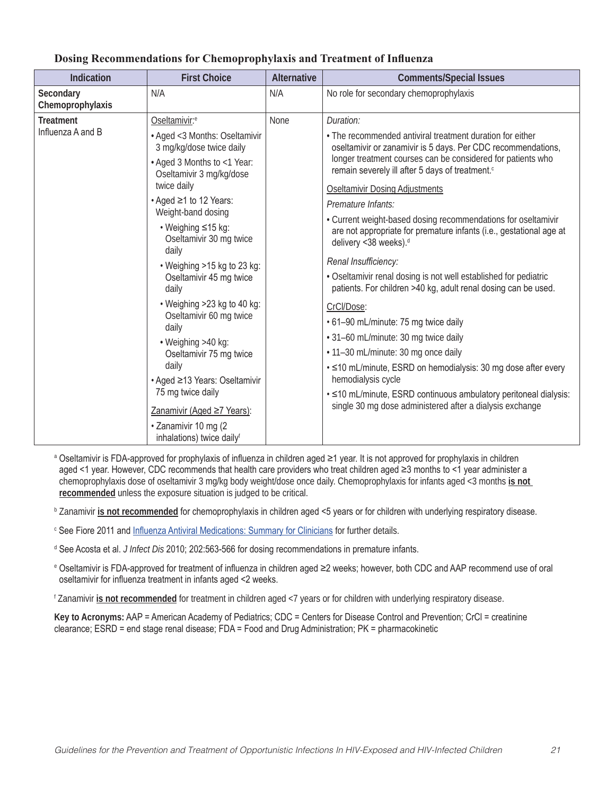| <b>Indication</b>                     | <b>First Choice</b>                                                                                                                                                                                                                                                                                                                                                                                                                                                                                                                                                                    | <b>Alternative</b> | <b>Comments/Special Issues</b>                                                                                                                                                                                                                                                                                                                                                                                                                                                                                                                                                                                                                                                                                                                                                                                                                                                                                                                                                                                                      |
|---------------------------------------|----------------------------------------------------------------------------------------------------------------------------------------------------------------------------------------------------------------------------------------------------------------------------------------------------------------------------------------------------------------------------------------------------------------------------------------------------------------------------------------------------------------------------------------------------------------------------------------|--------------------|-------------------------------------------------------------------------------------------------------------------------------------------------------------------------------------------------------------------------------------------------------------------------------------------------------------------------------------------------------------------------------------------------------------------------------------------------------------------------------------------------------------------------------------------------------------------------------------------------------------------------------------------------------------------------------------------------------------------------------------------------------------------------------------------------------------------------------------------------------------------------------------------------------------------------------------------------------------------------------------------------------------------------------------|
| Secondary<br>Chemoprophylaxis         | N/A                                                                                                                                                                                                                                                                                                                                                                                                                                                                                                                                                                                    | N/A                | No role for secondary chemoprophylaxis                                                                                                                                                                                                                                                                                                                                                                                                                                                                                                                                                                                                                                                                                                                                                                                                                                                                                                                                                                                              |
| <b>Treatment</b><br>Influenza A and B | Oseltamivir: <sup>e</sup><br>• Aged <3 Months: Oseltamivir<br>3 mg/kg/dose twice daily<br>• Aged 3 Months to <1 Year:<br>Oseltamivir 3 mg/kg/dose<br>twice daily<br>• Aged ≥1 to 12 Years:<br>Weight-band dosing<br>• Weighing ≤15 kg:<br>Oseltamivir 30 mg twice<br>daily<br>• Weighing >15 kg to 23 kg:<br>Oseltamivir 45 mg twice<br>daily<br>• Weighing >23 kg to 40 kg:<br>Oseltamivir 60 mg twice<br>daily<br>• Weighing >40 kg:<br>Oseltamivir 75 mg twice<br>daily<br>• Aged ≥13 Years: Oseltamivir<br>75 mg twice daily<br>Zanamivir (Aged ≥7 Years):<br>· Zanamivir 10 mg (2 | None               | Duration:<br>• The recommended antiviral treatment duration for either<br>oseltamivir or zanamivir is 5 days. Per CDC recommendations,<br>longer treatment courses can be considered for patients who<br>remain severely ill after 5 days of treatment. <sup>c</sup><br>Oseltamivir Dosing Adjustments<br>Premature Infants:<br>• Current weight-based dosing recommendations for oseltamivir<br>are not appropriate for premature infants (i.e., gestational age at<br>delivery <38 weeks). <sup>d</sup><br>Renal Insufficiency:<br>• Oseltamivir renal dosing is not well established for pediatric<br>patients. For children >40 kg, adult renal dosing can be used.<br>CrCl/Dose:<br>• 61-90 mL/minute: 75 mg twice daily<br>· 31-60 mL/minute: 30 mg twice daily<br>· 11-30 mL/minute: 30 mg once daily<br>• ≤10 mL/minute, ESRD on hemodialysis: 30 mg dose after every<br>hemodialysis cycle<br>• ≤10 mL/minute, ESRD continuous ambulatory peritoneal dialysis:<br>single 30 mg dose administered after a dialysis exchange |
|                                       | inhalations) twice dailyf                                                                                                                                                                                                                                                                                                                                                                                                                                                                                                                                                              |                    |                                                                                                                                                                                                                                                                                                                                                                                                                                                                                                                                                                                                                                                                                                                                                                                                                                                                                                                                                                                                                                     |

#### **Dosing Recommendations for Chemoprophylaxis and Treatment of Influenza**

<sup>a</sup> Oseltamivir is FDA-approved for prophylaxis of influenza in children aged ≥1 year. It is not approved for prophylaxis in children aged <1 year. However, CDC recommends that health care providers who treat children aged ≥3 months to <1 year administer a chemoprophylaxis dose of oseltamivir 3 mg/kg body weight/dose once daily. Chemoprophylaxis for infants aged <3 months **is not recommended** unless the exposure situation is judged to be critical.

**b Zanamivir <u>is not recommended</u> for** chemoprophylaxis in children aged <5 years or for children with underlying respiratory disease.

<sup>c</sup> See Fiore 2011 and Influenza Antiviral Medications: Summary for Clinicians for further details.

<sup>d</sup> See Acosta et al. *J Infect Dis* 2010; 202:563-566 for dosing recommendations in premature infants.

<sup>e</sup> Oseltamivir is FDA-approved for treatment of influenza in children aged ≥2 weeks; however, both CDC and AAP recommend use of oral oseltamivir for influenza treatment in infants aged <2 weeks.

f Zanamivir **is not recommended** for treatment in children aged <7 years or for children with underlying respiratory disease.

**Key to Acronyms:** AAP = American Academy of Pediatrics; CDC = Centers for Disease Control and Prevention; CrCl = creatinine clearance; ESRD = end stage renal disease; FDA = Food and Drug Administration; PK = pharmacokinetic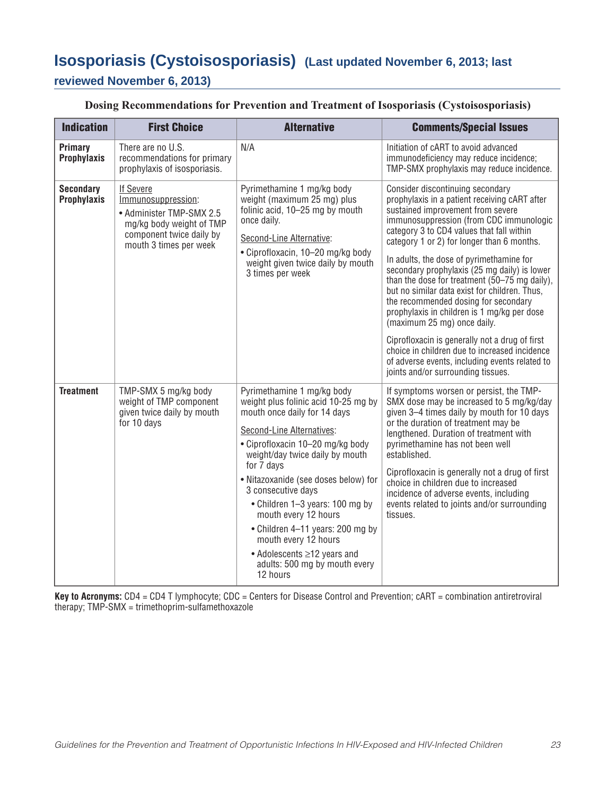# **Isosporiasis (Cystoisosporiasis) (Last updated November 6, 2013; last reviewed November 6, 2013)**

#### **Dosing Recommendations for Prevention and Treatment of Isosporiasis (Cystoisosporiasis)**

| <b>Indication</b>                      | <b>First Choice</b>                                                                                                                                  | <b>Alternative</b>                                                                                                                                                                                                                                                                                                                                                                                                                                                                    | <b>Comments/Special Issues</b>                                                                                                                                                                                                                                                                                                                                                                                                                                                                                                                                                                                                                                                                                                                                              |
|----------------------------------------|------------------------------------------------------------------------------------------------------------------------------------------------------|---------------------------------------------------------------------------------------------------------------------------------------------------------------------------------------------------------------------------------------------------------------------------------------------------------------------------------------------------------------------------------------------------------------------------------------------------------------------------------------|-----------------------------------------------------------------------------------------------------------------------------------------------------------------------------------------------------------------------------------------------------------------------------------------------------------------------------------------------------------------------------------------------------------------------------------------------------------------------------------------------------------------------------------------------------------------------------------------------------------------------------------------------------------------------------------------------------------------------------------------------------------------------------|
| Primary<br><b>Prophylaxis</b>          | There are no U.S.<br>recommendations for primary<br>prophylaxis of isosporiasis.                                                                     | N/A                                                                                                                                                                                                                                                                                                                                                                                                                                                                                   | Initiation of cART to avoid advanced<br>immunodeficiency may reduce incidence;<br>TMP-SMX prophylaxis may reduce incidence.                                                                                                                                                                                                                                                                                                                                                                                                                                                                                                                                                                                                                                                 |
| <b>Secondary</b><br><b>Prophylaxis</b> | <b>If Severe</b><br>Immunosuppression:<br>• Administer TMP-SMX 2.5<br>mg/kg body weight of TMP<br>component twice daily by<br>mouth 3 times per week | Pyrimethamine 1 mg/kg body<br>weight (maximum 25 mg) plus<br>folinic acid, 10-25 mg by mouth<br>once daily.<br>Second-Line Alternative:<br>• Ciprofloxacin, 10-20 mg/kg body<br>weight given twice daily by mouth<br>3 times per week                                                                                                                                                                                                                                                 | Consider discontinuing secondary<br>prophylaxis in a patient receiving cART after<br>sustained improvement from severe<br>immunosuppression (from CDC immunologic<br>category 3 to CD4 values that fall within<br>category 1 or 2) for longer than 6 months.<br>In adults, the dose of pyrimethamine for<br>secondary prophylaxis (25 mg daily) is lower<br>than the dose for treatment (50-75 mg daily),<br>but no similar data exist for children. Thus,<br>the recommended dosing for secondary<br>prophylaxis in children is 1 mg/kg per dose<br>(maximum 25 mg) once daily.<br>Ciprofloxacin is generally not a drug of first<br>choice in children due to increased incidence<br>of adverse events, including events related to<br>joints and/or surrounding tissues. |
| <b>Treatment</b>                       | TMP-SMX 5 mg/kg body<br>weight of TMP component<br>given twice daily by mouth<br>for 10 days                                                         | Pyrimethamine 1 mg/kg body<br>weight plus folinic acid 10-25 mg by<br>mouth once daily for 14 days<br>Second-Line Alternatives:<br>• Ciprofloxacin 10-20 mg/kg body<br>weight/day twice daily by mouth<br>for 7 days<br>• Nitazoxanide (see doses below) for<br>3 consecutive days<br>• Children 1-3 years: 100 mg by<br>mouth every 12 hours<br>• Children 4-11 years: 200 mg by<br>mouth every 12 hours<br>• Adolescents ≥12 years and<br>adults: 500 mg by mouth every<br>12 hours | If symptoms worsen or persist, the TMP-<br>SMX dose may be increased to 5 mg/kg/day<br>given 3-4 times daily by mouth for 10 days<br>or the duration of treatment may be<br>lengthened. Duration of treatment with<br>pyrimethamine has not been well<br>established.<br>Ciprofloxacin is generally not a drug of first<br>choice in children due to increased<br>incidence of adverse events, including<br>events related to joints and/or surrounding<br>tissues.                                                                                                                                                                                                                                                                                                         |

**Key to Acronyms:** CD4 = CD4 T lymphocyte; CDC = Centers for Disease Control and Prevention; cART = combination antiretroviral therapy; TMP-SMX = trimethoprim-sulfamethoxazole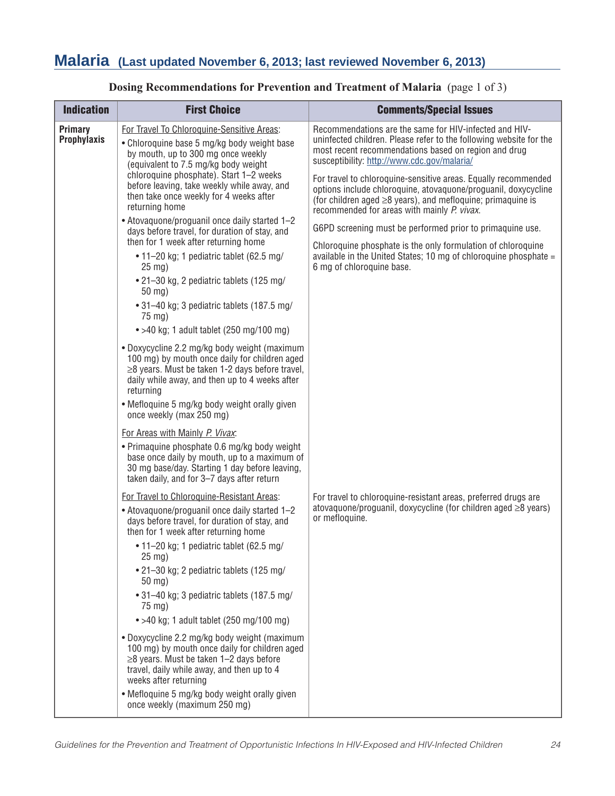| <b>Indication</b>                    | <b>First Choice</b>                                                                                                                                                                                                                                                                                                                                                                                                                                                                                                                                                                                                                                                                                                                                                                                                                                                                                                                                                                                                                                                                                                                                                                                                                                                                                                                                                                                                                                                                                                                                                                                                                                                                                                                                            | <b>Comments/Special Issues</b>                                                                                                                                                                                                                                                                                                                                                                                                                                                                                                                                                                                                                                                                                                                                                                                                                                                          |
|--------------------------------------|----------------------------------------------------------------------------------------------------------------------------------------------------------------------------------------------------------------------------------------------------------------------------------------------------------------------------------------------------------------------------------------------------------------------------------------------------------------------------------------------------------------------------------------------------------------------------------------------------------------------------------------------------------------------------------------------------------------------------------------------------------------------------------------------------------------------------------------------------------------------------------------------------------------------------------------------------------------------------------------------------------------------------------------------------------------------------------------------------------------------------------------------------------------------------------------------------------------------------------------------------------------------------------------------------------------------------------------------------------------------------------------------------------------------------------------------------------------------------------------------------------------------------------------------------------------------------------------------------------------------------------------------------------------------------------------------------------------------------------------------------------------|-----------------------------------------------------------------------------------------------------------------------------------------------------------------------------------------------------------------------------------------------------------------------------------------------------------------------------------------------------------------------------------------------------------------------------------------------------------------------------------------------------------------------------------------------------------------------------------------------------------------------------------------------------------------------------------------------------------------------------------------------------------------------------------------------------------------------------------------------------------------------------------------|
| <b>Primary</b><br><b>Prophylaxis</b> | For Travel To Chloroquine-Sensitive Areas:<br>• Chloroquine base 5 mg/kg body weight base<br>by mouth, up to 300 mg once weekly<br>(equivalent to 7.5 mg/kg body weight<br>chloroquine phosphate). Start 1-2 weeks<br>before leaving, take weekly while away, and<br>then take once weekly for 4 weeks after<br>returning home<br>• Atovaquone/proguanil once daily started 1-2<br>days before travel, for duration of stay, and<br>then for 1 week after returning home<br>• 11-20 kg; 1 pediatric tablet (62.5 mg/<br>$25$ mg)<br>• 21-30 kg, 2 pediatric tablets (125 mg/<br>50 mg)<br>• 31-40 kg; 3 pediatric tablets (187.5 mg/<br>75 mg)<br>$\bullet$ >40 kg; 1 adult tablet (250 mg/100 mg)<br>• Doxycycline 2.2 mg/kg body weight (maximum<br>100 mg) by mouth once daily for children aged<br>$\geq$ 8 years. Must be taken 1-2 days before travel,<br>daily while away, and then up to 4 weeks after<br>returning<br>• Mefloquine 5 mg/kg body weight orally given<br>once weekly (max 250 mg)<br>For Areas with Mainly P. Vivax.<br>• Primaquine phosphate 0.6 mg/kg body weight<br>base once daily by mouth, up to a maximum of<br>30 mg base/day. Starting 1 day before leaving,<br>taken daily, and for 3-7 days after return<br>For Travel to Chloroquine-Resistant Areas:<br>• Atovaguone/proguanil once daily started 1-2<br>days before travel, for duration of stay, and<br>then for 1 week after returning home<br>• 11-20 kg; 1 pediatric tablet (62.5 mg/<br>25 mg)<br>• 21-30 kg; 2 pediatric tablets (125 mg/<br>$50$ mg)<br>• 31-40 kg; 3 pediatric tablets (187.5 mg/<br>75 mg)<br>$\bullet$ >40 kg; 1 adult tablet (250 mg/100 mg)<br>• Doxycycline 2.2 mg/kg body weight (maximum<br>100 mg) by mouth once daily for children aged | Recommendations are the same for HIV-infected and HIV-<br>uninfected children. Please refer to the following website for the<br>most recent recommendations based on region and drug<br>susceptibility: http://www.cdc.gov/malaria/<br>For travel to chloroquine-sensitive areas. Equally recommended<br>options include chloroquine, atovaquone/proguanil, doxycycline<br>(for children aged $\geq$ 8 years), and mefloquine; primaquine is<br>recommended for areas with mainly P. vivax.<br>G6PD screening must be performed prior to primaguine use.<br>Chloroquine phosphate is the only formulation of chloroquine<br>available in the United States; 10 mg of chloroquine phosphate $=$<br>6 mg of chloroquine base.<br>For travel to chloroquine-resistant areas, preferred drugs are<br>atovaguone/proguanil, doxycycline (for children aged $\geq$ 8 years)<br>or mefloquine. |
|                                      | $\geq$ 8 years. Must be taken 1-2 days before<br>travel, daily while away, and then up to 4<br>weeks after returning<br>• Mefloquine 5 mg/kg body weight orally given<br>once weekly (maximum 250 mg)                                                                                                                                                                                                                                                                                                                                                                                                                                                                                                                                                                                                                                                                                                                                                                                                                                                                                                                                                                                                                                                                                                                                                                                                                                                                                                                                                                                                                                                                                                                                                          |                                                                                                                                                                                                                                                                                                                                                                                                                                                                                                                                                                                                                                                                                                                                                                                                                                                                                         |

### **Dosing Recommendations for Prevention and Treatment of Malaria** (page 1 of 3)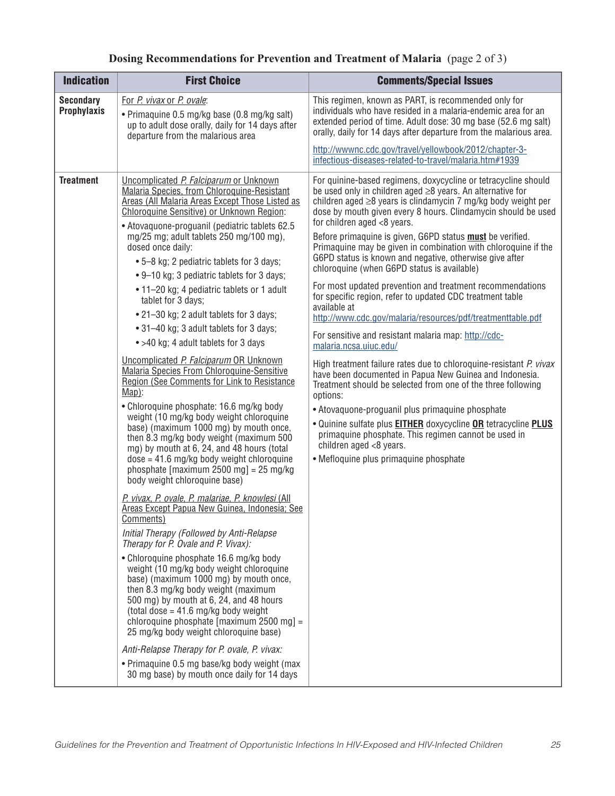| <b>Dosing Recommendations for Prevention and Treatment of Malaria</b> (page 2 of 3) |  |  |  |
|-------------------------------------------------------------------------------------|--|--|--|
|-------------------------------------------------------------------------------------|--|--|--|

| <b>Indication</b>                      | <b>First Choice</b>                                                                                                                                                                                                                                                                                                                                                                                                                                                                                                                                                                                                                                                                                                                                                                                                                                                                                                                                                                                                                                                                                                                                                                                                                                                                                                                                                                                                                                                                                                                                                                                                                           | <b>Comments/Special Issues</b>                                                                                                                                                                                                                                                                                                                                                                                                                                                                                                                                                                                                                                                                                                                                                                                                                                                                                                                                                                                                                                                                                                                                                                                                                                                                                              |
|----------------------------------------|-----------------------------------------------------------------------------------------------------------------------------------------------------------------------------------------------------------------------------------------------------------------------------------------------------------------------------------------------------------------------------------------------------------------------------------------------------------------------------------------------------------------------------------------------------------------------------------------------------------------------------------------------------------------------------------------------------------------------------------------------------------------------------------------------------------------------------------------------------------------------------------------------------------------------------------------------------------------------------------------------------------------------------------------------------------------------------------------------------------------------------------------------------------------------------------------------------------------------------------------------------------------------------------------------------------------------------------------------------------------------------------------------------------------------------------------------------------------------------------------------------------------------------------------------------------------------------------------------------------------------------------------------|-----------------------------------------------------------------------------------------------------------------------------------------------------------------------------------------------------------------------------------------------------------------------------------------------------------------------------------------------------------------------------------------------------------------------------------------------------------------------------------------------------------------------------------------------------------------------------------------------------------------------------------------------------------------------------------------------------------------------------------------------------------------------------------------------------------------------------------------------------------------------------------------------------------------------------------------------------------------------------------------------------------------------------------------------------------------------------------------------------------------------------------------------------------------------------------------------------------------------------------------------------------------------------------------------------------------------------|
| <b>Secondary</b><br><b>Prophylaxis</b> | For P. vivax or P. ovale:<br>• Primaquine 0.5 mg/kg base (0.8 mg/kg salt)<br>up to adult dose orally, daily for 14 days after<br>departure from the malarious area                                                                                                                                                                                                                                                                                                                                                                                                                                                                                                                                                                                                                                                                                                                                                                                                                                                                                                                                                                                                                                                                                                                                                                                                                                                                                                                                                                                                                                                                            | This regimen, known as PART, is recommended only for<br>individuals who have resided in a malaria-endemic area for an<br>extended period of time. Adult dose: 30 mg base (52.6 mg salt)<br>orally, daily for 14 days after departure from the malarious area.                                                                                                                                                                                                                                                                                                                                                                                                                                                                                                                                                                                                                                                                                                                                                                                                                                                                                                                                                                                                                                                               |
|                                        |                                                                                                                                                                                                                                                                                                                                                                                                                                                                                                                                                                                                                                                                                                                                                                                                                                                                                                                                                                                                                                                                                                                                                                                                                                                                                                                                                                                                                                                                                                                                                                                                                                               | http://wwwnc.cdc.gov/travel/yellowbook/2012/chapter-3-<br>infectious-diseases-related-to-travel/malaria.htm#1939                                                                                                                                                                                                                                                                                                                                                                                                                                                                                                                                                                                                                                                                                                                                                                                                                                                                                                                                                                                                                                                                                                                                                                                                            |
| <b>Treatment</b>                       | Uncomplicated P. Falciparum or Unknown<br>Malaria Species, from Chloroquine-Resistant<br>Areas (All Malaria Areas Except Those Listed as<br>Chloroquine Sensitive) or Unknown Region:<br>• Atovaquone-proguanil (pediatric tablets 62.5<br>mg/25 mg; adult tablets 250 mg/100 mg),<br>dosed once daily:<br>• 5-8 kg; 2 pediatric tablets for 3 days;<br>• 9–10 kg; 3 pediatric tablets for 3 days;<br>• 11-20 kg; 4 pediatric tablets or 1 adult<br>tablet for 3 days;<br>• 21-30 kg; 2 adult tablets for 3 days;<br>• 31-40 kg; 3 adult tablets for 3 days;<br>• >40 kg; 4 adult tablets for 3 days<br>Uncomplicated P. Falciparum OR Unknown<br><b>Malaria Species From Chloroquine-Sensitive</b><br>Region (See Comments for Link to Resistance<br>Map):<br>• Chloroquine phosphate: 16.6 mg/kg body<br>weight (10 mg/kg body weight chloroquine<br>base) (maximum 1000 mg) by mouth once,<br>then 8.3 mg/kg body weight (maximum 500<br>mg) by mouth at 6, 24, and 48 hours (total<br>$dose = 41.6$ mg/kg body weight chloroquine<br>phosphate [maximum 2500 mg] = $25 \text{ mg/kg}$<br>body weight chloroquine base)<br>P. vivax, P. ovale, P. malariae, P. knowlesi (All<br>Areas Except Papua New Guinea, Indonesia; See<br>Comments)<br>Initial Therapy (Followed by Anti-Relapse<br>Therapy for P. Ovale and P. Vivax):<br>• Chloroquine phosphate 16.6 mg/kg body<br>weight (10 mg/kg body weight chloroquine<br>base) (maximum 1000 mg) by mouth once,<br>then 8.3 mg/kg body weight (maximum<br>500 mg) by mouth at 6, 24, and 48 hours<br>(total dose = $41.6$ mg/kg body weight<br>chloroquine phosphate $[maximum 2500 mg] =$ | For quinine-based regimens, doxycycline or tetracycline should<br>be used only in children aged $\geq$ 8 years. An alternative for<br>children aged $\geq$ 8 years is clindamycin 7 mg/kg body weight per<br>dose by mouth given every 8 hours. Clindamycin should be used<br>for children aged <8 years.<br>Before primaquine is given, G6PD status <b>must</b> be verified.<br>Primaquine may be given in combination with chloroquine if the<br>G6PD status is known and negative, otherwise give after<br>chloroquine (when G6PD status is available)<br>For most updated prevention and treatment recommendations<br>for specific region, refer to updated CDC treatment table<br>available at<br>http://www.cdc.gov/malaria/resources/pdf/treatmenttable.pdf<br>For sensitive and resistant malaria map: http://cdc-<br>malaria.ncsa.uiuc.edu/<br>High treatment failure rates due to chloroquine-resistant P. vivax<br>have been documented in Papua New Guinea and Indonesia.<br>Treatment should be selected from one of the three following<br>options:<br>• Atovaquone-proguanil plus primaquine phosphate<br>. Quinine sulfate plus <b>EITHER</b> doxycycline OR tetracycline PLUS<br>primaquine phosphate. This regimen cannot be used in<br>children aged <8 years.<br>• Mefloquine plus primaquine phosphate |
|                                        | 25 mg/kg body weight chloroquine base)<br>Anti-Relapse Therapy for P. ovale, P. vivax:                                                                                                                                                                                                                                                                                                                                                                                                                                                                                                                                                                                                                                                                                                                                                                                                                                                                                                                                                                                                                                                                                                                                                                                                                                                                                                                                                                                                                                                                                                                                                        |                                                                                                                                                                                                                                                                                                                                                                                                                                                                                                                                                                                                                                                                                                                                                                                                                                                                                                                                                                                                                                                                                                                                                                                                                                                                                                                             |
|                                        | • Primaquine 0.5 mg base/kg body weight (max<br>30 mg base) by mouth once daily for 14 days                                                                                                                                                                                                                                                                                                                                                                                                                                                                                                                                                                                                                                                                                                                                                                                                                                                                                                                                                                                                                                                                                                                                                                                                                                                                                                                                                                                                                                                                                                                                                   |                                                                                                                                                                                                                                                                                                                                                                                                                                                                                                                                                                                                                                                                                                                                                                                                                                                                                                                                                                                                                                                                                                                                                                                                                                                                                                                             |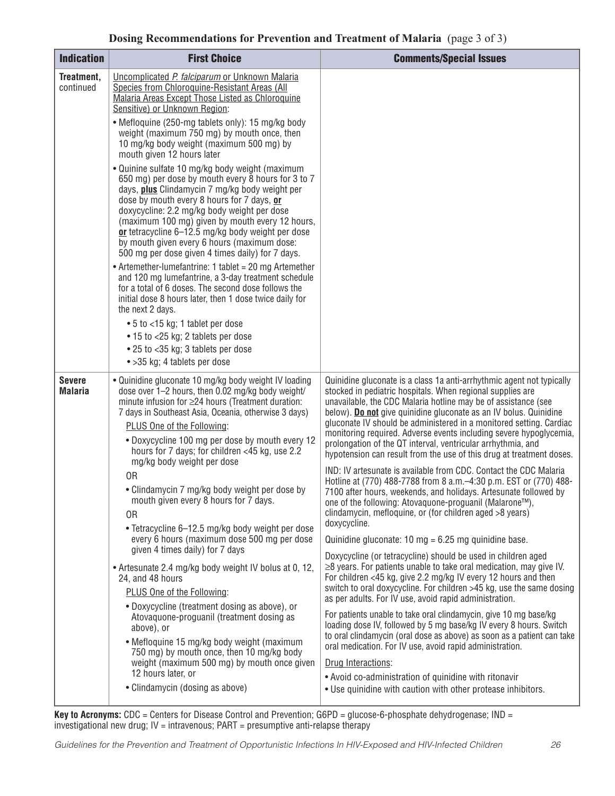| <b>Indication</b>               | <b>First Choice</b>                                                                                                                                                                                                                                                                                                                                                                                                                                                    | <b>Comments/Special Issues</b>                                                                                                                                                                                                                                                                                                                                                                                                                                                                                                                                  |
|---------------------------------|------------------------------------------------------------------------------------------------------------------------------------------------------------------------------------------------------------------------------------------------------------------------------------------------------------------------------------------------------------------------------------------------------------------------------------------------------------------------|-----------------------------------------------------------------------------------------------------------------------------------------------------------------------------------------------------------------------------------------------------------------------------------------------------------------------------------------------------------------------------------------------------------------------------------------------------------------------------------------------------------------------------------------------------------------|
| Treatment,<br>continued         | Uncomplicated P. falciparum or Unknown Malaria<br>Species from Chloroquine-Resistant Areas (All<br>Malaria Areas Except Those Listed as Chloroquine<br>Sensitive) or Unknown Region:                                                                                                                                                                                                                                                                                   |                                                                                                                                                                                                                                                                                                                                                                                                                                                                                                                                                                 |
|                                 | • Mefloquine (250-mg tablets only): 15 mg/kg body<br>weight (maximum 750 mg) by mouth once, then<br>10 mg/kg body weight (maximum 500 mg) by<br>mouth given 12 hours later                                                                                                                                                                                                                                                                                             |                                                                                                                                                                                                                                                                                                                                                                                                                                                                                                                                                                 |
|                                 | • Quinine sulfate 10 mg/kg body weight (maximum<br>650 mg) per dose by mouth every 8 hours for 3 to 7<br>days, <b>plus</b> Clindamycin 7 mg/kg body weight per<br>dose by mouth every 8 hours for 7 days, or<br>doxycycline: 2.2 mg/kg body weight per dose<br>(maximum 100 mg) given by mouth every 12 hours,<br>or tetracycline 6–12.5 mg/kg body weight per dose<br>by mouth given every 6 hours (maximum dose:<br>500 mg per dose given 4 times daily) for 7 days. |                                                                                                                                                                                                                                                                                                                                                                                                                                                                                                                                                                 |
|                                 | • Artemether-lumefantrine: 1 tablet = 20 mg Artemether<br>and 120 mg lumefantrine, a 3-day treatment schedule<br>for a total of 6 doses. The second dose follows the<br>initial dose 8 hours later, then 1 dose twice daily for<br>the next 2 days.                                                                                                                                                                                                                    |                                                                                                                                                                                                                                                                                                                                                                                                                                                                                                                                                                 |
|                                 | • 5 to <15 kg; 1 tablet per dose<br>• 15 to <25 kg; 2 tablets per dose                                                                                                                                                                                                                                                                                                                                                                                                 |                                                                                                                                                                                                                                                                                                                                                                                                                                                                                                                                                                 |
|                                 | • 25 to <35 kg; 3 tablets per dose                                                                                                                                                                                                                                                                                                                                                                                                                                     |                                                                                                                                                                                                                                                                                                                                                                                                                                                                                                                                                                 |
|                                 | • > 35 kg; 4 tablets per dose                                                                                                                                                                                                                                                                                                                                                                                                                                          |                                                                                                                                                                                                                                                                                                                                                                                                                                                                                                                                                                 |
| <b>Severe</b><br><b>Malaria</b> | • Quinidine gluconate 10 mg/kg body weight IV loading<br>dose over 1-2 hours, then 0.02 mg/kg body weight/<br>minute infusion for ≥24 hours (Treatment duration:<br>7 days in Southeast Asia, Oceania, otherwise 3 days)<br>PLUS One of the Following:<br>. Doxycycline 100 mg per dose by mouth every 12<br>hours for 7 days; for children <45 kg, use 2.2                                                                                                            | Quinidine gluconate is a class 1a anti-arrhythmic agent not typically<br>stocked in pediatric hospitals. When regional supplies are<br>unavailable, the CDC Malaria hotline may be of assistance (see<br>below). Do not give quinidine gluconate as an IV bolus. Quinidine<br>gluconate IV should be administered in a monitored setting. Cardiac<br>monitoring required. Adverse events including severe hypoglycemia,<br>prolongation of the QT interval, ventricular arrhythmia, and<br>hypotension can result from the use of this drug at treatment doses. |
|                                 | mg/kg body weight per dose<br>0R                                                                                                                                                                                                                                                                                                                                                                                                                                       | IND: IV artesunate is available from CDC. Contact the CDC Malaria                                                                                                                                                                                                                                                                                                                                                                                                                                                                                               |
|                                 | • Clindamycin 7 mg/kg body weight per dose by<br>mouth given every 8 hours for 7 days.<br>0 <sub>R</sub>                                                                                                                                                                                                                                                                                                                                                               | Hotline at (770) 488-7788 from 8 a.m. -4:30 p.m. EST or (770) 488-<br>7100 after hours, weekends, and holidays. Artesunate followed by<br>one of the following: Atovaquone-proguanil (Malarone™),<br>clindamycin, mefloquine, or (for children aged >8 years)<br>doxycycline.                                                                                                                                                                                                                                                                                   |
|                                 | • Tetracycline 6-12.5 mg/kg body weight per dose<br>every 6 hours (maximum dose 500 mg per dose                                                                                                                                                                                                                                                                                                                                                                        | Quinidine gluconate: $10 \text{ mg} = 6.25 \text{ mg}$ guinidine base.                                                                                                                                                                                                                                                                                                                                                                                                                                                                                          |
|                                 | given 4 times daily) for 7 days<br>• Artesunate 2.4 mg/kg body weight IV bolus at 0, 12,<br>24, and 48 hours<br>PLUS One of the Following:<br>• Doxycycline (treatment dosing as above), or                                                                                                                                                                                                                                                                            | Doxycycline (or tetracycline) should be used in children aged<br>$\geq$ 8 years. For patients unable to take oral medication, may give IV.<br>For children <45 kg, give 2.2 mg/kg IV every 12 hours and then<br>switch to oral doxycycline. For children >45 kg, use the same dosing<br>as per adults. For IV use, avoid rapid administration.                                                                                                                                                                                                                  |
|                                 | Atovaquone-proguanil (treatment dosing as<br>above), or<br>• Mefloquine 15 mg/kg body weight (maximum                                                                                                                                                                                                                                                                                                                                                                  | For patients unable to take oral clindamycin, give 10 mg base/kg<br>loading dose IV, followed by 5 mg base/kg IV every 8 hours. Switch<br>to oral clindamycin (oral dose as above) as soon as a patient can take                                                                                                                                                                                                                                                                                                                                                |
|                                 | 750 mg) by mouth once, then 10 mg/kg body<br>weight (maximum 500 mg) by mouth once given                                                                                                                                                                                                                                                                                                                                                                               | oral medication. For IV use, avoid rapid administration.<br>Drug Interactions:                                                                                                                                                                                                                                                                                                                                                                                                                                                                                  |
|                                 | 12 hours later, or<br>• Clindamycin (dosing as above)                                                                                                                                                                                                                                                                                                                                                                                                                  | • Avoid co-administration of quinidine with ritonavir<br>. Use quinidine with caution with other protease inhibitors.                                                                                                                                                                                                                                                                                                                                                                                                                                           |

**Key to Acronyms:** CDC = Centers for Disease Control and Prevention; G6PD = glucose-6-phosphate dehydrogenase; IND = investigational new drug; IV = intravenous; PART = presumptive anti-relapse therapy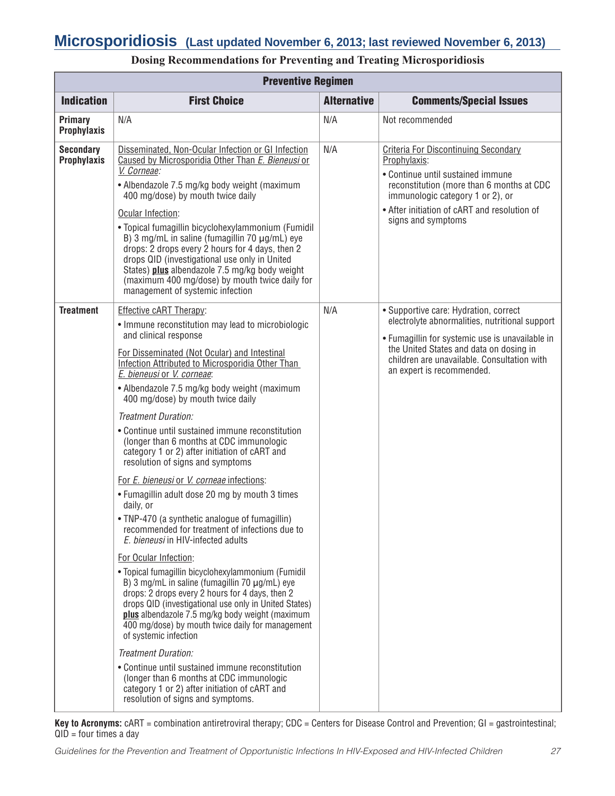|                                        | <b>Preventive Regimen</b>                                                                                                                                                                                                                                                                                                                                                                                                                                                                                                                                                                                                                                                                                                                                                                                                                                                                                                                                                                                                                                                                                                                                                                                                                                                                                                                                                                                   |                    |                                                                                                                                                                                                                                                                   |  |  |
|----------------------------------------|-------------------------------------------------------------------------------------------------------------------------------------------------------------------------------------------------------------------------------------------------------------------------------------------------------------------------------------------------------------------------------------------------------------------------------------------------------------------------------------------------------------------------------------------------------------------------------------------------------------------------------------------------------------------------------------------------------------------------------------------------------------------------------------------------------------------------------------------------------------------------------------------------------------------------------------------------------------------------------------------------------------------------------------------------------------------------------------------------------------------------------------------------------------------------------------------------------------------------------------------------------------------------------------------------------------------------------------------------------------------------------------------------------------|--------------------|-------------------------------------------------------------------------------------------------------------------------------------------------------------------------------------------------------------------------------------------------------------------|--|--|
| <b>Indication</b>                      | <b>First Choice</b>                                                                                                                                                                                                                                                                                                                                                                                                                                                                                                                                                                                                                                                                                                                                                                                                                                                                                                                                                                                                                                                                                                                                                                                                                                                                                                                                                                                         | <b>Alternative</b> | <b>Comments/Special Issues</b>                                                                                                                                                                                                                                    |  |  |
| Primary<br><b>Prophylaxis</b>          | N/A                                                                                                                                                                                                                                                                                                                                                                                                                                                                                                                                                                                                                                                                                                                                                                                                                                                                                                                                                                                                                                                                                                                                                                                                                                                                                                                                                                                                         | N/A                | Not recommended                                                                                                                                                                                                                                                   |  |  |
| <b>Secondary</b><br><b>Prophylaxis</b> | Disseminated, Non-Ocular Infection or GI Infection<br>Caused by Microsporidia Other Than E. Bieneusi or<br>V. Corneae:<br>• Albendazole 7.5 mg/kg body weight (maximum<br>400 mg/dose) by mouth twice daily<br>Ocular Infection:<br>• Topical fumagillin bicyclohexylammonium (Fumidil<br>B) 3 mg/mL in saline (fumagillin 70 $\mu$ g/mL) eye<br>drops: 2 drops every 2 hours for 4 days, then 2<br>drops QID (investigational use only in United<br>States) plus albendazole 7.5 mg/kg body weight<br>(maximum 400 mg/dose) by mouth twice daily for<br>management of systemic infection                                                                                                                                                                                                                                                                                                                                                                                                                                                                                                                                                                                                                                                                                                                                                                                                                   | N/A                | <b>Criteria For Discontinuing Secondary</b><br>Prophylaxis:<br>• Continue until sustained immune<br>reconstitution (more than 6 months at CDC<br>immunologic category 1 or 2), or<br>• After initiation of cART and resolution of<br>signs and symptoms           |  |  |
| <b>Treatment</b>                       | Effective cART Therapy:<br>• Immune reconstitution may lead to microbiologic<br>and clinical response<br>For Disseminated (Not Ocular) and Intestinal<br>Infection Attributed to Microsporidia Other Than<br>E. bieneusi or V. corneae:<br>• Albendazole 7.5 mg/kg body weight (maximum<br>400 mg/dose) by mouth twice daily<br>Treatment Duration:<br>• Continue until sustained immune reconstitution<br>(longer than 6 months at CDC immunologic<br>category 1 or 2) after initiation of cART and<br>resolution of signs and symptoms<br>For <i>E. bieneusi</i> or <i>V. corneae</i> infections:<br>• Fumagillin adult dose 20 mg by mouth 3 times<br>daily, or<br>• TNP-470 (a synthetic analogue of fumagillin)<br>recommended for treatment of infections due to<br>E. bieneusi in HIV-infected adults<br>For Ocular Infection:<br>• Topical fumagillin bicyclohexylammonium (Fumidil<br>B) 3 mg/mL in saline (fumagillin 70 $\mu$ g/mL) eye<br>drops: 2 drops every 2 hours for 4 days, then 2<br>drops QID (investigational use only in United States)<br>plus albendazole 7.5 mg/kg body weight (maximum<br>400 mg/dose) by mouth twice daily for management<br>of systemic infection<br>Treatment Duration:<br>• Continue until sustained immune reconstitution<br>(longer than 6 months at CDC immunologic<br>category 1 or 2) after initiation of cART and<br>resolution of signs and symptoms. | N/A                | • Supportive care: Hydration, correct<br>electrolyte abnormalities, nutritional support<br>• Fumagillin for systemic use is unavailable in<br>the United States and data on dosing in<br>children are unavailable. Consultation with<br>an expert is recommended. |  |  |

### **Dosing Recommendations for Preventing and Treating Microsporidiosis**

**Key to Acronyms:** cART = combination antiretroviral therapy; CDC = Centers for Disease Control and Prevention; GI = gastrointestinal;  $QID = four times a day$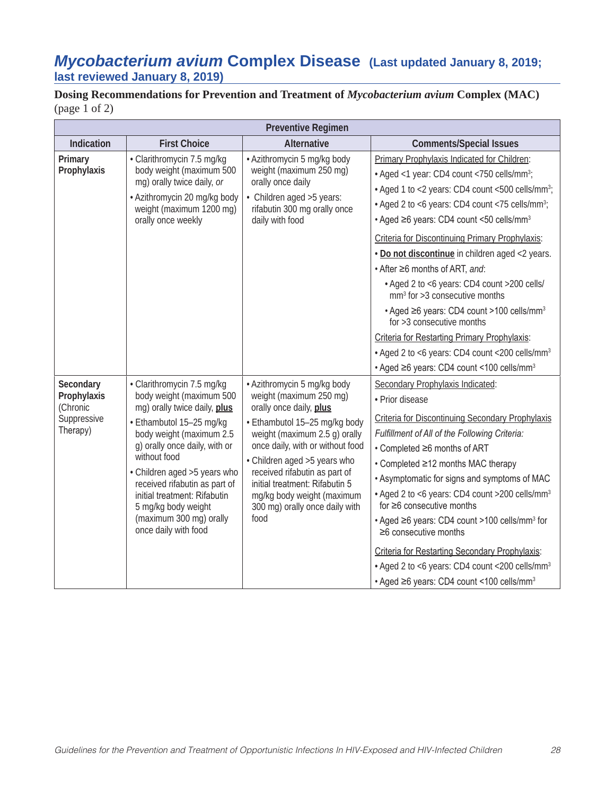### *Mycobacterium avium* **Complex Disease (Last updated January 8, 2019; last reviewed January 8, 2019)**

**Dosing Recommendations for Prevention and Treatment of** *Mycobacterium avium* **Complex (MAC)**  (page 1 of 2)

| <b>Preventive Regimen</b>                                       |                                                                                                                                                                                                                                                                                                                                                                             |                                                                                                                                                                                                                                                                                                                                                                     |                                                                                                                                                                                                                                                                                                                                                                                                                                                                                                                                                                                                                                                                                                                                                                                       |
|-----------------------------------------------------------------|-----------------------------------------------------------------------------------------------------------------------------------------------------------------------------------------------------------------------------------------------------------------------------------------------------------------------------------------------------------------------------|---------------------------------------------------------------------------------------------------------------------------------------------------------------------------------------------------------------------------------------------------------------------------------------------------------------------------------------------------------------------|---------------------------------------------------------------------------------------------------------------------------------------------------------------------------------------------------------------------------------------------------------------------------------------------------------------------------------------------------------------------------------------------------------------------------------------------------------------------------------------------------------------------------------------------------------------------------------------------------------------------------------------------------------------------------------------------------------------------------------------------------------------------------------------|
| Indication                                                      | <b>First Choice</b>                                                                                                                                                                                                                                                                                                                                                         | <b>Alternative</b>                                                                                                                                                                                                                                                                                                                                                  | <b>Comments/Special Issues</b>                                                                                                                                                                                                                                                                                                                                                                                                                                                                                                                                                                                                                                                                                                                                                        |
| Primary<br>Prophylaxis                                          | · Clarithromycin 7.5 mg/kg<br>body weight (maximum 500<br>mg) orally twice daily, or<br>· Azithromycin 20 mg/kg body<br>weight (maximum 1200 mg)<br>orally once weekly                                                                                                                                                                                                      | • Azithromycin 5 mg/kg body<br>weight (maximum 250 mg)<br>orally once daily<br>• Children aged > 5 years:<br>rifabutin 300 mg orally once<br>daily with food                                                                                                                                                                                                        | Primary Prophylaxis Indicated for Children:<br>• Aged <1 year: CD4 count <750 cells/mm <sup>3</sup> ;<br>• Aged 1 to <2 years: CD4 count <500 cells/mm <sup>3</sup> ;<br>• Aged 2 to <6 years: CD4 count <75 cells/mm <sup>3</sup> ;<br>• Aged ≥6 years: CD4 count <50 cells/mm <sup>3</sup><br>Criteria for Discontinuing Primary Prophylaxis:<br>. Do not discontinue in children aged <2 years.<br>• After ≥6 months of ART, and:<br>• Aged 2 to <6 years: CD4 count >200 cells/<br>$mm3$ for >3 consecutive months<br>• Aged ≥6 years: CD4 count >100 cells/mm <sup>3</sup><br>for $>3$ consecutive months<br>Criteria for Restarting Primary Prophylaxis:<br>• Aged 2 to <6 years: CD4 count <200 cells/mm <sup>3</sup><br>• Aged ≥6 years: CD4 count <100 cells/mm <sup>3</sup> |
| Secondary<br>Prophylaxis<br>(Chronic<br>Suppressive<br>Therapy) | · Clarithromycin 7.5 mg/kg<br>body weight (maximum 500<br>mg) orally twice daily, plus<br>· Ethambutol 15-25 mg/kg<br>body weight (maximum 2.5<br>g) orally once daily, with or<br>without food<br>• Children aged > 5 years who<br>received rifabutin as part of<br>initial treatment: Rifabutin<br>5 mg/kg body weight<br>(maximum 300 mg) orally<br>once daily with food | • Azithromycin 5 mg/kg body<br>weight (maximum 250 mg)<br>orally once daily, plus<br>• Ethambutol 15-25 mg/kg body<br>weight (maximum 2.5 g) orally<br>once daily, with or without food<br>• Children aged > 5 years who<br>received rifabutin as part of<br>initial treatment: Rifabutin 5<br>mg/kg body weight (maximum<br>300 mg) orally once daily with<br>food | Secondary Prophylaxis Indicated:<br>• Prior disease<br>Criteria for Discontinuing Secondary Prophylaxis<br>Fulfillment of All of the Following Criteria:<br>• Completed ≥6 months of ART<br>• Completed ≥12 months MAC therapy<br>• Asymptomatic for signs and symptoms of MAC<br>• Aged 2 to <6 years: CD4 count >200 cells/mm <sup>3</sup><br>for $\geq 6$ consecutive months<br>• Aged ≥6 years: CD4 count >100 cells/mm <sup>3</sup> for<br>$\geq$ 6 consecutive months<br><b>Criteria for Restarting Secondary Prophylaxis:</b><br>• Aged 2 to <6 years: CD4 count <200 cells/mm <sup>3</sup><br>• Aged ≥6 years: CD4 count <100 cells/mm <sup>3</sup>                                                                                                                           |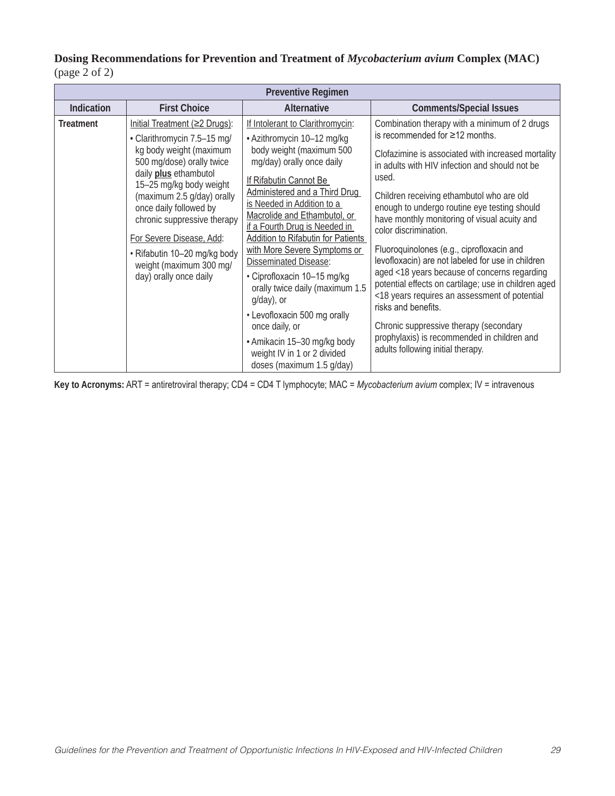### **Dosing Recommendations for Prevention and Treatment of** *Mycobacterium avium* **Complex (MAC)**  (page 2 of 2)

| <b>Preventive Regimen</b> |                                                                                                                                                                                                                                                                                                                                                                                  |                                                                                                                                                                                                                                                                                                                                                                                                                                                                                                                                                                                                                      |                                                                                                                                                                                                                                                                                                                                                                                                                                                                                                                                                                                                                                                                                                                                                                                              |  |
|---------------------------|----------------------------------------------------------------------------------------------------------------------------------------------------------------------------------------------------------------------------------------------------------------------------------------------------------------------------------------------------------------------------------|----------------------------------------------------------------------------------------------------------------------------------------------------------------------------------------------------------------------------------------------------------------------------------------------------------------------------------------------------------------------------------------------------------------------------------------------------------------------------------------------------------------------------------------------------------------------------------------------------------------------|----------------------------------------------------------------------------------------------------------------------------------------------------------------------------------------------------------------------------------------------------------------------------------------------------------------------------------------------------------------------------------------------------------------------------------------------------------------------------------------------------------------------------------------------------------------------------------------------------------------------------------------------------------------------------------------------------------------------------------------------------------------------------------------------|--|
| <b>Indication</b>         | <b>First Choice</b>                                                                                                                                                                                                                                                                                                                                                              | <b>Alternative</b>                                                                                                                                                                                                                                                                                                                                                                                                                                                                                                                                                                                                   | <b>Comments/Special Issues</b>                                                                                                                                                                                                                                                                                                                                                                                                                                                                                                                                                                                                                                                                                                                                                               |  |
| <b>Treatment</b>          | Initial Treatment (≥2 Drugs):<br>· Clarithromycin 7.5-15 mg/<br>kg body weight (maximum<br>500 mg/dose) orally twice<br>daily plus ethambutol<br>15-25 mg/kg body weight<br>(maximum 2.5 g/day) orally<br>once daily followed by<br>chronic suppressive therapy<br>For Severe Disease, Add:<br>· Rifabutin 10-20 mg/kg body<br>weight (maximum 300 mg/<br>day) orally once daily | If Intolerant to Clarithromycin:<br>· Azithromycin 10-12 mg/kg<br>body weight (maximum 500<br>mg/day) orally once daily<br>If Rifabutin Cannot Be<br>Administered and a Third Drug<br>is Needed in Addition to a<br>Macrolide and Ethambutol, or<br>if a Fourth Drug is Needed in<br>Addition to Rifabutin for Patients<br>with More Severe Symptoms or<br><b>Disseminated Disease:</b><br>· Ciprofloxacin 10-15 mg/kg<br>orally twice daily (maximum 1.5<br>g/day), or<br>• Levofloxacin 500 mg orally<br>once daily, or<br>• Amikacin 15-30 mg/kg body<br>weight IV in 1 or 2 divided<br>doses (maximum 1.5 g/day) | Combination therapy with a minimum of 2 drugs<br>is recommended for $\geq$ 12 months.<br>Clofazimine is associated with increased mortality<br>in adults with HIV infection and should not be<br>used.<br>Children receiving ethambutol who are old<br>enough to undergo routine eye testing should<br>have monthly monitoring of visual acuity and<br>color discrimination.<br>Fluoroquinolones (e.g., ciprofloxacin and<br>levofloxacin) are not labeled for use in children<br>aged <18 years because of concerns regarding<br>potential effects on cartilage; use in children aged<br><18 years requires an assessment of potential<br>risks and benefits.<br>Chronic suppressive therapy (secondary<br>prophylaxis) is recommended in children and<br>adults following initial therapy. |  |

**Key to Acronyms:** ART = antiretroviral therapy; CD4 = CD4 T lymphocyte; MAC = *Mycobacterium avium* complex; IV = intravenous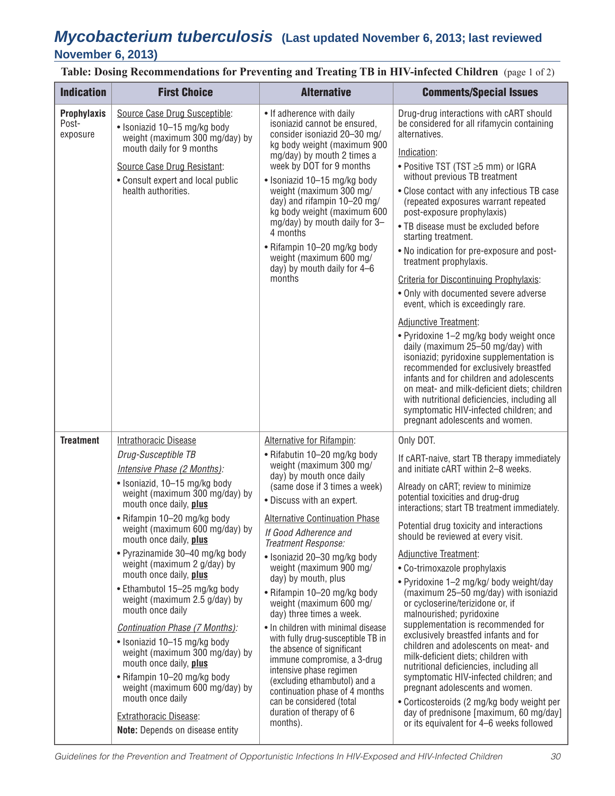### *Mycobacterium tuberculosis* **(Last updated November 6, 2013; last reviewed November 6, 2013)**

**Table: Dosing Recommendations for Preventing and Treating TB in HIV-infected Children** (page 1 of 2)

| <b>Indication</b>                       | <b>First Choice</b>                                                                                                                                                                                                                                                                                                                                                                                                                                                                                                                                                                                                                                                                                                                                        | <b>Alternative</b>                                                                                                                                                                                                                                                                                                                                                                                                                                                                                                                                                                                                                                                                                                                                       | <b>Comments/Special Issues</b>                                                                                                                                                                                                                                                                                                                                                                                                                                                                                                                                                                                                                                                                                                                                                                                                                                                                                                                                                                                 |
|-----------------------------------------|------------------------------------------------------------------------------------------------------------------------------------------------------------------------------------------------------------------------------------------------------------------------------------------------------------------------------------------------------------------------------------------------------------------------------------------------------------------------------------------------------------------------------------------------------------------------------------------------------------------------------------------------------------------------------------------------------------------------------------------------------------|----------------------------------------------------------------------------------------------------------------------------------------------------------------------------------------------------------------------------------------------------------------------------------------------------------------------------------------------------------------------------------------------------------------------------------------------------------------------------------------------------------------------------------------------------------------------------------------------------------------------------------------------------------------------------------------------------------------------------------------------------------|----------------------------------------------------------------------------------------------------------------------------------------------------------------------------------------------------------------------------------------------------------------------------------------------------------------------------------------------------------------------------------------------------------------------------------------------------------------------------------------------------------------------------------------------------------------------------------------------------------------------------------------------------------------------------------------------------------------------------------------------------------------------------------------------------------------------------------------------------------------------------------------------------------------------------------------------------------------------------------------------------------------|
| <b>Prophylaxis</b><br>Post-<br>exposure | Source Case Drug Susceptible:<br>• Isoniazid 10-15 mg/kg body<br>weight (maximum 300 mg/day) by<br>mouth daily for 9 months<br>Source Case Drug Resistant:<br>• Consult expert and local public<br>health authorities.                                                                                                                                                                                                                                                                                                                                                                                                                                                                                                                                     | • If adherence with daily<br>isoniazid cannot be ensured,<br>consider isoniazid 20-30 mg/<br>kg body weight (maximum 900<br>mg/day) by mouth 2 times a<br>week by DOT for 9 months<br>• Isoniazid 10-15 mg/kg body<br>weight (maximum 300 mg/<br>day) and rifampin 10-20 mg/<br>kg body weight (maximum 600<br>mg/day) by mouth daily for 3-<br>4 months<br>• Rifampin 10-20 mg/kg body<br>weight (maximum 600 mg/<br>day) by mouth daily for 4-6<br>months                                                                                                                                                                                                                                                                                              | Drug-drug interactions with cART should<br>be considered for all rifamycin containing<br>alternatives.<br>Indication:<br>. Positive TST (TST ≥5 mm) or IGRA<br>without previous TB treatment<br>• Close contact with any infectious TB case<br>(repeated exposures warrant repeated<br>post-exposure prophylaxis)<br>• TB disease must be excluded before<br>starting treatment.<br>. No indication for pre-exposure and post-<br>treatment prophylaxis.<br>Criteria for Discontinuing Prophylaxis:<br>• Only with documented severe adverse<br>event, which is exceedingly rare.<br><b>Adjunctive Treatment:</b><br>. Pyridoxine 1-2 mg/kg body weight once<br>daily (maximum 25-50 mg/day) with<br>isoniazid; pyridoxine supplementation is<br>recommended for exclusively breastfed<br>infants and for children and adolescents<br>on meat- and milk-deficient diets; children<br>with nutritional deficiencies, including all<br>symptomatic HIV-infected children; and<br>pregnant adolescents and women. |
| <b>Treatment</b>                        | <b>Intrathoracic Disease</b><br>Drug-Susceptible TB<br>Intensive Phase (2 Months):<br>· Isoniazid, 10-15 mg/kg body<br>weight (maximum 300 mg/day) by<br>mouth once daily, plus<br>• Rifampin 10-20 mg/kg body<br>weight (maximum 600 mg/day) by<br>mouth once daily, plus<br>• Pyrazinamide 30-40 mg/kg body<br>weight (maximum 2 g/day) by<br>mouth once daily, plus<br>• Ethambutol 15-25 mg/kg body<br>weight (maximum 2.5 g/day) by<br>mouth once daily<br>Continuation Phase (7 Months):<br>• Isoniazid 10-15 mg/kg body<br>weight (maximum 300 mg/day) by<br>mouth once daily, plus<br>• Rifampin 10-20 mg/kg body<br>weight (maximum 600 mg/day) by<br>mouth once daily<br><b>Extrathoracic Disease:</b><br><b>Note:</b> Depends on disease entity | Alternative for Rifampin:<br>• Rifabutin 10-20 mg/kg body<br>weight (maximum 300 mg/<br>day) by mouth once daily<br>(same dose if 3 times a week)<br>• Discuss with an expert.<br><b>Alternative Continuation Phase</b><br>If Good Adherence and<br>Treatment Response:<br>· Isoniazid 20-30 mg/kg body<br>weight (maximum 900 mg/<br>day) by mouth, plus<br>• Rifampin 10-20 mg/kg body<br>weight (maximum 600 mg/<br>day) three times a week.<br>• In children with minimal disease<br>with fully drug-susceptible TB in<br>the absence of significant<br>immune compromise, a 3-drug<br>intensive phase regimen<br>(excluding ethambutol) and a<br>continuation phase of 4 months<br>can be considered (total<br>duration of therapy of 6<br>months). | Only DOT.<br>If cART-naive, start TB therapy immediately<br>and initiate cART within 2-8 weeks.<br>Already on cART; review to minimize<br>potential toxicities and drug-drug<br>interactions; start TB treatment immediately.<br>Potential drug toxicity and interactions<br>should be reviewed at every visit.<br><b>Adjunctive Treatment:</b><br>• Co-trimoxazole prophylaxis<br>• Pyridoxine 1-2 mg/kg/ body weight/day<br>(maximum 25-50 mg/day) with isoniazid<br>or cycloserine/terizidone or, if<br>malnourished; pyridoxine<br>supplementation is recommended for<br>exclusively breastfed infants and for<br>children and adolescents on meat- and<br>milk-deficient diets; children with<br>nutritional deficiencies, including all<br>symptomatic HIV-infected children; and<br>pregnant adolescents and women.<br>• Corticosteroids (2 mg/kg body weight per<br>day of prednisone [maximum, 60 mg/day]<br>or its equivalent for 4-6 weeks followed                                                 |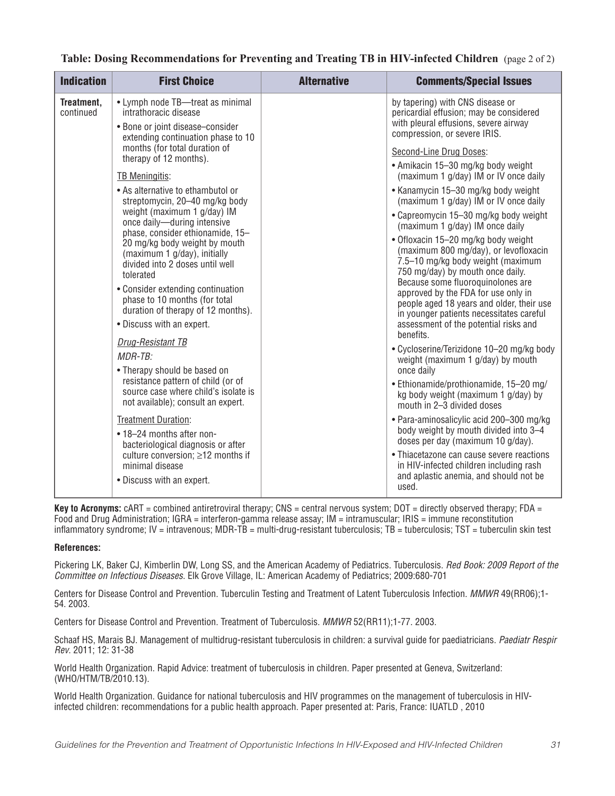|  |  | Table: Dosing Recommendations for Preventing and Treating TB in HIV-infected Children (page 2 of 2) |  |
|--|--|-----------------------------------------------------------------------------------------------------|--|
|  |  |                                                                                                     |  |

| <b>Indication</b>       | <b>First Choice</b>                                                                                                                                                                                                                                                                                                                                                                                                                                                                                                                                                                                                                                                                                                                                                                                                                    | <b>Alternative</b> | <b>Comments/Special Issues</b>                                                                                                                                                                                                                                                                                                                                                                                                                                                                                                                                                                                                                                                                                                                                                                                                                                                                                                                                                                                                                                                          |
|-------------------------|----------------------------------------------------------------------------------------------------------------------------------------------------------------------------------------------------------------------------------------------------------------------------------------------------------------------------------------------------------------------------------------------------------------------------------------------------------------------------------------------------------------------------------------------------------------------------------------------------------------------------------------------------------------------------------------------------------------------------------------------------------------------------------------------------------------------------------------|--------------------|-----------------------------------------------------------------------------------------------------------------------------------------------------------------------------------------------------------------------------------------------------------------------------------------------------------------------------------------------------------------------------------------------------------------------------------------------------------------------------------------------------------------------------------------------------------------------------------------------------------------------------------------------------------------------------------------------------------------------------------------------------------------------------------------------------------------------------------------------------------------------------------------------------------------------------------------------------------------------------------------------------------------------------------------------------------------------------------------|
| Treatment,<br>continued | • Lymph node TB-treat as minimal<br>intrathoracic disease<br>• Bone or joint disease-consider<br>extending continuation phase to 10<br>months (for total duration of                                                                                                                                                                                                                                                                                                                                                                                                                                                                                                                                                                                                                                                                   |                    | by tapering) with CNS disease or<br>pericardial effusion; may be considered<br>with pleural effusions, severe airway<br>compression, or severe IRIS.                                                                                                                                                                                                                                                                                                                                                                                                                                                                                                                                                                                                                                                                                                                                                                                                                                                                                                                                    |
|                         | therapy of 12 months).<br><b>TB Meningitis:</b><br>• As alternative to ethambutol or<br>streptomycin, 20-40 mg/kg body<br>weight (maximum 1 g/day) IM<br>once daily-during intensive<br>phase, consider ethionamide, 15-<br>20 mg/kg body weight by mouth<br>(maximum 1 g/day), initially<br>divided into 2 doses until well<br>tolerated<br>• Consider extending continuation<br>phase to 10 months (for total<br>duration of therapy of 12 months).<br>• Discuss with an expert.<br>Drug-Resistant TB<br>$MDR$ -T $R$ :<br>• Therapy should be based on<br>resistance pattern of child (or of<br>source case where child's isolate is<br>not available); consult an expert.<br><b>Treatment Duration:</b><br>• 18-24 months after non-<br>bacteriological diagnosis or after<br>culture conversion; ≥12 months if<br>minimal disease |                    | Second-Line Drug Doses:<br>• Amikacin 15-30 mg/kg body weight<br>(maximum 1 g/day) IM or IV once daily<br>• Kanamycin 15–30 mg/kg body weight<br>(maximum 1 g/day) IM or IV once daily<br>• Capreomycin 15-30 mg/kg body weight<br>(maximum 1 g/day) IM once daily<br>• Ofloxacin 15-20 mg/kg body weight<br>(maximum 800 mg/day), or levofloxacin<br>7.5-10 mg/kg body weight (maximum<br>750 mg/day) by mouth once daily.<br>Because some fluoroquinolones are<br>approved by the FDA for use only in<br>people aged 18 years and older, their use<br>in younger patients necessitates careful<br>assessment of the potential risks and<br>benefits.<br>· Cycloserine/Terizidone 10-20 mg/kg body<br>weight (maximum 1 g/day) by mouth<br>once daily<br>• Ethionamide/prothionamide, 15-20 mg/<br>kg body weight (maximum 1 g/day) by<br>mouth in 2-3 divided doses<br>• Para-aminosalicylic acid 200-300 mg/kg<br>body weight by mouth divided into 3-4<br>doses per day (maximum 10 g/day).<br>• Thiacetazone can cause severe reactions<br>in HIV-infected children including rash |
|                         | • Discuss with an expert.                                                                                                                                                                                                                                                                                                                                                                                                                                                                                                                                                                                                                                                                                                                                                                                                              |                    | and aplastic anemia, and should not be<br>used.                                                                                                                                                                                                                                                                                                                                                                                                                                                                                                                                                                                                                                                                                                                                                                                                                                                                                                                                                                                                                                         |

**Key to Acronyms:** cART = combined antiretroviral therapy; CNS = central nervous system; DOT = directly observed therapy; FDA = Food and Drug Administration; IGRA = interferon-gamma release assay; IM = intramuscular; IRIS = immune reconstitution inflammatory syndrome; IV = intravenous; MDR-TB = multi-drug-resistant tuberculosis; TB = tuberculosis; TST = tuberculin skin test

#### **References:**

Pickering LK, Baker CJ, Kimberlin DW, Long SS, and the American Academy of Pediatrics. Tuberculosis. *Red Book: 2009 Report of the Committee on Infectious Diseases*. Elk Grove Village, IL: American Academy of Pediatrics; 2009:680-701

Centers for Disease Control and Prevention. Tuberculin Testing and Treatment of Latent Tuberculosis Infection. *MMWR* 49(RR06);1- 54. 2003.

Centers for Disease Control and Prevention. Treatment of Tuberculosis. *MMWR* 52(RR11);1-77. 2003.

Schaaf HS, Marais BJ. Management of multidrug-resistant tuberculosis in children: a survival guide for paediatricians. *Paediatr Respir Rev*. 2011; 12: 31-38

World Health Organization. Rapid Advice: treatment of tuberculosis in children. Paper presented at Geneva, Switzerland: (WHO/HTM/TB/2010.13).

World Health Organization. Guidance for national tuberculosis and HIV programmes on the management of tuberculosis in HIVinfected children: recommendations for a public health approach. Paper presented at: Paris, France: IUATLD , 2010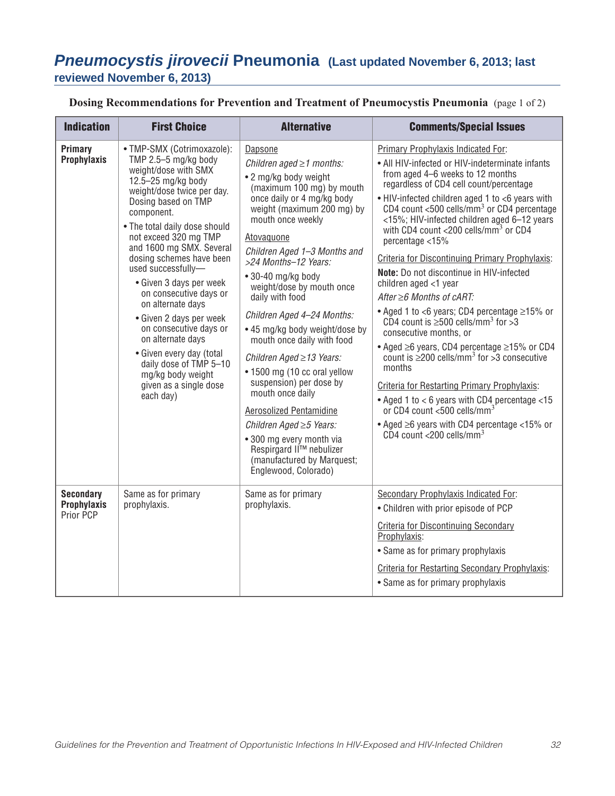# *Pneumocystis jirovecii* **Pneumonia (Last updated November 6, 2013; last reviewed November 6, 2013)**

**Dosing Recommendations for Prevention and Treatment of Pneumocystis Pneumonia** (page 1 of 2)

| <b>Indication</b>                                   | <b>First Choice</b>                                                                                                                                                                                                                                                                                                                                                                                                                                                                                                                                                                   | <b>Alternative</b>                                                                                                                                                                                                                                                                                                                                                                                                                                                                                                                                                                                                                                                                                              | <b>Comments/Special Issues</b>                                                                                                                                                                                                                                                                                                                                                                                                                                                                                                                                                                                                                                                                                                                                                                                                                                                                                                                                                                                                                                                               |
|-----------------------------------------------------|---------------------------------------------------------------------------------------------------------------------------------------------------------------------------------------------------------------------------------------------------------------------------------------------------------------------------------------------------------------------------------------------------------------------------------------------------------------------------------------------------------------------------------------------------------------------------------------|-----------------------------------------------------------------------------------------------------------------------------------------------------------------------------------------------------------------------------------------------------------------------------------------------------------------------------------------------------------------------------------------------------------------------------------------------------------------------------------------------------------------------------------------------------------------------------------------------------------------------------------------------------------------------------------------------------------------|----------------------------------------------------------------------------------------------------------------------------------------------------------------------------------------------------------------------------------------------------------------------------------------------------------------------------------------------------------------------------------------------------------------------------------------------------------------------------------------------------------------------------------------------------------------------------------------------------------------------------------------------------------------------------------------------------------------------------------------------------------------------------------------------------------------------------------------------------------------------------------------------------------------------------------------------------------------------------------------------------------------------------------------------------------------------------------------------|
| Primary<br>Prophylaxis                              | · TMP-SMX (Cotrimoxazole):<br>TMP $2.5 - 5$ mg/kg body<br>weight/dose with SMX<br>12.5-25 mg/kg body<br>weight/dose twice per day.<br>Dosing based on TMP<br>component.<br>• The total daily dose should<br>not exceed 320 mg TMP<br>and 1600 mg SMX. Several<br>dosing schemes have been<br>used successfully-<br>• Given 3 days per week<br>on consecutive days or<br>on alternate days<br>• Given 2 days per week<br>on consecutive days or<br>on alternate days<br>• Given every day (total<br>daily dose of TMP 5-10<br>mg/kg body weight<br>given as a single dose<br>each day) | Dapsone<br>Children aged $\geq$ 1 months:<br>• 2 mg/kg body weight<br>(maximum 100 mg) by mouth<br>once daily or 4 mg/kg body<br>weight (maximum 200 mg) by<br>mouth once weekly<br>Atovaguone<br>Children Aged 1-3 Months and<br>>24 Months-12 Years:<br>• 30-40 mg/kg body<br>weight/dose by mouth once<br>daily with food<br>Children Aged 4-24 Months:<br>• 45 mg/kg body weight/dose by<br>mouth once daily with food<br>Children Aged ≥13 Years:<br>• 1500 mg (10 cc oral yellow<br>suspension) per dose by<br>mouth once daily<br>Aerosolized Pentamidine<br>Children Aged $\geq$ 5 Years:<br>• 300 mg every month via<br>Respirgard II™ nebulizer<br>(manufactured by Marquest;<br>Englewood, Colorado) | Primary Prophylaxis Indicated For:<br>• All HIV-infected or HIV-indeterminate infants<br>from aged 4-6 weeks to 12 months<br>regardless of CD4 cell count/percentage<br>• HIV-infected children aged 1 to <6 years with<br>CD4 count <500 cells/ $\text{mm}^3$ or CD4 percentage<br><15%; HIV-infected children aged 6-12 years<br>with CD4 count <200 cells/mm <sup>3</sup> or CD4<br>percentage <15%<br>Criteria for Discontinuing Primary Prophylaxis:<br>Note: Do not discontinue in HIV-infected<br>children aged <1 year<br>After $\geq 6$ Months of cART:<br>• Aged 1 to <6 years; CD4 percentage $\geq$ 15% or<br>CD4 count is $\geq$ 500 cells/mm <sup>3</sup> for $>$ 3<br>consecutive months, or<br>• Aged ≥6 years, CD4 percentage ≥15% or CD4<br>count is $\geq$ 200 cells/mm <sup>3</sup> for $>$ 3 consecutive<br>months<br><b>Criteria for Restarting Primary Prophylaxis:</b><br>• Aged 1 to $<$ 6 years with CD4 percentage $<$ 15<br>or CD4 count <500 cells/mm <sup>3</sup><br>• Aged $\geq$ 6 years with CD4 percentage <15% or<br>CD4 count <200 cells/mm <sup>3</sup> |
| <b>Secondary</b><br><b>Prophylaxis</b><br>Prior PCP | Same as for primary<br>prophylaxis.                                                                                                                                                                                                                                                                                                                                                                                                                                                                                                                                                   | Same as for primary<br>prophylaxis.                                                                                                                                                                                                                                                                                                                                                                                                                                                                                                                                                                                                                                                                             | Secondary Prophylaxis Indicated For:<br>• Children with prior episode of PCP<br><b>Criteria for Discontinuing Secondary</b><br>Prophylaxis:<br>• Same as for primary prophylaxis<br><b>Criteria for Restarting Secondary Prophylaxis:</b><br>• Same as for primary prophylaxis                                                                                                                                                                                                                                                                                                                                                                                                                                                                                                                                                                                                                                                                                                                                                                                                               |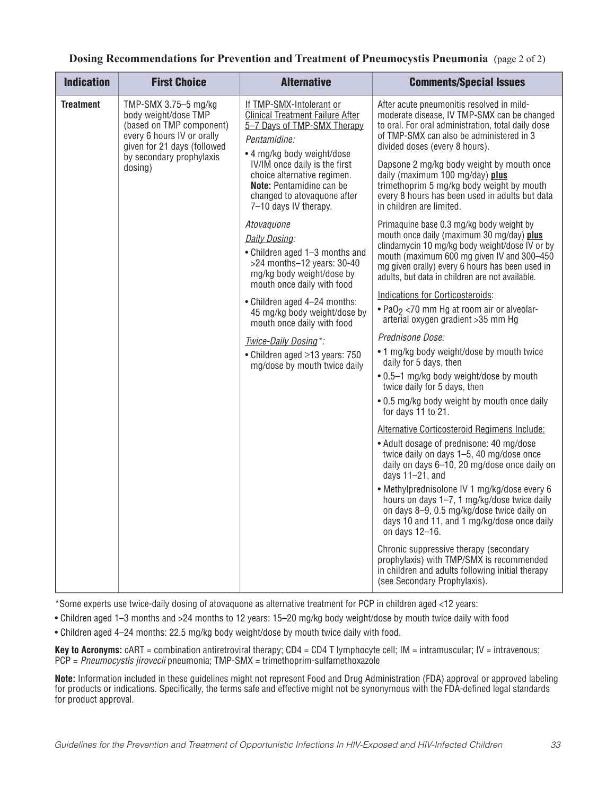| <b>Indication</b> | <b>First Choice</b>                                                                                                                                                          | <b>Alternative</b>                                                                                                                                                                                                                                                                                   | <b>Comments/Special Issues</b>                                                                                                                                                                                                                                                                                                                                                                                                          |
|-------------------|------------------------------------------------------------------------------------------------------------------------------------------------------------------------------|------------------------------------------------------------------------------------------------------------------------------------------------------------------------------------------------------------------------------------------------------------------------------------------------------|-----------------------------------------------------------------------------------------------------------------------------------------------------------------------------------------------------------------------------------------------------------------------------------------------------------------------------------------------------------------------------------------------------------------------------------------|
| <b>Treatment</b>  | TMP-SMX 3.75-5 mg/kg<br>body weight/dose TMP<br>(based on TMP component)<br>every 6 hours IV or orally<br>given for 21 days (followed<br>by secondary prophylaxis<br>dosing) | If TMP-SMX-Intolerant or<br><b>Clinical Treatment Failure After</b><br>5-7 Days of TMP-SMX Therapy<br>Pentamidine:<br>• 4 mg/kg body weight/dose<br>IV/IM once daily is the first<br>choice alternative regimen.<br>Note: Pentamidine can be<br>changed to atovaquone after<br>7-10 days IV therapy. | After acute pneumonitis resolved in mild-<br>moderate disease, IV TMP-SMX can be changed<br>to oral. For oral administration, total daily dose<br>of TMP-SMX can also be administered in 3<br>divided doses (every 8 hours).<br>Dapsone 2 mg/kg body weight by mouth once<br>daily (maximum 100 mg/day) plus<br>trimethoprim 5 mg/kg body weight by mouth<br>every 8 hours has been used in adults but data<br>in children are limited. |
|                   |                                                                                                                                                                              | Atovaquone<br>Daily Dosing:<br>• Children aged 1-3 months and<br>$>24$ months-12 years: $30-40$<br>mg/kg body weight/dose by<br>mouth once daily with food                                                                                                                                           | Primaquine base 0.3 mg/kg body weight by<br>mouth once daily (maximum 30 mg/day) plus<br>clindamycin 10 mg/kg body weight/dose IV or by<br>mouth (maximum 600 mg given IV and 300-450<br>mg given orally) every 6 hours has been used in<br>adults, but data in children are not available.                                                                                                                                             |
|                   |                                                                                                                                                                              | • Children aged 4-24 months:                                                                                                                                                                                                                                                                         | <b>Indications for Corticosteroids:</b>                                                                                                                                                                                                                                                                                                                                                                                                 |
|                   |                                                                                                                                                                              | 45 mg/kg body weight/dose by<br>mouth once daily with food                                                                                                                                                                                                                                           | . PaO <sub>2</sub> <70 mm Hg at room air or alveolar-<br>arterial oxygen gradient > 35 mm Hg                                                                                                                                                                                                                                                                                                                                            |
|                   |                                                                                                                                                                              | Twice-Daily Dosing*:                                                                                                                                                                                                                                                                                 | Prednisone Dose:                                                                                                                                                                                                                                                                                                                                                                                                                        |
|                   |                                                                                                                                                                              | • Children aged ≥13 years: 750<br>mg/dose by mouth twice daily                                                                                                                                                                                                                                       | . 1 mg/kg body weight/dose by mouth twice<br>daily for 5 days, then                                                                                                                                                                                                                                                                                                                                                                     |
|                   |                                                                                                                                                                              |                                                                                                                                                                                                                                                                                                      | . 0.5-1 mg/kg body weight/dose by mouth<br>twice daily for 5 days, then                                                                                                                                                                                                                                                                                                                                                                 |
|                   |                                                                                                                                                                              |                                                                                                                                                                                                                                                                                                      | • 0.5 mg/kg body weight by mouth once daily<br>for days 11 to 21.                                                                                                                                                                                                                                                                                                                                                                       |
|                   |                                                                                                                                                                              |                                                                                                                                                                                                                                                                                                      | Alternative Corticosteroid Regimens Include:                                                                                                                                                                                                                                                                                                                                                                                            |
|                   |                                                                                                                                                                              |                                                                                                                                                                                                                                                                                                      | • Adult dosage of prednisone: 40 mg/dose<br>twice daily on days 1-5, 40 mg/dose once<br>daily on days 6-10, 20 mg/dose once daily on<br>days $11-21$ , and                                                                                                                                                                                                                                                                              |
|                   |                                                                                                                                                                              |                                                                                                                                                                                                                                                                                                      | • Methylprednisolone IV 1 mg/kg/dose every 6<br>hours on days 1-7, 1 mg/kg/dose twice daily<br>on days 8-9, 0.5 mg/kg/dose twice daily on<br>days 10 and 11, and 1 mg/kg/dose once daily<br>on days 12-16.                                                                                                                                                                                                                              |
|                   |                                                                                                                                                                              |                                                                                                                                                                                                                                                                                                      | Chronic suppressive therapy (secondary<br>prophylaxis) with TMP/SMX is recommended<br>in children and adults following initial therapy<br>(see Secondary Prophylaxis).                                                                                                                                                                                                                                                                  |

#### **Dosing Recommendations for Prevention and Treatment of Pneumocystis Pneumonia** (page 2 of 2)

\*Some experts use twice-daily dosing of atovaquone as alternative treatment for PCP in children aged <12 years:

• Children aged 1–3 months and >24 months to 12 years: 15–20 mg/kg body weight/dose by mouth twice daily with food

• Children aged 4–24 months: 22.5 mg/kg body weight/dose by mouth twice daily with food.

**Key to Acronyms:** cART = combination antiretroviral therapy; CD4 = CD4 T lymphocyte cell; IM = intramuscular; IV = intravenous; PCP = *Pneumocystis jirovecii* pneumonia; TMP-SMX = trimethoprim-sulfamethoxazole

**Note:** Information included in these guidelines might not represent Food and Drug Administration (FDA) approval or approved labeling for products or indications. Specifically, the terms safe and effective might not be synonymous with the FDA-defined legal standards for product approval.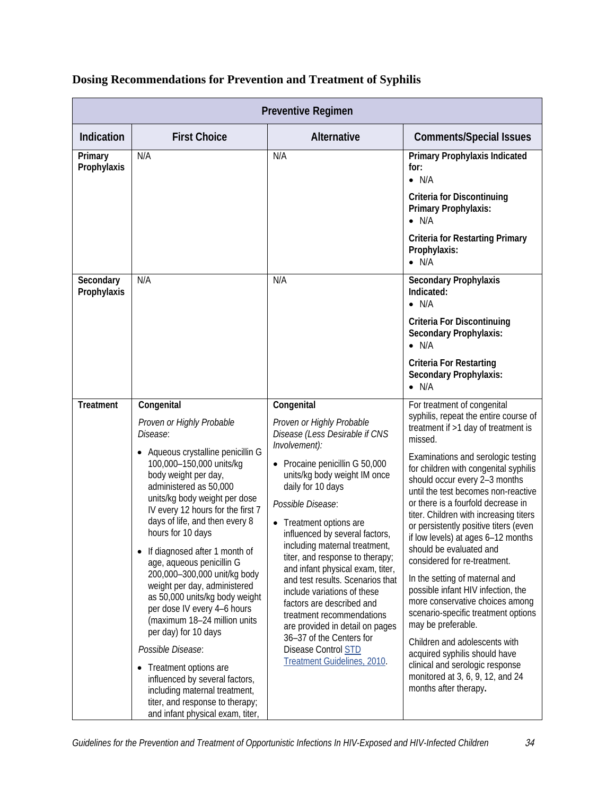| <b>Preventive Regimen</b> |                                                                                                                                                                                                                                                                                                                                                                                                                                                                                                                                                                                                                                                                                                                                                                |                                                                                                                                                                                                                                                                                                                                                                                                                                                                                                                                                                                                                                      |                                                                                                                                                                                                                                                                                                                                                                                                                                                                                                                                                                                                                                                                                                                                                                                                                                                   |  |  |
|---------------------------|----------------------------------------------------------------------------------------------------------------------------------------------------------------------------------------------------------------------------------------------------------------------------------------------------------------------------------------------------------------------------------------------------------------------------------------------------------------------------------------------------------------------------------------------------------------------------------------------------------------------------------------------------------------------------------------------------------------------------------------------------------------|--------------------------------------------------------------------------------------------------------------------------------------------------------------------------------------------------------------------------------------------------------------------------------------------------------------------------------------------------------------------------------------------------------------------------------------------------------------------------------------------------------------------------------------------------------------------------------------------------------------------------------------|---------------------------------------------------------------------------------------------------------------------------------------------------------------------------------------------------------------------------------------------------------------------------------------------------------------------------------------------------------------------------------------------------------------------------------------------------------------------------------------------------------------------------------------------------------------------------------------------------------------------------------------------------------------------------------------------------------------------------------------------------------------------------------------------------------------------------------------------------|--|--|
| Indication                | <b>First Choice</b>                                                                                                                                                                                                                                                                                                                                                                                                                                                                                                                                                                                                                                                                                                                                            | Alternative                                                                                                                                                                                                                                                                                                                                                                                                                                                                                                                                                                                                                          | <b>Comments/Special Issues</b>                                                                                                                                                                                                                                                                                                                                                                                                                                                                                                                                                                                                                                                                                                                                                                                                                    |  |  |
| Primary<br>Prophylaxis    | N/A                                                                                                                                                                                                                                                                                                                                                                                                                                                                                                                                                                                                                                                                                                                                                            | N/A                                                                                                                                                                                                                                                                                                                                                                                                                                                                                                                                                                                                                                  | Primary Prophylaxis Indicated<br>for:<br>$\bullet$ N/A<br><b>Criteria for Discontinuing</b><br>Primary Prophylaxis:<br>$\bullet$ N/A<br><b>Criteria for Restarting Primary</b><br>Prophylaxis:<br>$\bullet$ N/A                                                                                                                                                                                                                                                                                                                                                                                                                                                                                                                                                                                                                                   |  |  |
| Secondary<br>Prophylaxis  | N/A                                                                                                                                                                                                                                                                                                                                                                                                                                                                                                                                                                                                                                                                                                                                                            | N/A                                                                                                                                                                                                                                                                                                                                                                                                                                                                                                                                                                                                                                  | <b>Secondary Prophylaxis</b><br>Indicated:<br>$\bullet$ N/A<br><b>Criteria For Discontinuing</b><br><b>Secondary Prophylaxis:</b><br>$\bullet$ N/A<br><b>Criteria For Restarting</b><br><b>Secondary Prophylaxis:</b><br>$\bullet$ N/A                                                                                                                                                                                                                                                                                                                                                                                                                                                                                                                                                                                                            |  |  |
| <b>Treatment</b>          | Congenital<br>Proven or Highly Probable<br>Disease:<br>Aqueous crystalline penicillin G<br>100,000-150,000 units/kg<br>body weight per day,<br>administered as 50,000<br>units/kg body weight per dose<br>IV every 12 hours for the first 7<br>days of life, and then every 8<br>hours for 10 days<br>If diagnosed after 1 month of<br>age, aqueous penicillin G<br>200,000-300,000 unit/kg body<br>weight per day, administered<br>as 50,000 units/kg body weight<br>per dose IV every 4-6 hours<br>(maximum 18-24 million units<br>per day) for 10 days<br>Possible Disease:<br>Treatment options are<br>$\bullet$<br>influenced by several factors,<br>including maternal treatment,<br>titer, and response to therapy;<br>and infant physical exam, titer, | Congenital<br>Proven or Highly Probable<br>Disease (Less Desirable if CNS<br>Involvement):<br>• Procaine penicillin G 50,000<br>units/kg body weight IM once<br>daily for 10 days<br>Possible Disease:<br>• Treatment options are<br>influenced by several factors,<br>including maternal treatment,<br>titer, and response to therapy;<br>and infant physical exam, titer,<br>and test results. Scenarios that<br>include variations of these<br>factors are described and<br>treatment recommendations<br>are provided in detail on pages<br>36-37 of the Centers for<br><b>Disease Control STD</b><br>Treatment Guidelines, 2010. | For treatment of congenital<br>syphilis, repeat the entire course of<br>treatment if >1 day of treatment is<br>missed.<br>Examinations and serologic testing<br>for children with congenital syphilis<br>should occur every 2-3 months<br>until the test becomes non-reactive<br>or there is a fourfold decrease in<br>titer. Children with increasing titers<br>or persistently positive titers (even<br>if low levels) at ages 6-12 months<br>should be evaluated and<br>considered for re-treatment.<br>In the setting of maternal and<br>possible infant HIV infection, the<br>more conservative choices among<br>scenario-specific treatment options<br>may be preferable.<br>Children and adolescents with<br>acquired syphilis should have<br>clinical and serologic response<br>monitored at 3, 6, 9, 12, and 24<br>months after therapy. |  |  |

### **Dosing Recommendations for Prevention and Treatment of Syphilis**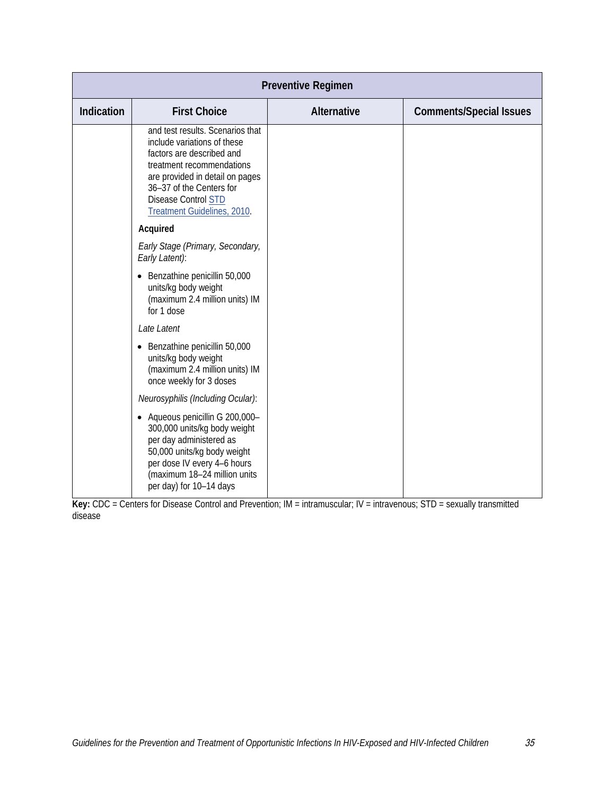| <b>Preventive Regimen</b> |                                                                                                                                                                                                                                                       |             |                                |  |  |
|---------------------------|-------------------------------------------------------------------------------------------------------------------------------------------------------------------------------------------------------------------------------------------------------|-------------|--------------------------------|--|--|
| Indication                | <b>First Choice</b>                                                                                                                                                                                                                                   | Alternative | <b>Comments/Special Issues</b> |  |  |
|                           | and test results. Scenarios that<br>include variations of these<br>factors are described and<br>treatment recommendations<br>are provided in detail on pages<br>36-37 of the Centers for<br><b>Disease Control STD</b><br>Treatment Guidelines, 2010. |             |                                |  |  |
|                           | Acquired<br>Early Stage (Primary, Secondary,<br>Early Latent):                                                                                                                                                                                        |             |                                |  |  |
|                           | Benzathine penicillin 50,000<br>$\bullet$<br>units/kg body weight<br>(maximum 2.4 million units) IM<br>for 1 dose                                                                                                                                     |             |                                |  |  |
|                           | Late Latent<br>Benzathine penicillin 50,000<br>units/kg body weight<br>(maximum 2.4 million units) IM<br>once weekly for 3 doses                                                                                                                      |             |                                |  |  |
|                           | Neurosyphilis (Including Ocular):                                                                                                                                                                                                                     |             |                                |  |  |
|                           | Aqueous penicillin G 200,000-<br>$\bullet$<br>300,000 units/kg body weight<br>per day administered as<br>50,000 units/kg body weight<br>per dose IV every 4-6 hours<br>(maximum 18-24 million units<br>per day) for 10-14 days                        |             |                                |  |  |

**Key:** CDC = Centers for Disease Control and Prevention; IM = intramuscular; IV = intravenous; STD = sexually transmitted disease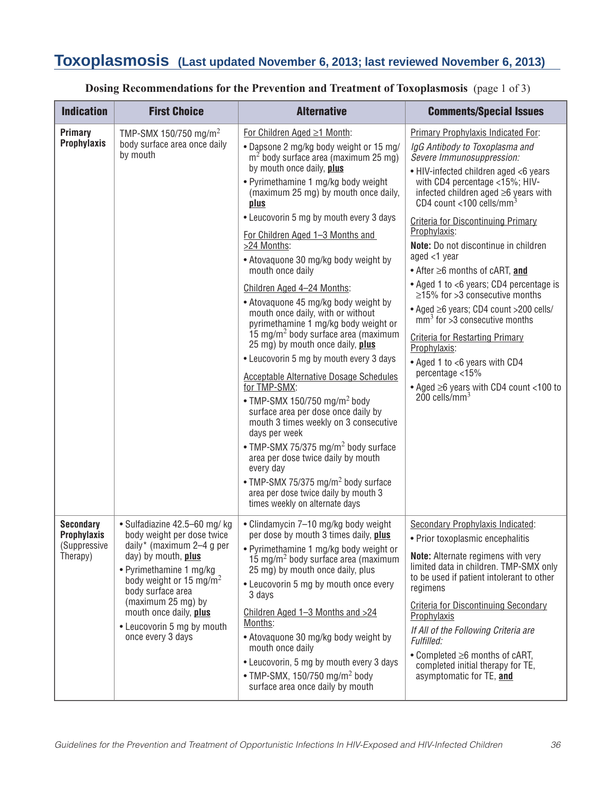## **Toxoplasmosis (Last updated November 6, 2013; last reviewed November 6, 2013)**

| <b>Indication</b>                                                  | <b>First Choice</b>                                                                                                                                                                                                                                                                                       | <b>Alternative</b>                                                                                                                                                                                                                                                                                                                                                                                                                                                                                                                                                                                                                                                                                                                                                                                                                                                                                                                                                                                                                                                                                                                    | <b>Comments/Special Issues</b>                                                                                                                                                                                                                                                                                                                                                                                                                                                                                                                                                                                                                                                                                                                                                                              |
|--------------------------------------------------------------------|-----------------------------------------------------------------------------------------------------------------------------------------------------------------------------------------------------------------------------------------------------------------------------------------------------------|---------------------------------------------------------------------------------------------------------------------------------------------------------------------------------------------------------------------------------------------------------------------------------------------------------------------------------------------------------------------------------------------------------------------------------------------------------------------------------------------------------------------------------------------------------------------------------------------------------------------------------------------------------------------------------------------------------------------------------------------------------------------------------------------------------------------------------------------------------------------------------------------------------------------------------------------------------------------------------------------------------------------------------------------------------------------------------------------------------------------------------------|-------------------------------------------------------------------------------------------------------------------------------------------------------------------------------------------------------------------------------------------------------------------------------------------------------------------------------------------------------------------------------------------------------------------------------------------------------------------------------------------------------------------------------------------------------------------------------------------------------------------------------------------------------------------------------------------------------------------------------------------------------------------------------------------------------------|
| Primary<br><b>Prophylaxis</b>                                      | TMP-SMX 150/750 mg/m <sup>2</sup><br>body surface area once daily<br>by mouth                                                                                                                                                                                                                             | For Children Aged ≥1 Month:<br>. Dapsone 2 mg/kg body weight or 15 mg/<br>$m2$ body surface area (maximum 25 mg)<br>by mouth once daily, plus<br>• Pyrimethamine 1 mg/kg body weight<br>(maximum 25 mg) by mouth once daily,<br>plus<br>• Leucovorin 5 mg by mouth every 3 days<br>For Children Aged 1-3 Months and<br>>24 Months:<br>• Atovaquone 30 mg/kg body weight by<br>mouth once daily<br>Children Aged 4-24 Months:<br>• Atovaquone 45 mg/kg body weight by<br>mouth once daily, with or without<br>pyrimethamine 1 mg/kg body weight or<br>15 mg/m <sup>2</sup> body surface area (maximum<br>25 mg) by mouth once daily, plus<br>• Leucovorin 5 mg by mouth every 3 days<br><b>Acceptable Alternative Dosage Schedules</b><br>for TMP-SMX:<br>• TMP-SMX 150/750 mg/m <sup>2</sup> body<br>surface area per dose once daily by<br>mouth 3 times weekly on 3 consecutive<br>days per week<br>• TMP-SMX 75/375 mg/m <sup>2</sup> body surface<br>area per dose twice daily by mouth<br>every day<br>• TMP-SMX 75/375 mg/m <sup>2</sup> body surface<br>area per dose twice daily by mouth 3<br>times weekly on alternate days | Primary Prophylaxis Indicated For:<br>IgG Antibody to Toxoplasma and<br>Severe Immunosuppression:<br>• HIV-infected children aged <6 years<br>with CD4 percentage <15%; HIV-<br>infected children aged ≥6 years with<br>CD4 count <100 cells/mm <sup>3</sup><br><b>Criteria for Discontinuing Primary</b><br>Prophylaxis:<br>Note: Do not discontinue in children<br>aged $<$ 1 year<br>$\bullet$ After $\geq$ 6 months of cART, and<br>• Aged 1 to <6 years; CD4 percentage is<br>$\geq$ 15% for >3 consecutive months<br>• Aged ≥6 years; CD4 count >200 cells/<br>$\text{mm}^3$ for $>3$ consecutive months<br><b>Criteria for Restarting Primary</b><br>Prophylaxis:<br>• Aged 1 to <6 years with CD4<br>percentage <15%<br>• Aged $\geq$ 6 years with CD4 count <100 to<br>$200$ cells/mm <sup>3</sup> |
| <b>Secondary</b><br><b>Prophylaxis</b><br>(Suppressive<br>Therapy) | · Sulfadiazine 42.5-60 mg/ kg<br>body weight per dose twice<br>daily* (maximum 2-4 g per<br>day) by mouth, plus<br>• Pyrimethamine 1 mg/kg<br>body weight or 15 mg/m <sup>2</sup><br>body surface area<br>(maximum 25 mg) by<br>mouth once daily, plus<br>• Leucovorin 5 mg by mouth<br>once every 3 days | • Clindamycin 7-10 mg/kg body weight<br>per dose by mouth 3 times daily, plus<br>• Pyrimethamine 1 mg/kg body weight or<br>15 mg/m <sup>2</sup> body surface area (maximum<br>25 mg) by mouth once daily, plus<br>• Leucovorin 5 mg by mouth once every<br>3 days<br>Children Aged 1-3 Months and >24<br>Months:<br>• Atovaquone 30 mg/kg body weight by<br>mouth once daily<br>• Leucovorin, 5 mg by mouth every 3 days<br>• TMP-SMX, 150/750 mg/m <sup>2</sup> body<br>surface area once daily by mouth                                                                                                                                                                                                                                                                                                                                                                                                                                                                                                                                                                                                                             | Secondary Prophylaxis Indicated:<br>• Prior toxoplasmic encephalitis<br><b>Note:</b> Alternate regimens with very<br>limited data in children. TMP-SMX only<br>to be used if patient intolerant to other<br>regimens<br><b>Criteria for Discontinuing Secondary</b><br>Prophylaxis<br>If All of the Following Criteria are<br>Fulfilled:<br>$\bullet$ Completed $\geq 6$ months of cART,<br>completed initial therapy for TE,<br>asymptomatic for TE, and                                                                                                                                                                                                                                                                                                                                                   |

### **Dosing Recommendations for the Prevention and Treatment of Toxoplasmosis** (page 1 of 3)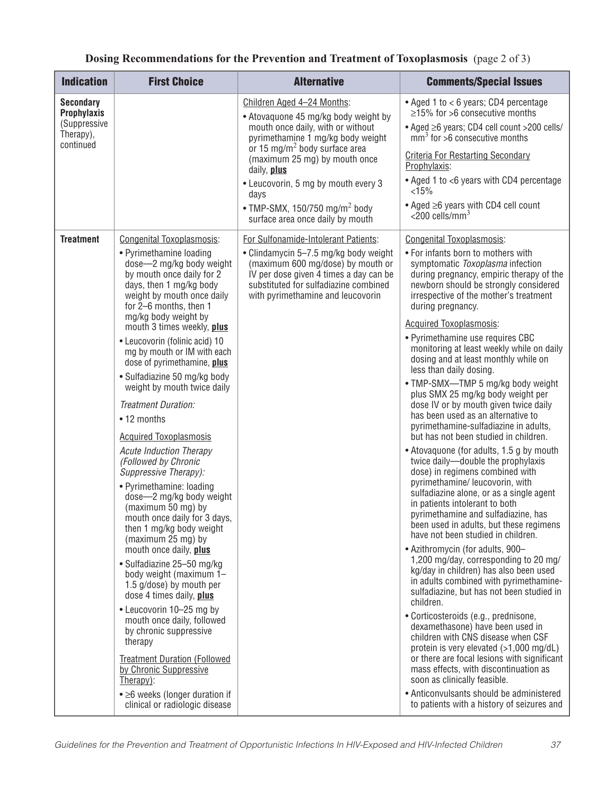| <b>Indication</b>                                                                | <b>First Choice</b>                                                                                                                                                                                                                                                                                                                                                                                                                                                                                                                                                                                                                                                                        | <b>Alternative</b>                                                                                                                                                                                                                                                                                                                                                        | <b>Comments/Special Issues</b>                                                                                                                                                                                                                                                                                                                                                                                                                                                                                                                                                                                                                                                                                                                                                                                                                                                                                                                                                                                  |
|----------------------------------------------------------------------------------|--------------------------------------------------------------------------------------------------------------------------------------------------------------------------------------------------------------------------------------------------------------------------------------------------------------------------------------------------------------------------------------------------------------------------------------------------------------------------------------------------------------------------------------------------------------------------------------------------------------------------------------------------------------------------------------------|---------------------------------------------------------------------------------------------------------------------------------------------------------------------------------------------------------------------------------------------------------------------------------------------------------------------------------------------------------------------------|-----------------------------------------------------------------------------------------------------------------------------------------------------------------------------------------------------------------------------------------------------------------------------------------------------------------------------------------------------------------------------------------------------------------------------------------------------------------------------------------------------------------------------------------------------------------------------------------------------------------------------------------------------------------------------------------------------------------------------------------------------------------------------------------------------------------------------------------------------------------------------------------------------------------------------------------------------------------------------------------------------------------|
| <b>Secondary</b><br><b>Prophylaxis</b><br>(Suppressive<br>Therapy),<br>continued |                                                                                                                                                                                                                                                                                                                                                                                                                                                                                                                                                                                                                                                                                            | Children Aged 4-24 Months:<br>• Atovaquone 45 mg/kg body weight by<br>mouth once daily, with or without<br>pyrimethamine 1 mg/kg body weight<br>or 15 mg/m <sup>2</sup> body surface area<br>(maximum 25 mg) by mouth once<br>daily, plus<br>• Leucovorin, 5 mg by mouth every 3<br>days<br>• TMP-SMX, 150/750 mg/m <sup>2</sup> body<br>surface area once daily by mouth | • Aged 1 to < 6 years; CD4 percentage<br>$\geq$ 15% for >6 consecutive months<br>• Aged ≥6 years; CD4 cell count >200 cells/<br>$mm3$ for >6 consecutive months<br><b>Criteria For Restarting Secondary</b><br>Prophylaxis:<br>• Aged 1 to <6 years with CD4 percentage<br>< 15%<br>$\bullet$ Aged $\geq$ 6 years with CD4 cell count<br>$\epsilon$ 200 cells/mm <sup>3</sup>                                                                                                                                                                                                                                                                                                                                                                                                                                                                                                                                                                                                                                   |
|                                                                                  | • Pyrimethamine loading<br>dose-2 mg/kg body weight<br>by mouth once daily for 2<br>days, then 1 mg/kg body<br>weight by mouth once daily<br>for 2-6 months, then 1<br>mg/kg body weight by                                                                                                                                                                                                                                                                                                                                                                                                                                                                                                | • Clindamycin 5-7.5 mg/kg body weight<br>(maximum 600 mg/dose) by mouth or<br>IV per dose given 4 times a day can be<br>substituted for sulfadiazine combined<br>with pyrimethamine and leucovorin                                                                                                                                                                        | • For infants born to mothers with<br>symptomatic Toxoplasma infection<br>during pregnancy, empiric therapy of the<br>newborn should be strongly considered<br>irrespective of the mother's treatment<br>during pregnancy.                                                                                                                                                                                                                                                                                                                                                                                                                                                                                                                                                                                                                                                                                                                                                                                      |
|                                                                                  | mouth 3 times weekly, plus<br>• Leucovorin (folinic acid) 10<br>mg by mouth or IM with each<br>dose of pyrimethamine, plus<br>• Sulfadiazine 50 mg/kg body<br>weight by mouth twice daily<br>Treatment Duration:<br>• 12 months<br><b>Acquired Toxoplasmosis</b><br><b>Acute Induction Therapy</b><br>(Followed by Chronic<br>Suppressive Therapy):<br>• Pyrimethamine: loading<br>dose-2 mg/kg body weight<br>(maximum 50 mg) by<br>mouth once daily for 3 days,<br>then 1 mg/kg body weight<br>(maximum 25 mg) by<br>mouth once daily, plus<br>· Sulfadiazine 25-50 mg/kg<br>body weight (maximum 1-<br>1.5 g/dose) by mouth per<br>dose 4 times daily, plus<br>• Leucovorin 10-25 mg by |                                                                                                                                                                                                                                                                                                                                                                           | Acquired Toxoplasmosis:<br>• Pyrimethamine use requires CBC<br>monitoring at least weekly while on daily<br>dosing and at least monthly while on<br>less than daily dosing.<br>. TMP-SMX-TMP 5 mg/kg body weight<br>plus SMX 25 mg/kg body weight per<br>dose IV or by mouth given twice daily<br>has been used as an alternative to<br>pyrimethamine-sulfadiazine in adults,<br>but has not been studied in children.<br>• Atovaquone (for adults, 1.5 g by mouth<br>twice daily-double the prophylaxis<br>dose) in regimens combined with<br>pyrimethamine/ leucovorin, with<br>sulfadiazine alone, or as a single agent<br>in patients intolerant to both<br>pyrimethamine and sulfadiazine, has<br>been used in adults, but these regimens<br>have not been studied in children.<br>• Azithromycin (for adults, 900-<br>1,200 mg/day, corresponding to 20 mg/<br>kg/day in children) has also been used<br>in adults combined with pyrimethamine-<br>sulfadiazine, but has not been studied in<br>children. |
|                                                                                  | mouth once daily, followed<br>by chronic suppressive<br>therapy<br><b>Treatment Duration (Followed)</b><br>by Chronic Suppressive<br>Therapy):<br>• ≥6 weeks (longer duration if<br>clinical or radiologic disease                                                                                                                                                                                                                                                                                                                                                                                                                                                                         |                                                                                                                                                                                                                                                                                                                                                                           | · Corticosteroids (e.g., prednisone,<br>dexamethasone) have been used in<br>children with CNS disease when CSF<br>protein is very elevated (>1,000 mg/dL)<br>or there are focal lesions with significant<br>mass effects, with discontinuation as<br>soon as clinically feasible.<br>• Anticonvulsants should be administered<br>to patients with a history of seizures and                                                                                                                                                                                                                                                                                                                                                                                                                                                                                                                                                                                                                                     |

### **Dosing Recommendations for the Prevention and Treatment of Toxoplasmosis** (page 2 of 3)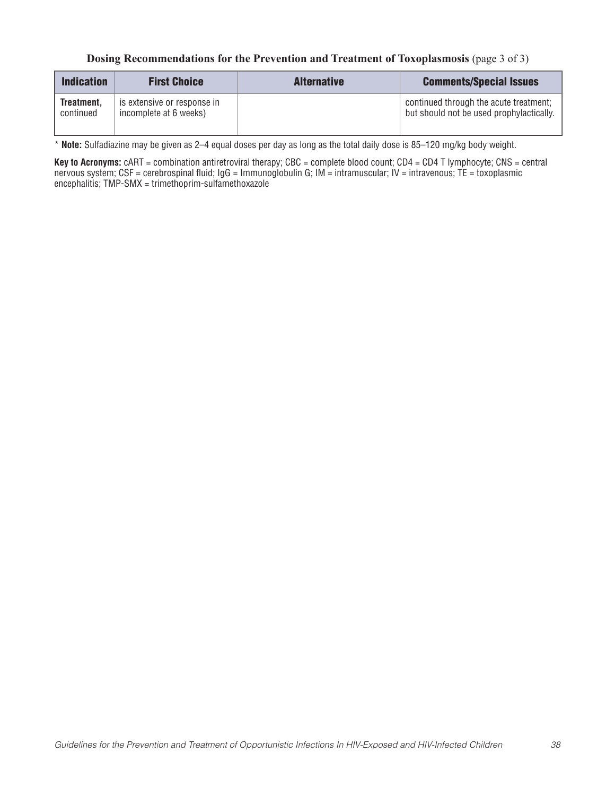#### **Dosing Recommendations for the Prevention and Treatment of Toxoplasmosis** (page 3 of 3)

| <b>Indication</b>       | <b>First Choice</b>                                   | <b>Alternative</b> | <b>Comments/Special Issues</b>                                                     |
|-------------------------|-------------------------------------------------------|--------------------|------------------------------------------------------------------------------------|
| Treatment,<br>continued | is extensive or response in<br>incomplete at 6 weeks) |                    | continued through the acute treatment;<br>but should not be used prophylactically. |

\* **Note:** Sulfadiazine may be given as 2–4 equal doses per day as long as the total daily dose is 85–120 mg/kg body weight.

Key to Acronyms: cART = combination antiretroviral therapy; CBC = complete blood count; CD4 = CD4 T lymphocyte; CNS = central nervous system; CSF = cerebrospinal fluid; IgG = Immunoglobulin G; IM = intramuscular; IV = intravenous; TE = toxoplasmic encephalitis; TMP-SMX = trimethoprim-sulfamethoxazole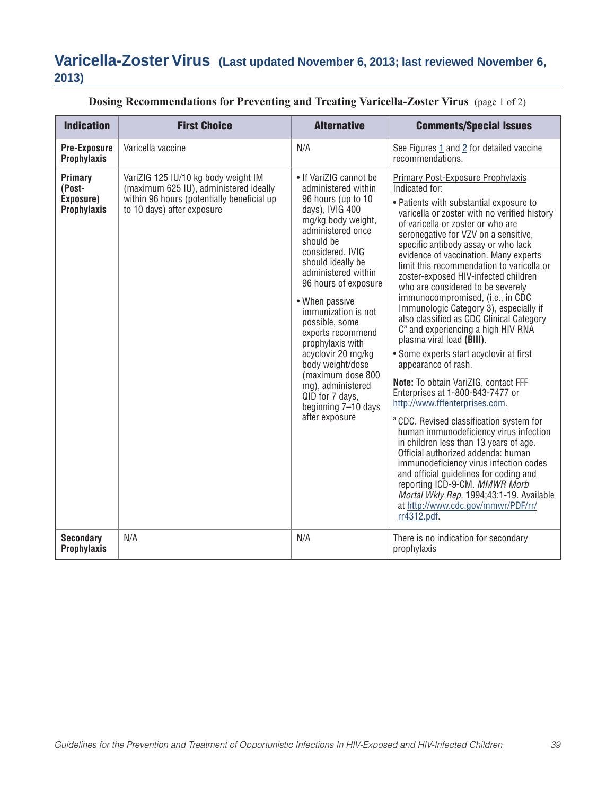# **Varicella-Zoster Virus (Last updated November 6, 2013; last reviewed November 6, 2013)**

| <b>Indication</b>                                    | <b>First Choice</b>                                                                                                                                       | <b>Alternative</b>                                                                                                                                                                                                                                                                                                                                                                                                                                                                         | <b>Comments/Special Issues</b>                                                                                                                                                                                                                                                                                                                                                                                                                                                                                                                                                                                                                                                                                                                                                                                                                                                                                                                                                                                                                                                                                                                                                                                                        |
|------------------------------------------------------|-----------------------------------------------------------------------------------------------------------------------------------------------------------|--------------------------------------------------------------------------------------------------------------------------------------------------------------------------------------------------------------------------------------------------------------------------------------------------------------------------------------------------------------------------------------------------------------------------------------------------------------------------------------------|---------------------------------------------------------------------------------------------------------------------------------------------------------------------------------------------------------------------------------------------------------------------------------------------------------------------------------------------------------------------------------------------------------------------------------------------------------------------------------------------------------------------------------------------------------------------------------------------------------------------------------------------------------------------------------------------------------------------------------------------------------------------------------------------------------------------------------------------------------------------------------------------------------------------------------------------------------------------------------------------------------------------------------------------------------------------------------------------------------------------------------------------------------------------------------------------------------------------------------------|
| <b>Pre-Exposure</b><br>Prophylaxis                   | Varicella vaccine                                                                                                                                         | N/A                                                                                                                                                                                                                                                                                                                                                                                                                                                                                        | See Figures 1 and 2 for detailed vaccine<br>recommendations.                                                                                                                                                                                                                                                                                                                                                                                                                                                                                                                                                                                                                                                                                                                                                                                                                                                                                                                                                                                                                                                                                                                                                                          |
| Primary<br>(Post-<br>Exposure)<br><b>Prophylaxis</b> | VariZIG 125 IU/10 kg body weight IM<br>(maximum 625 IU), administered ideally<br>within 96 hours (potentially beneficial up<br>to 10 days) after exposure | • If VariZIG cannot be<br>administered within<br>96 hours (up to 10<br>days), IVIG 400<br>mg/kg body weight,<br>administered once<br>should be<br>considered. IVIG<br>should ideally be<br>administered within<br>96 hours of exposure<br>• When passive<br>immunization is not<br>possible, some<br>experts recommend<br>prophylaxis with<br>acyclovir 20 mg/kg<br>body weight/dose<br>(maximum dose 800<br>mg), administered<br>QID for 7 days,<br>beginning 7-10 days<br>after exposure | Primary Post-Exposure Prophylaxis<br>Indicated for:<br>• Patients with substantial exposure to<br>varicella or zoster with no verified history<br>of varicella or zoster or who are<br>seronegative for VZV on a sensitive,<br>specific antibody assay or who lack<br>evidence of vaccination. Many experts<br>limit this recommendation to varicella or<br>zoster-exposed HIV-infected children<br>who are considered to be severely<br>immunocompromised, (i.e., in CDC<br>Immunologic Category 3), especially if<br>also classified as CDC Clinical Category<br>C <sup>a</sup> and experiencing a high HIV RNA<br>plasma viral load (BIII).<br>• Some experts start acyclovir at first<br>appearance of rash.<br>Note: To obtain VariZIG, contact FFF<br>Enterprises at 1-800-843-7477 or<br>http://www.fffenterprises.com.<br><sup>a</sup> CDC. Revised classification system for<br>human immunodeficiency virus infection<br>in children less than 13 years of age.<br>Official authorized addenda: human<br>immunodeficiency virus infection codes<br>and official guidelines for coding and<br>reporting ICD-9-CM. MMWR Morb<br>Mortal Wkly Rep. 1994;43:1-19. Available<br>at http://www.cdc.gov/mmwr/PDF/rr/<br>rr4312.pdf. |
| <b>Secondary</b><br><b>Prophylaxis</b>               | N/A                                                                                                                                                       | N/A                                                                                                                                                                                                                                                                                                                                                                                                                                                                                        | There is no indication for secondary<br>prophylaxis                                                                                                                                                                                                                                                                                                                                                                                                                                                                                                                                                                                                                                                                                                                                                                                                                                                                                                                                                                                                                                                                                                                                                                                   |

### **Dosing Recommendations for Preventing and Treating Varicella-Zoster Virus** (page 1 of 2)